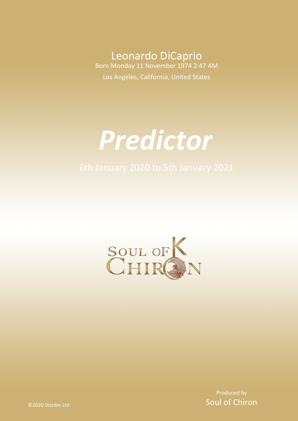Leonardo DiCaprio Born Monday 11 November 1974 2:47 AM Los Angeles, California, United States

# *Predictor*



Produced by Soul of Chiron

©2020 Stardm Ltd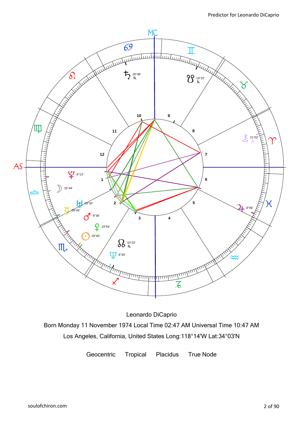

Leonardo DiCaprio Born Monday 11 November 1974 Local Time 02:47 AM Universal Time 10:47 AM Los Angeles, California, United States Long:118°14'W Lat:34°03'N

Geocentric Tropical Placidus True Node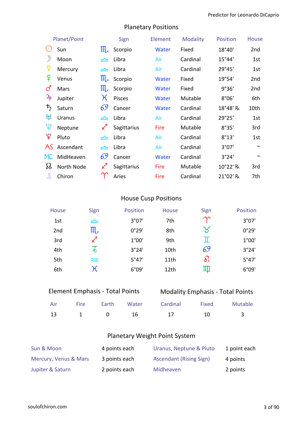| Planet/Point          |               |                            | Sign          | Element | <b>Modality</b> | Position | <b>House</b>    |
|-----------------------|---------------|----------------------------|---------------|---------|-----------------|----------|-----------------|
| $(\cdot)$             | Sun           | $\prod_{\mathcal{A}}$      | Scorpio       | Water   | Fixed           | 18°40'   | 2nd             |
| $\mathcal{Y}$         | Moon          |                            | Libra         | Air     | Cardinal        | 15°44'   | 1st             |
| ቖ្                    | Mercury       | ≃                          | Libra         | Air     | Cardinal        | 29°45'   | 1st             |
| ¥                     | Venus         | $\prod_{\mathcal{A}}$      | Scorpio       | Water   | Fixed           | 19°54'   | 2 <sub>nd</sub> |
| $\vec{\mathcal{C}}$   | Mars          | $\prod_{\mathcal{A}}$      | Scorpio       | Water   | Fixed           | 9°36'    | 2 <sub>nd</sub> |
| 4                     | Jupiter       | $\chi$                     | <b>Pisces</b> | Water   | Mutable         | 8°06'    | 6th             |
| $\bm{\mathit{t}}_{2}$ | Saturn        | 69                         | Cancer        | Water   | Cardinal        | 18°48' R | 10th            |
| ਸ਼੍ਰ                  | <b>Uranus</b> | ≃                          | Libra         | Air     | Cardinal        | 29°25'   | 1st             |
| ψ                     | Neptune       | $\boldsymbol{\mathcal{Z}}$ | Sagittarius   | Fire    | Mutable         | 8°35'    | 3rd             |
| $\mathfrak{P}$        | Pluto         | یمی                        | Libra         | Air     | Cardinal        | 8°13'    | 1st             |
| AS                    | Ascendant     | یمی                        | Libra         | Air     | Cardinal        | 3°07'    | $\sim$          |
| MC                    | MidHeaven     | 69                         | Cancer        | Water   | Cardinal        | 3°24'    | $\sim$          |
| $\Omega$              | North Node    | $\boldsymbol{\mathcal{K}}$ | Sagittarius   | Fire    | Mutable         | 10°22' R | 3rd             |
| Ľ                     | Chiron        |                            | Aries         | Fire    | Cardinal        | 21°02' R | 7th             |

### Planetary Positions

#### House Cusp Positions

| House           | Sign                  | Position | House            | Sign       | Position |
|-----------------|-----------------------|----------|------------------|------------|----------|
| 1st             | $\equiv$              | 3°07'    | 7th              | $\gamma$   | 3°07'    |
| 2 <sub>nd</sub> | $\mathfrak{m}_{\ast}$ | 0°29'    | 8th              | $\aleph$   | 0°29'    |
| 3rd             | $\chi$ <sup>1</sup>   | 1°00'    | 9th              | π          | 1°00'    |
| 4th             | $\mathcal{Z}$         | 3°24'    | 10th             | 69         | 3°24'    |
| 5th             | $\widetilde{\sim}$    | 5°47'    | 11th             | $\delta l$ | 5°47'    |
| 6th             | $\chi$                | 6°09'    | 12 <sub>th</sub> | IIII       | 6°09'    |

| <b>Element Emphasis - Total Points</b> |  |
|----------------------------------------|--|
|                                        |  |

#### Modality Emphasis - Total Points

|  |  | Air Fire Earth Water Cardinal Fixed Mutable |  |
|--|--|---------------------------------------------|--|
|  |  | 13 1 0 16 17 10 3                           |  |

#### Planetary Weight Point System

| Sun & Moon            | 4 points each | Uranus, Neptune & Pluto        | 1 point each |
|-----------------------|---------------|--------------------------------|--------------|
| Mercury, Venus & Mars | 3 points each | <b>Ascendant (Rising Sign)</b> | 4 points     |
| Jupiter & Saturn      | 2 points each | Midheaven                      | 2 points     |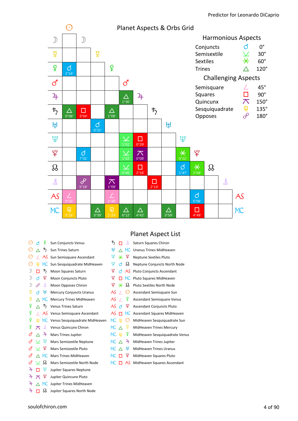

#### Planet Aspect List

| $(\cdot)$             | ಗ        | ¥              | Sun Conjuncts Venus               | $\vec{r}$   | п        | š                    | Saturn Squares Chiron            |
|-----------------------|----------|----------------|-----------------------------------|-------------|----------|----------------------|----------------------------------|
| $(\cdot)$             |          | 15             | Sun Trines Saturn                 | ŀţІ         |          | МC                   | <b>Uranus Trines MidHeaven</b>   |
| $_{\odot}$            |          | AS             | Sun Semisquare Ascendant          | Ψ           | $\ast$   | ¥                    | <b>Neptune Sextiles Pluto</b>    |
| ⊙                     | 卬        | MC .           | Sun Sesquiquadrate MidHeaven      | Ψ           | đ        | IJ                   | Neptune Conjuncts North Node     |
|                       | п        | ђ              | Moon Squares Saturn               | ¥           | đ        | AS.                  | <b>Pluto Conjuncts Ascendant</b> |
| ♪                     | đ        | ¥              | Moon Conjuncts Pluto              | ¥           | п        |                      | MC Pluto Squares MidHeaven       |
| D                     | ℰ        | Ľ              | Moon Opposes Chiron               | ¥           | $\ast$   | IJ                   | Pluto Sextiles North Node        |
| ¥                     | đ        | ŀţl            | <b>Mercury Conjuncts Uranus</b>   | AS          | $\prime$ | $(\cdot)$            | Ascendant Semisquare Sun         |
| ₽                     |          | MC.            | Mercury Trines MidHeaven          | AS          | $\prime$ | ¥                    | Ascendant Semisquare Venus       |
| ¥                     |          | ᡏ2             | Venus Trines Saturn               | AS đ        |          | ¥                    | <b>Ascendant Conjuncts Pluto</b> |
| ¥                     |          |                | AS Venus Semisquare Ascendant     | AS          | п        |                      | MC Ascendant Squares MidHeaven   |
| ¥                     | 囸        |                | MC Venus Sesquiquadrate MidHeaven | МC          | 囸        | $\left(\cdot\right)$ | MidHeaven Sesquiquadrate Sun     |
| ¥                     | ᅎ        | š              | Venus Quincunx Chiron             | MC $\wedge$ |          | ¥                    | MidHeaven Trines Mercury         |
| ර                     |          | $\overline{r}$ | Mars Trines Jupiter               | MC          | 車        | ¥                    | MidHeaven Sesquiquadrate Venus   |
| <b>්</b>              | $\vee$   | Ψ              | Mars Semisextile Neptune          | $MC \wedge$ |          | 4                    | MidHeaven Trines Jupiter         |
| ර                     | $\vee$   | ¥              | Mars Semisextile Pluto            | MC $\wedge$ |          | ŀţl                  | <b>MidHeaven Trines Uranus</b>   |
| ර                     |          | МC             | Mars Trines MidHeaven             | $MC$ $\Pi$  |          | ¥                    | MidHeaven Squares Pluto          |
| ර                     |          | 88             | Mars Semisextile North Node       | MC.         | п        | AS                   | MidHeaven Squares Ascendant      |
| 4                     |          | Ψ              | Jupiter Squares Neptune           |             |          |                      |                                  |
| $\mathbf{a}_\text{F}$ | ᄌ        | ¥              | Jupiter Quincunx Pluto            |             |          |                      |                                  |
| 4                     | $\wedge$ | <b>MC</b>      | Jupiter Trines MidHeaven          |             |          |                      |                                  |

 $\overline{4}$   $\overline{1}$   $\overline{8}$  Jupiter Squares North Node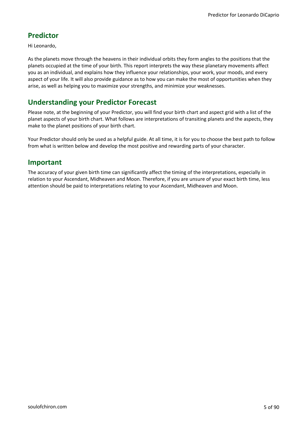#### **Predictor**

Hi Leonardo,

As the planets move through the heavens in their individual orbits they form angles to the positions that the planets occupied at the time of your birth. This report interprets the way these planetary movements affect you as an individual, and explains how they influence your relationships, your work, your moods, and every aspect of your life. It will also provide guidance as to how you can make the most of opportunities when they arise, as well as helping you to maximize your strengths, and minimize your weaknesses.

#### **Understanding your Predictor Forecast**

Please note, at the beginning of your Predictor, you will find your birth chart and aspect grid with a list of the planet aspects of your birth chart. What follows are interpretations of transiting planets and the aspects, they make to the planet positions of your birth chart.

Your Predictor should only be used as a helpful guide. At all time, it is for you to choose the best path to follow from what is written below and develop the most positive and rewarding parts of your character.

#### **Important**

The accuracy of your given birth time can significantly affect the timing of the interpretations, especially in relation to your Ascendant, Midheaven and Moon. Therefore, if you are unsure of your exact birth time, less attention should be paid to interpretations relating to your Ascendant, Midheaven and Moon.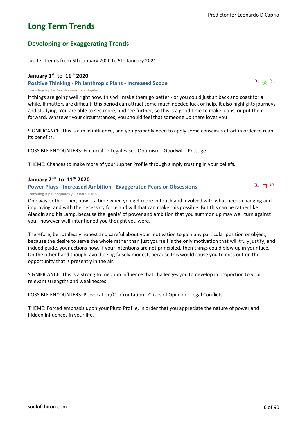$4 * 4$ 

 $\mathfrak{p}$  ከ ሦ

### **Long Term Trends**

#### **Developing or Exaggerating Trends**

Jupiter trends from 6th January 2020 to 5th January 2021

#### **January 1st to 11th 2020**

#### **Positive Thinking - Philanthropic Plans - Increased Scope**

Transiting Jupiter Sextiles your natal Jupiter

If things are going well right now, this will make them go better - or you could just sit back and coast for a while. If matters are difficult, this period can attract some much needed luck or help. It also highlights journeys and studying. You are able to see more, and see further, so this is a good time to make plans, or put them forward. Whatever your circumstances, you should feel that someone up there loves you!

SIGNIFICANCE: This is a mild influence, and you probably need to apply some conscious effort in order to reap its benefits.

POSSIBLE ENCOUNTERS: Financial or Legal Ease - Optimism - Goodwill - Prestige

THEME: Chances to make more of your Jupiter Profile through simply trusting in your beliefs.

#### **January 2nd to 11th 2020**

#### **Power Plays - Increased Ambition - Exaggerated Fears or Obsessions**

Transiting Jupiter Squares your natal Pluto

One way or the other, now is a time when you get more in touch and involved with what needs changing and improving, and with the necessary force and will that can make this possible. But this can be rather like Aladdin and his Lamp, because the 'genie' of power and ambition that you summon up may well turn against you - however well-intentioned you thought you were.

Therefore, be ruthlessly honest and careful about your motivation to gain any particular position or object, because the desire to serve the whole rather than just yourself is the only motivation that will truly justify, and indeed guide, your actions now. If your intentions are not principled, then things could blow up in your face. On the other hand though, avoid being falsely modest, because this would cause you to miss out on the opportunity that is presently in the air.

SIGNIFICANCE: This is a strong to medium influence that challenges you to develop in proportion to your relevant strengths and weaknesses.

POSSIBLE ENCOUNTERS: Provocation/Confrontation - Crises of Opinion - Legal Conflicts

THEME: Forced emphasis upon your Pluto Profile, in order that you appreciate the nature of power and hidden influences in your life.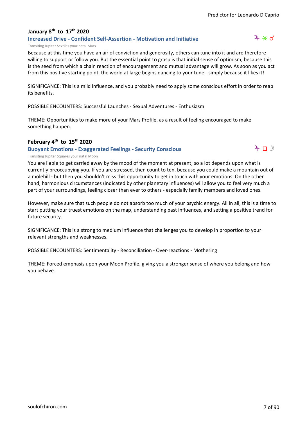#### **January 8th to 17th 2020**

#### **Increased Drive - Confident Self-Assertion - Motivation and Initiative**

#### $4 * d$

#### Transiting Jupiter Sextiles your natal Mars

Because at this time you have an air of conviction and generosity, others can tune into it and are therefore willing to support or follow you. But the essential point to grasp is that initial sense of optimism, because this is the seed from which a chain reaction of encouragement and mutual advantage will grow. As soon as you act from this positive starting point, the world at large begins dancing to your tune - simply because it likes it!

SIGNIFICANCE: This is a mild influence, and you probably need to apply some conscious effort in order to reap its benefits.

POSSIBLE ENCOUNTERS: Successful Launches - Sexual Adventures - Enthusiasm

THEME: Opportunities to make more of your Mars Profile, as a result of feeling encouraged to make something happen.

#### **February 4th to 15th 2020**

#### **Buoyant Emotions - Exaggerated Feelings - Security Conscious**



#### Transiting Jupiter Squares your natal Moon

You are liable to get carried away by the mood of the moment at present; so a lot depends upon what is currently preoccupying you. If you are stressed, then count to ten, because you could make a mountain out of a molehill - but then you shouldn't miss this opportunity to get in touch with your emotions. On the other hand, harmonious circumstances (indicated by other planetary influences) will allow you to feel very much a part of your surroundings, feeling closer than ever to others - especially family members and loved ones.

However, make sure that such people do not absorb too much of your psychic energy. All in all, this is a time to start putting your truest emotions on the map, understanding past influences, and setting a positive trend for future security.

SIGNIFICANCE: This is a strong to medium influence that challenges you to develop in proportion to your relevant strengths and weaknesses.

POSSIBLE ENCOUNTERS: Sentimentality - Reconciliation - Over-reactions - Mothering

THEME: Forced emphasis upon your Moon Profile, giving you a stronger sense of where you belong and how you behave.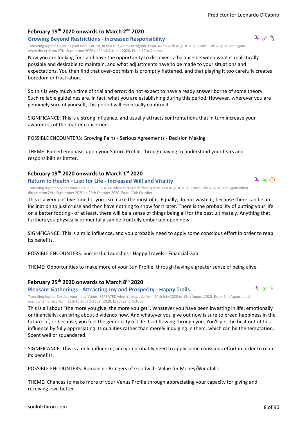#### **February 19th 2020 onwards to March 2nd 2020 Growing Beyond Restrictions - Increased Responsibility**

Transiting Jupiter Opposes your natal Saturn, REPEATED when retrograde from 3rd to 27th August 2020. Exact 13th August and again when direct from 27th September 2020 to 22nd October 2020. Exact 12th October

Now you are looking for - and have the opportunity to discover - a balance between what is realistically possible and desirable to maintain, and what adjustments have to be made to your situations and expectations. You then find that over-optimism is promptly flattened, and that playing it too carefully creates boredom or frustration.

So this is very much a time of trial and error; do not expect to have a ready answer borne of some theory. Such reliable guidelines are, in fact, what you are establishing during this period. However, wherever you are genuinely sure of yourself, this period will eventually confirm it.

SIGNIFICANCE: This is a strong influence, and usually attracts confrontations that in turn increase your awareness of the matter concerned.

POSSIBLE ENCOUNTERS: Growing Pains - Serious Agreements - Decision Making

THEME: Forced emphasis upon your Saturn Profile, through having to understand your fears and responsibilities better.

#### **February 19th 2020 onwards to March 1st 2020**

#### **Return to Health - Lust for Life - Increased Will and Vitality**

Transiting Jupiter Sextiles your natal Sun, REPEATED when retrograde from 4th to 31st August 2020. Exact 15th August and again when direct from 24th September 2020 to 20th October 2020. Exact 10th October

This is a very positive time for you - so make the most of it. Equally, do not waste it, because there can be an inclination to just cruise and then have nothing to show for it later. There is the probability of putting your life on a better footing - or at least, there will be a sense of things being all for the best ultimately. Anything that furthers you physically or mentally can be fruitfully embarked upon now.

SIGNIFICANCE: This is a mild influence, and you probably need to apply some conscious effort in order to reap its benefits.

POSSIBLE ENCOUNTERS: Successful Launches - Happy Travels - Financial Gain

THEME: Opportunities to make more of your Sun Profile, through having a greater sense of being alive.

#### **February 25th 2020 onwards to March 8th 2020**

**Pleasant Gatherings - Attracting Joy and Prosperity - Happy Trails**

Transiting Jupiter Sextiles your natal Venus, REPEATED when retrograde from 24th July 2020 to 12th August 2020. Exact 2nd August and again when direct from 12th to 30th October 2020. Exact 22nd October

This is all about "the more you give, the more you get". Whatever you have been investing in life, emotionally or financially, can bring about dividends now. And whatever you give out now is sure to breed happiness in the future - if, or because, you feel the generosity of Life itself flowing through you. You'll get the best out of this influence by fully appreciating its qualities rather than merely indulging in them, which can be the temptation. Spent well or squandered.

SIGNIFICANCE: This is a mild influence, and you probably need to apply some conscious effort in order to reap its benefits.

POSSIBLE ENCOUNTERS: Romance - Bringers of Goodwill - Value for Money/Windfalls

THEME: Chances to make more of your Venus Profile through appreciating your capacity for giving and receiving love better.





 $4*0$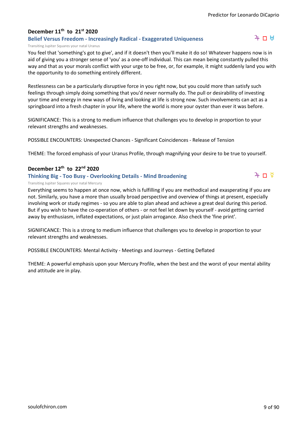#### **December 11th to 21st 2020**

#### **Belief Versus Freedom - Increasingly Radical - Exaggerated Uniqueness**

#### $4 \pi H$

 $4 \pi$ 

#### Transiting Jupiter Squares your natal Uranus

You feel that 'something's got to give', and if it doesn't then you'll make it do so! Whatever happens now is in aid of giving you a stronger sense of 'you' as a one-off individual. This can mean being constantly pulled this way and that as your morals conflict with your urge to be free, or, for example, it might suddenly land you with the opportunity to do something entirely different.

Restlessness can be a particularly disruptive force in you right now, but you could more than satisfy such feelings through simply doing something that you'd never normally do. The pull or desirability of investing your time and energy in new ways of living and looking at life is strong now. Such involvements can act as a springboard into a fresh chapter in your life, where the world is more your oyster than ever it was before.

SIGNIFICANCE: This is a strong to medium influence that challenges you to develop in proportion to your relevant strengths and weaknesses.

POSSIBLE ENCOUNTERS: Unexpected Chances - Significant Coincidences - Release of Tension

THEME: The forced emphasis of your Uranus Profile, through magnifying your desire to be true to yourself.

#### **December 12th to 22nd 2020**

#### **Thinking Big - Too Busy - Overlooking Details - Mind Broadening**

#### Transiting Jupiter Squares your natal Mercury

Everything seems to happen at once now, which is fulfilling if you are methodical and exasperating if you are not. Similarly, you have a more than usually broad perspective and overview of things at present, especially involving work or study regimes - so you are able to plan ahead and achieve a great deal during this period. But if you wish to have the co-operation of others - or not feel let down by yourself - avoid getting carried away by enthusiasm, inflated expectations, or just plain arrogance. Also check the 'fine print'.

SIGNIFICANCE: This is a strong to medium influence that challenges you to develop in proportion to your relevant strengths and weaknesses.

POSSIBLE ENCOUNTERS: Mental Activity - Meetings and Journeys - Getting Deflated

THEME: A powerful emphasis upon your Mercury Profile, when the best and the worst of your mental ability and attitude are in play.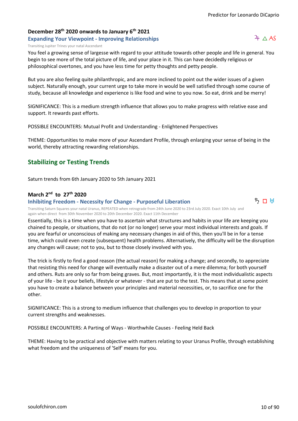### **December 28th 2020 onwards to January 6th 2021**

#### **Expanding Your Viewpoint - Improving Relationships**

Transiting Jupiter Trines your natal Ascendant

You feel a growing sense of largesse with regard to your attitude towards other people and life in general. You begin to see more of the total picture of life, and your place in it. This can have decidedly religious or philosophical overtones, and you have less time for petty thoughts and petty people.

But you are also feeling quite philanthropic, and are more inclined to point out the wider issues of a given subject. Naturally enough, your current urge to take more in would be well satisfied through some course of study, because all knowledge and experience is like food and wine to you now. So eat, drink and be merry!

SIGNIFICANCE: This is a medium strength influence that allows you to make progress with relative ease and support. It rewards past efforts.

POSSIBLE ENCOUNTERS: Mutual Profit and Understanding - Enlightened Perspectives

THEME: Opportunities to make more of your Ascendant Profile, through enlarging your sense of being in the world, thereby attracting rewarding relationships.

#### **Stabilizing or Testing Trends**

Saturn trends from 6th January 2020 to 5th January 2021

#### **March 2nd to 27th 2020**

**Inhibiting Freedom - Necessity for Change - Purposeful Liberation**

ちロは

Transiting Saturn Squares your natal Uranus, REPEATED when retrograde from 24th June 2020 to 23rd July 2020. Exact 10th July and again when direct from 30th November 2020 to 20th December 2020. Exact 11th December

Essentially, this is a time when you have to ascertain what structures and habits in your life are keeping you chained to people, or situations, that do not (or no longer) serve your most individual interests and goals. If you are fearful or unconscious of making any necessary changes in aid of this, then you'll be in for a tense time, which could even create (subsequent) health problems. Alternatively, the difficulty will be the disruption any changes will cause; not to you, but to those closely involved with you.

The trick is firstly to find a good reason (the actual reason) for making a change; and secondly, to appreciate that resisting this need for change will eventually make a disaster out of a mere dilemma; for both yourself and others. Ruts are only so far from being graves. But, most importantly, it is the most individualistic aspects of your life - be it your beliefs, lifestyle or whatever - that are put to the test. This means that at some point you have to create a balance between your principles and material necessities, or, to sacrifice one for the other.

SIGNIFICANCE: This is a strong to medium influence that challenges you to develop in proportion to your current strengths and weaknesses.

POSSIBLE ENCOUNTERS: A Parting of Ways - Worthwhile Causes - Feeling Held Back

THEME: Having to be practical and objective with matters relating to your Uranus Profile, through establishing what freedom and the uniqueness of 'Self' means for you.

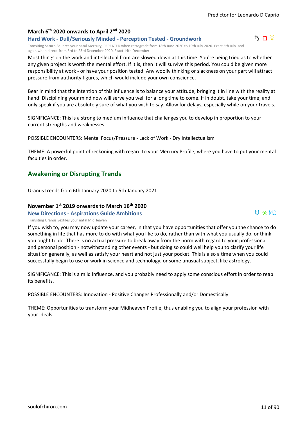#### **March 6th 2020 onwards to April 2nd 2020**

**Hard Work - Dull/Seriously Minded - Perception Tested - Groundwork**

Transiting Saturn Squares your natal Mercury, REPEATED when retrograde from 18th June 2020 to 19th July 2020. Exact 5th July and again when direct from 3rd to 23rd December 2020. Exact 14th December

Most things on the work and intellectual front are slowed down at this time. You're being tried as to whether any given project is worth the mental effort. If it is, then it will survive this period. You could be given more responsibility at work - or have your position tested. Any woolly thinking or slackness on your part will attract pressure from authority figures, which would include your own conscience.

Bear in mind that the intention of this influence is to balance your attitude, bringing it in line with the reality at hand. Disciplining your mind now will serve you well for a long time to come. If in doubt, take your time; and only speak if you are absolutely sure of what you wish to say. Allow for delays, especially while on your travels.

SIGNIFICANCE: This is a strong to medium influence that challenges you to develop in proportion to your current strengths and weaknesses.

POSSIBLE ENCOUNTERS: Mental Focus/Pressure - Lack of Work - Dry Intellectualism

THEME: A powerful point of reckoning with regard to your Mercury Profile, where you have to put your mental faculties in order.

#### **Awakening or Disrupting Trends**

Uranus trends from 6th January 2020 to 5th January 2021

#### **November 1st 2019 onwards to March 16th 2020**

**New Directions - Aspirations Guide Ambitions**

If you wish to, you may now update your career, in that you have opportunities that offer you the chance to do something in life that has more to do with what you like to do, rather than with what you usually do, or think you ought to do. There is no actual pressure to break away from the norm with regard to your professional and personal position - notwithstanding other events - but doing so could well help you to clarify your life Transiting Uranus Sextiles your natal MidHeaven

SIGNIFICANCE: This is a mild influence, and you probably need to apply some conscious effort in order to reap its benefits.

situation generally, as well as satisfy your heart and not just your pocket. This is also a time when you could

successfully begin to use or work in science and technology, or some unusual subject, like astrology.

POSSIBLE ENCOUNTERS: Innovation - Positive Changes Professionally and/or Domestically

THEME: Opportunities to transform your Midheaven Profile, thus enabling you to align your profession with your ideals.



 $H \times MC$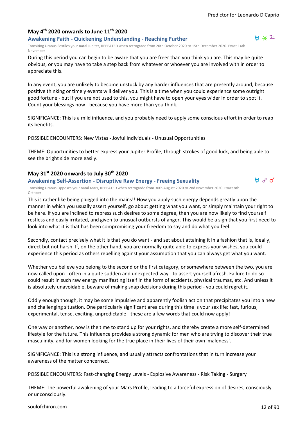#### **May 4th 2020 onwards to June 11th 2020**

#### **Awakening Faith - Quickening Understanding - Reaching Further**

Transiting Uranus Sextiles your natal Jupiter, REPEATED when retrograde from 20th October 2020 to 15th December 2020. Exact 14th November

During this period you can begin to be aware that you are freer than you think you are. This may be quite obvious, or you may have to take a step back from whatever or whoever you are involved with in order to appreciate this.

In any event, you are unlikely to become unstuck by any harder influences that are presently around, because positive thinking or timely events will deliver you. This is a time when you could experience some outright good fortune - but if you are not used to this, you might have to open your eyes wider in order to spot it. Count your blessings now - because you have more than you think.

SIGNIFICANCE: This is a mild influence, and you probably need to apply some conscious effort in order to reap its benefits.

POSSIBLE ENCOUNTERS: New Vistas - Joyful Individuals - Unusual Opportunities

THEME: Opportunities to better express your Jupiter Profile, through strokes of good luck, and being able to see the bright side more easily.

#### **May 31st 2020 onwards to July 30th 2020**

#### **Awakening Self-Assertion - Disruptive Raw Energy - Freeing Sexuality**

Transiting Uranus Opposes your natal Mars, REPEATED when retrograde from 30th August 2020 to 2nd November 2020. Exact 8th October

This is rather like being plugged into the mains!! How you apply such energy depends greatly upon the manner in which you usually assert yourself, go about getting what you want, or simply maintain your right to be here. If you are inclined to repress such desires to some degree, then you are now likely to find yourself restless and easily irritated, and given to unusual outbursts of anger. This would be a sign that you first need to look into what it is that has been compromising your freedom to say and do what you feel.

Secondly, contact precisely what it is that you do want - and set about attaining it in a fashion that is, ideally, direct but not harsh. If, on the other hand, you are normally quite able to express your wishes, you could experience this period as others rebelling against your assumption that you can always get what you want.

Whether you believe you belong to the second or the first category, or somewhere between the two, you are now called upon - often in a quite sudden and unexpected way - to assert yourself afresh. Failure to do so could result in such raw energy manifesting itself in the form of accidents, physical traumas, etc. And unless it is absolutely unavoidable, beware of making snap decisions during this period - you could regret it.

Oddly enough though, it may be some impulsive and apparently foolish action that precipitates you into a new and challenging situation. One particularly significant area during this time is your sex life: fast, furious, experimental, tense, exciting, unpredictable - these are a few words that could now apply!

One way or another, now is the time to stand up for your rights, and thereby create a more self-determined lifestyle for the future. This influence provides a strong dynamic for men who are trying to discover their true masculinity, and for women looking for the true place in their lives of their own 'maleness'.

SIGNIFICANCE: This is a strong influence, and usually attracts confrontations that in turn increase your awareness of the matter concerned.

POSSIBLE ENCOUNTERS: Fast-changing Energy Levels - Explosive Awareness - Risk Taking - Surgery

THEME: The powerful awakening of your Mars Profile, leading to a forceful expression of desires, consciously or unconsciously.



 $H$   $\partial$   $\sigma$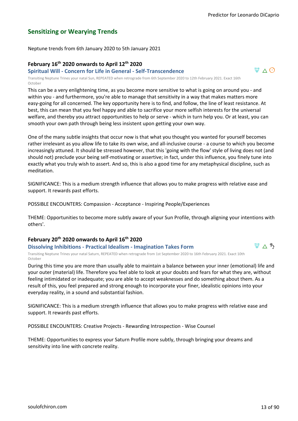#### **Sensitizing or Wearying Trends**

Neptune trends from 6th January 2020 to 5th January 2021

#### **February 16th 2020 onwards to April 12th 2020**

#### **Spiritual Will - Concern for Life in General - Self-Transcendence**

Transiting Neptune Trines your natal Sun, REPEATED when retrograde from 6th September 2020 to 12th February 2021. Exact 16th October

This can be a very enlightening time, as you become more sensitive to what is going on around you - and within you - and furthermore, you're able to manage that sensitivity in a way that makes matters more easy-going for all concerned. The key opportunity here is to find, and follow, the line of least resistance. At best, this can mean that you feel happy and able to sacrifice your more selfish interests for the universal welfare, and thereby you attract opportunities to help or serve - which in turn help you. Or at least, you can smooth your own path through being less insistent upon getting your own way.

One of the many subtle insights that occur now is that what you thought you wanted for yourself becomes rather irrelevant as you allow life to take its own wise, and all-inclusive course - a course to which you become increasingly attuned. It should be stressed however, that this 'going with the flow' style of living does not (and should not) preclude your being self-motivating or assertive; in fact, under this influence, you finely tune into exactly what you truly wish to assert. And so, this is also a good time for any metaphysical discipline, such as meditation.

SIGNIFICANCE: This is a medium strength influence that allows you to make progress with relative ease and support. It rewards past efforts.

POSSIBLE ENCOUNTERS: Compassion - Acceptance - Inspiring People/Experiences

THEME: Opportunities to become more subtly aware of your Sun Profile, through aligning your intentions with others'.

#### **February 20th 2020 onwards to April 16th 2020**

**Dissolving Inhibitions - Practical Idealism - Imagination Takes Form**

Transiting Neptune Trines your natal Saturn, REPEATED when retrograde from 1st September 2020 to 16th February 2021. Exact 10th October

During this time you are more than usually able to maintain a balance between your inner (emotional) life and your outer (material) life. Therefore you feel able to look at your doubts and fears for what they are, without feeling intimidated or inadequate; you are able to accept weaknesses and do something about them. As a result of this, you feel prepared and strong enough to incorporate your finer, idealistic opinions into your everyday reality, in a sound and substantial fashion.

SIGNIFICANCE: This is a medium strength influence that allows you to make progress with relative ease and support. It rewards past efforts.

POSSIBLE ENCOUNTERS: Creative Projects - Rewarding Introspection - Wise Counsel

THEME: Opportunities to express your Saturn Profile more subtly, through bringing your dreams and sensitivity into line with concrete reality.



 $\Psi \wedge \Theta$ 

 $\Psi \wedge \mathfrak{h}$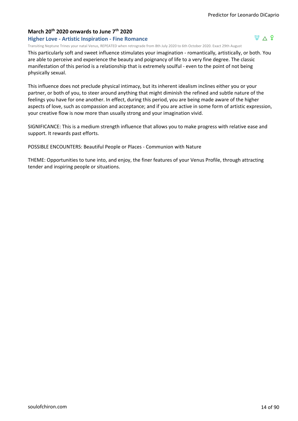$\Psi \wedge 9$ 

#### **March 20th 2020 onwards to June 7th 2020**

#### **Higher Love - Artistic Inspiration - Fine Romance**

Transiting Neptune Trines your natal Venus, REPEATED when retrograde from 8th July 2020 to 6th October 2020. Exact 29th August

This particularly soft and sweet influence stimulates your imagination - romantically, artistically, or both. You are able to perceive and experience the beauty and poignancy of life to a very fine degree. The classic manifestation of this period is a relationship that is extremely soulful - even to the point of not being physically sexual.

This influence does not preclude physical intimacy, but its inherent idealism inclines either you or your partner, or both of you, to steer around anything that might diminish the refined and subtle nature of the feelings you have for one another. In effect, during this period, you are being made aware of the higher aspects of love, such as compassion and acceptance; and if you are active in some form of artistic expression, your creative flow is now more than usually strong and your imagination vivid.

SIGNIFICANCE: This is a medium strength influence that allows you to make progress with relative ease and support. It rewards past efforts.

POSSIBLE ENCOUNTERS: Beautiful People or Places - Communion with Nature

THEME: Opportunities to tune into, and enjoy, the finer features of your Venus Profile, through attracting tender and inspiring people or situations.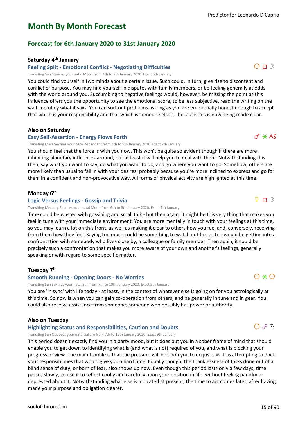### **Month By Month Forecast**

#### **Forecast for 6th January 2020 to 31st January 2020**

#### **Saturday 4th January**

#### **Feeling Split - Emotional Conflict - Negotiating Difficulties**

Transiting Sun Squares your natal Moon from 4th to 7th January 2020. Exact 6th January

You could find yourself in two minds about a certain issue. Such could, in turn, give rise to discontent and conflict of purpose. You may find yourself in disputes with family members, or be feeling generally at odds with the world around you. Succumbing to negative feelings would, however, be missing the point as this influence offers you the opportunity to see the emotional score, to be less subjective, read the writing on the wall and obey what it says. You can sort out problems as long as you are emotionally honest enough to accept that which is your responsibility and that which is someone else's - because this is now being made clear.

#### **Also on Saturday**

#### **Easy Self-Assertion - Energy Flows Forth**

Transiting Mars Sextiles your natal Ascendant from 4th to 9th January 2020. Exact 7th January

You should feel that the force is with you now. This won't be quite so evident though if there are more inhibiting planetary influences around, but at least it will help you to deal with them. Notwithstanding this then, say what you want to say, do what you want to do, and go where you want to go. Somehow, others are more likely than usual to fall in with your desires; probably because you're more inclined to express and go for them in a confident and non-provocative way. All forms of physical activity are highlighted at this time.

#### **Monday 6th**

#### **Logic Versus Feelings - Gossip and Trivia**

Transiting Mercury Squares your natal Moon from 6th to 8th January 2020. Exact 7th January

Time could be wasted with gossiping and small talk - but then again, it might be this very thing that makes you feel in tune with your immediate environment. You are more mentally in touch with your feelings at this time, so you may learn a lot on this front, as well as making it clear to others how you feel and, conversely, receiving from them how they feel. Saying too much could be something to watch out for, as too would be getting into a confrontation with somebody who lives close by, a colleague or family member. Then again, it could be precisely such a confrontation that makes you more aware of your own and another's feelings, generally speaking or with regard to some specific matter.

#### **Tuesday 7th**

#### **Smooth Running - Opening Doors - No Worries**

Transiting Sun Sextiles your natal Sun from 7th to 10th January 2020. Exact 9th January

You are 'in sync' with life today - at least, in the context of whatever else is going on for you astrologically at this time. So now is when you can gain co-operation from others, and be generally in tune and in gear. You could also receive assistance from someone; someone who possibly has power or authority.

#### **Also on Tuesday**

#### **Highlighting Status and Responsibilities, Caution and Doubts**

Transiting Sun Opposes your natal Saturn from 7th to 10th January 2020. Exact 9th January

This period doesn't exactly find you in a party mood, but it does put you in a sober frame of mind that should enable you to get down to identifying what is (and what is not) required of you, and what is blocking your progress or view. The main trouble is that the pressure will be upon you to do just this. It is attempting to duck your responsibilities that would give you a hard time. Equally though, the thanklessness of tasks done out of a blind sense of duty, or born of fear, also shows up now. Even though this period lasts only a few days, time passes slowly, so use it to reflect coolly and carefully upon your position in life, without feeling panicky or depressed about it. Notwithstanding what else is indicated at present, the time to act comes later, after having made your purpose and obligation clearer.



 $\odot \times \odot$ 



 $\nabla$   $\Box$ 



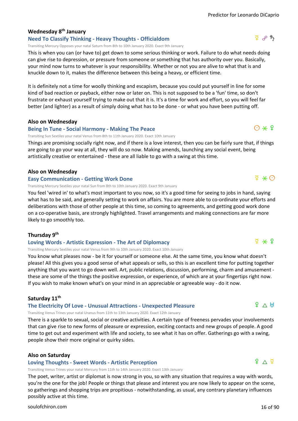#### **Wednesday 8th January**

#### **Need To Classify Thinking - Heavy Thoughts - Officialdom**

Transiting Mercury Opposes your natal Saturn from 8th to 10th January 2020. Exact 9th January

This is when you can (or have to) get down to some serious thinking or work. Failure to do what needs doing can give rise to depression, or pressure from someone or something that has authority over you. Basically, your mind now turns to whatever is your responsibility. Whether or not you are alive to what that is and knuckle down to it, makes the difference between this being a heavy, or efficient time.

It is definitely not a time for woolly thinking and escapism, because you could put yourself in line for some kind of bad reaction or payback, either now or later on. This is not supposed to be a 'fun' time, so don't frustrate or exhaust yourself trying to make out that it is. It's a time for work and effort, so you will feel far better (and lighter) as a result of simply doing what has to be done - or what you have been putting off.

#### **Also on Wednesday**

#### **Being In Tune - Social Harmony - Making The Peace**

Transiting Sun Sextiles your natal Venus from 8th to 11th January 2020. Exact 10th January

Things are promising socially right now, and if there is a love interest, then you can be fairly sure that, if things are going to go your way at all, they will do so now. Making amends, launching any social event, being artistically creative or entertained - these are all liable to go with a swing at this time.

#### **Also on Wednesday**

#### **Easy Communication - Getting Work Done**

Transiting Mercury Sextiles your natal Sun from 8th to 10th January 2020. Exact 9th January

You feel 'wired in' to what's most important to you now, so it's a good time for seeing to jobs in hand, saying what has to be said, and generally setting to work on affairs. You are more able to co-ordinate your efforts and deliberations with those of other people at this time, so coming to agreements, and getting good work done on a co-operative basis, are strongly highlighted. Travel arrangements and making connections are far more likely to go smoothly too.

#### **Thursday 9th**

#### **Loving Words - Artistic Expression - The Art of Diplomacy**

Transiting Mercury Sextiles your natal Venus from 9th to 10th January 2020. Exact 10th January

You know what pleases now - be it for yourself or someone else. At the same time, you know what doesn't please! All this gives you a good sense of what appeals or sells, so this is an excellent time for putting together anything that you want to go down well. Art, public relations, discussion, performing, charm and amusement these are some of the things the positive expression, or experience, of which are at your fingertips right now. If you wish to make known what's on your mind in an appreciable or agreeable way - do it now.

#### **Saturday 11th**

#### **The Electricity Of Love - Unusual Attractions - Unexpected Pleasure**

Transiting Venus Trines your natal Uranus from 11th to 13th January 2020. Exact 12th January

There is a sparkle to sexual, social or creative activities. A certain type of freeness pervades your involvements that can give rise to new forms of pleasure or expression, exciting contacts and new groups of people. A good time to get out and experiment with life and society, to see what it has on offer. Gatherings go with a swing, people show their more original or quirky sides.

#### **Also on Saturday**

#### **Loving Thoughts - Sweet Words - Artistic Perception**

Transiting Venus Trines your natal Mercury from 11th to 14th January 2020. Exact 13th January

The poet, writer, artist or diplomat is now strong in you, so with any situation that requires a way with words, you're the one for the job! People or things that please and interest you are now likely to appear on the scene, so gatherings and shopping trips are propitious - notwithstanding, as usual, any contrary planetary influences possibly active at this time.

#### [soulofchiron.com](https://soulofchiron.com/) 16 of 90

 $P \wedge H$ 

 $9 \wedge 9$ 





### $\odot \times 9$

 $\Phi \ast \Theta$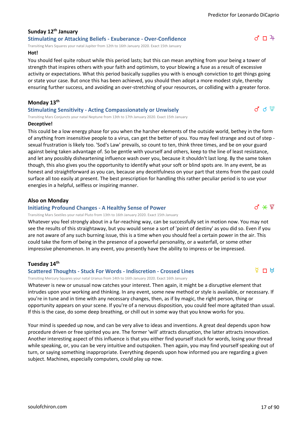#### **Sunday 12th January Stimulating or Attacking Beliefs - Exuberance - Over-Confidence**

Transiting Mars Squares your natal Jupiter from 12th to 16th January 2020. Exact 15th January

#### **Hot!**

You should feel quite robust while this period lasts; but this can mean anything from your being a tower of strength that inspires others with your faith and optimism, to your blowing a fuse as a result of excessive activity or expectations. What this period basically supplies you with is enough conviction to get things going or state your case. But once this has been achieved, you should then adopt a more modest style, thereby ensuring further success, and avoiding an over-stretching of your resources, or colliding with a greater force.

#### **Monday 13th**

#### **Stimulating Sensitivity - Acting Compassionately or Unwisely**

Transiting Mars Conjuncts your natal Neptune from 13th to 17th January 2020. Exact 15th January

#### **Deceptive!**

This could be a low energy phase for you when the harsher elements of the outside world, bethey in the form of anything from insensitive people to a virus, can get the better of you. You may feel strange and out of step sexual frustration is likely too. 'Sod's Law' prevails, so count to ten, think three times, and be on your guard against being taken advantage of. So be gentle with yourself and others, keep to the line of least resistance, and let any possibly disheartening influence wash over you, because it shouldn't last long. By the same token though, this also gives you the opportunity to identify what your soft or blind spots are. In any event, be as honest and straightforward as you can, because any deceitfulness on your part that stems from the past could surface all too easily at present. The best prescription for handling this rather peculiar period is to use your energies in a helpful, selfless or inspiring manner.

#### **Also on Monday**

#### **Initiating Profound Changes - A Healthy Sense of Power**

Transiting Mars Sextiles your natal Pluto from 13th to 16th January 2020. Exact 15th January

Whatever you feel strongly about in a far-reaching way, can be successfully set in motion now. You may not see the results of this straightaway, but you would sense a sort of 'point of destiny' as you did so. Even if you are not aware of any such burning issue, this is a time when you should feel a certain power in the air. This could take the form of being in the presence of a powerful personality, or a waterfall, or some other impressive phenomenon. In any event, you presently have the ability to impress or be impressed.

#### **Tuesday 14th**

#### **Scattered Thoughts - Stuck For Words - Indiscretion - Crossed Lines**

Transiting Mercury Squares your natal Uranus from 14th to 16th January 2020. Exact 16th January

Whatever is new or unusual now catches your interest. Then again, it might be a disruptive element that intrudes upon your working and thinking. In any event, some new method or style is available, or necessary. If you're in tune and in time with any necessary changes, then, as if by magic, the right person, thing or opportunity appears on your scene. If you're of a nervous disposition, you could feel more agitated than usual. If this is the case, do some deep breathing, or chill out in some way that you know works for you.

Your mind is speeded up now, and can be very alive to ideas and inventions. A great deal depends upon how procedure driven or free spirited you are. The former 'will' attracts disruption, the latter attracts innovation. Another interesting aspect of this influence is that you either find yourself stuck for words, losing your thread while speaking, or, you can be very intuitive and outspoken. Then again, you may find yourself speaking out of turn, or saying something inappropriate. Everything depends upon how informed you are regarding a given subject. Machines, especially computers, could play up now.





 $\overline{A}$   $\overline{C}$   $\overline{C}$ 



 $d \notin \mathcal{C}$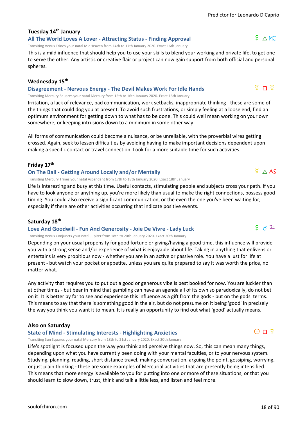## **Tuesday 14th January**

**All The World Loves A Lover - Attracting Status - Finding Approval**

Transiting Venus Trines your natal MidHeaven from 14th to 17th January 2020. Exact 16th January

This is a mild influence that should help you to use your skills to blend your working and private life, to get one to serve the other. Any artistic or creative flair or project can now gain support from both official and personal spheres.

#### **Wednesday 15th**

**Disagreement - Nervous Energy - The Devil Makes Work For Idle Hands** Transiting Mercury Squares your natal Mercury from 15th to 16th January 2020. Exact 16th January

Irritation, a lack of relevance, bad communication, work setbacks, inappropriate thinking - these are some of the things that could dog you at present. To avoid such frustrations, or simply feeling at a loose end, find an optimum environment for getting down to what has to be done. This could well mean working on your own somewhere, or keeping intrusions down to a minimum in some other way.

All forms of communication could become a nuisance, or be unreliable, with the proverbial wires getting crossed. Again, seek to lessen difficulties by avoiding having to make important decisions dependent upon making a specific contact or travel connection. Look for a more suitable time for such activities.

#### **Friday 17th**

#### **On The Ball - Getting Around Locally and/or Mentally**

Transiting Mercury Trines your natal Ascendant from 17th to 18th January 2020. Exact 18th January

Life is interesting and busy at this time. Useful contacts, stimulating people and subjects cross your path. If you have to look anyone or anything up, you're more likely than usual to make the right connections, possess good timing. You could also receive a significant communication, or the even the one you've been waiting for; especially if there are other activities occurring that indicate positive events.

#### **Saturday 18th**

#### **Love And Goodwill - Fun And Generosity - Joie De Vivre - Lady Luck**

Transiting Venus Conjuncts your natal Jupiter from 18th to 20th January 2020. Exact 20th January

Depending on your usual propensity for good fortune or giving/having a good time, this influence will provide you with a strong sense and/or experience of what is enjoyable about life. Taking in anything that enlivens or entertains is very propitious now - whether you are in an active or passive role. You have a lust for life at present - but watch your pocket or appetite, unless you are quite prepared to say it was worth the price, no matter what.

Any activity that requires you to put out a good or generous vibe is best booked for now. You are luckier than at other times - but bear in mind that gambling can have an agenda all of its own so paradoxically, do not bet on it! It is better by far to see and experience this influence as a gift from the gods - but on the gods' terms. This means to say that there is something good in the air, but do not presume on it being 'good' in precisely the way you think you want it to mean. It is really an opportunity to find out what 'good' actually means.

#### **Also on Saturday**

#### **State of Mind - Stimulating Interests - Highlighting Anxieties**

Transiting Sun Squares your natal Mercury from 18th to 21st January 2020. Exact 20th January

Life's spotlight is focused upon the way you think and perceive things now. So, this can mean many things, depending upon what you have currently been doing with your mental faculties, or to your nervous system. Studying, planning, reading, short distance travel, making conversation, arguing the point, gossiping, worrying, or just plain thinking - these are some examples of Mercurial activities that are presently being intensified. This means that more energy is available to you for putting into one or more of these situations, or that you should learn to slow down, trust, think and talk a little less, and listen and feel more.

### $P \wedge MC$

ទី ក ទី

 $9d2+$ 

 $\overline{P}$   $\triangle$  AS

### $O\Pi$   $\Phi$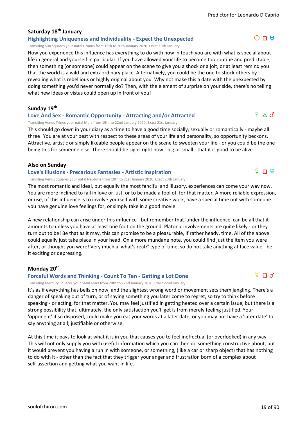#### **Saturday 18th January**

**Highlighting Uniqueness and Individuality - Expect the Unexpected**

Transiting Sun Squares your natal Uranus from 18th to 20th January 2020. Exact 19th January

How you experience this influence has everything to do with how in touch you are with what is special about life in general and yourself in particular. If you have allowed your life to become too routine and predictable, then something (or someone) could appear on the scene to give you a shock or a jolt, or at least remind you that the world is a wild and extraordinary place. Alternatively, you could be the one to shock others by revealing what is rebellious or highly original about you. Why not make this a date with the unexpected by doing something you'd never normally do? Then, with the element of surprise on your side, there's no telling what new ideas or vistas could open up in front of you!

**Sunday 19th**

#### **Love And Sex - Romantic Opportunity - Attracting and/or Attracted**

Transiting Venus Trines your natal Mars from 19th to 22nd January 2020. Exact 21st January

This should go down in your diary as a time to have a good time socially, sexually or romantically - maybe all three! You are at your best with respect to these areas of your life and personality, so opportunity beckons. Attractive, artistic or simply likeable people appear on the scene to sweeten your life - or you could be the one being this for someone else. There should be signs right now - big or small - that it is good to be alive.

#### **Also on Sunday**

#### **Love's Illusions - Precarious Fantasies - Artistic Inspiration**

Transiting Venus Squares your natal Neptune from 19th to 21st January 2020. Exact 20th January

The most romantic and ideal, but equally the most fanciful and illusory, experiences can come your way now. You are more inclined to fall in love or lust, or to be made a fool of, for that matter. A more reliable expression, or use, of this influence is to involve yourself with some creative work, have a special time out with someone you have genuine love feelings for, or simply take in a good movie.

A new relationship can arise under this influence - but remember that 'under the influence' can be all that it amounts to unless you have at least one foot on the ground. Platonic involvements are quite likely - or they turn out to be! Be that as it may, this can promise to be a pleasurable, if rather heady, time. All of the above could equally just take place in your head. On a more mundane note, you could find just the item you were after, or thought you were! Very much a 'what's real?' type of time, so do not take anything at face value - be it exciting or depressing.

#### **Monday 20th**

#### **Forceful Words and Thinking - Count To Ten - Getting a Lot Done**

Transiting Mercury Squares your natal Mars from 20th to 22nd January 2020. Exact 22nd January

It's as if everything has bells on now, and the slightest wrong word or movement sets them jangling. There's a danger of speaking out of turn, or of saying something you later come to regret, so try to think before speaking - or acting, for that matter. You may feel justified in getting heated over a certain issue, but there is a strong possibility that, ultimately, the only satisfaction you'll get is from merely feeling justified. Your 'opponent' if so disposed, could make you eat your words at a later date, or you may not have a 'later date' to say anything at all; justifiable or otherwise.

At this time it pays to look at what it is in you that causes you to feel ineffectual (or overlooked) in any way. This will not only supply you with useful information which you can then do something constructive about, but it would prevent you having a run in with someone, or something, (like a car or sharp object) that has nothing to do with it - other than the fact that they trigger your anger and frustration born of a complex about self-assertion and getting what you want in life.

#### $9 \triangle 0$

 $O \Pi$  H

## $\Omega$   $\Box$   $\overline{\Psi}$

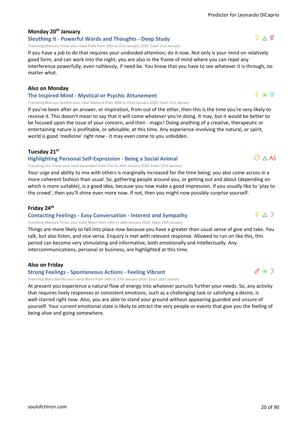#### **Monday 20th January**

#### **Sleuthing It - Powerful Words and Thoughts - Deep Study**

Transiting Mercury Trines your natal Pluto from 20th to 21st January 2020. Exact 21st January

If you have a job to do that requires your undivided attention; do it now. Not only is your mind on relatively good form, and can work into the night, you are also in the frame of mind where you can repel any interference powerfully, even ruthlessly, if need be. You know that you have to see whatever it is through, no matter what.

#### **Also on Monday**

#### **The Inspired Mind - Mystical or Psychic Attunement**

Transiting Mercury Sextiles your natal Neptune from 20th to 22nd January 2020. Exact 21st January

If you've been after an answer, or inspiration, from out of the ether, then this is the time you're very likely to receive it. This doesn't mean to say that it will come whatever you're doing. It may, but it would be better to be focused upon the issue of your concern, and then - magic! Doing anything of a creative, therapeutic or entertaining nature is profitable, or advisable, at this time. Any experience involving the natural, or spirit, world is good 'medicine' right now - it may even come to you unbidden.

#### **Tuesday 21st**

#### **Highlighting Personal Self-Expression - Being a Social Animal**

Transiting Sun Trines your natal Ascendant from 21st to 24th January 2020. Exact 23rd January

Your urge and ability to mix with others is marginally increased for the time being; you also come across in a more coherent fashion than usual. So, gathering people around you, or getting out and about (depending on which is more suitable), is a good idea, because you now make a good impression. If you usually like to 'play to the crowd', then you'll shine even more now. If not, then you might now possibly surprise yourself.

#### **Friday 24th**

#### **Contacting Feelings - Easy Conversation - Interest and Sympathy**

Transiting Mercury Trines your natal Moon from 24th to 26th January 2020. Exact 25th January

Things are more likely to fall into place now because you have a greater than usual sense of give and take. You talk, but also listen, and vice versa. Enquiry is met with relevant response. Allowed to run on like this, this period can become very stimulating and informative, both emotionally and intellectually. Any intercommunications, personal or business, are highlighted at this time.

#### **Also on Friday**

**Strong Feelings - Spontaneous Actions - Feeling Vibrant**

Transiting Mars Sextiles your natal Moon from 24th to 27th January 2020. Exact 26th January

At present you experience a natural flow of energy into whatever pursuits further your needs. So, any activity that requires lively responses or consistent emotions, such as a challenging task or satisfying a desire, is well-starred right now. Also, you are able to stand your ground without appearing guarded and unsure of yourself. Your current emotional state is likely to attract the very people or events that give you the feeling of being alive and going somewhere.





 $O \wedge AS$ 

 $\nabla \wedge \mathbb{D}$ 

 $\hbar \times \hbar$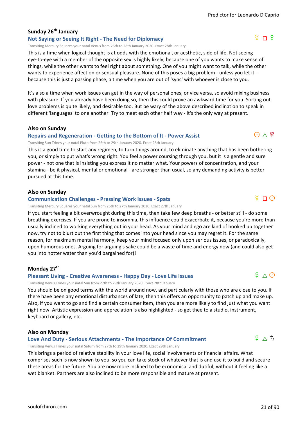#### **Sunday 26th January**

#### **Not Saying or Seeing It Right - The Need for Diplomacy**

Transiting Mercury Squares your natal Venus from 26th to 28th January 2020. Exact 28th January

This is a time when logical thought is at odds with the emotional, or aesthetic, side of life. Not seeing eye-to-eye with a member of the opposite sex is highly likely, because one of you wants to make sense of things, while the other wants to feel right about something. One of you might want to talk, while the other wants to experience affection or sensual pleasure. None of this poses a big problem - unless you let it because this is just a passing phase, a time when you are out of 'sync' with whoever is close to you.

It's also a time when work issues can get in the way of personal ones, or vice versa, so avoid mixing business with pleasure. If you already have been doing so, then this could prove an awkward time for you. Sorting out love problems is quite likely, and desirable too. But be wary of the above described inclination to speak in different 'languages' to one another. Try to meet each other half way - it's the only way at present.

**Also on Sunday**

#### **Repairs and Regeneration - Getting to the Bottom of It - Power Assist**

Transiting Sun Trines your natal Pluto from 26th to 29th January 2020. Exact 28th January

This is a good time to start any regimen, to turn things around, to eliminate anything that has been bothering you, or simply to put what's wrong right. You feel a power coursing through you, but it is a gentle and sure power - not one that is insisting you express it no matter what. Your powers of concentration, and your stamina - be it physical, mental or emotional - are stronger than usual, so any demanding activity is better pursued at this time.

#### **Also on Sunday**

#### **Communication Challenges - Pressing Work Issues - Spats**

Transiting Mercury Squares your natal Sun from 26th to 27th January 2020. Exact 27th January

If you start feeling a bit overwrought during this time, then take few deep breaths - or better still - do some breathing exercises. If you are prone to insomnia, this influence could exacerbate it, because you're more than usually inclined to working everything out in your head. As your mind and ego are kind of hooked up together now, try not to blurt out the first thing that comes into your head since you may regret it. For the same reason, for maximum mental harmony, keep your mind focused only upon serious issues, or paradoxically, upon humorous ones. Arguing for arguing's sake could be a waste of time and energy now (and could also get you into hotter water than you'd bargained for)!

#### **Monday 27th**

#### **Pleasant Living - Creative Awareness - Happy Day - Love Life Issues**

Transiting Venus Trines your natal Sun from 27th to 29th January 2020. Exact 28th January

You should be on good terms with the world around now, and particularly with those who are close to you. If there have been any emotional disturbances of late, then this offers an opportunity to patch up and make up. Also, if you want to go and find a certain consumer item, then you are more likely to find just what you want right now. Artistic expression and appreciation is also highlighted - so get thee to a studio, instrument, keyboard or gallery, etc.

#### **Also on Monday**

#### **Love And Duty - Serious Attachments - The Importance Of Commitment**

Transiting Venus Trines your natal Saturn from 27th to 29th January 2020. Exact 29th January

This brings a period of relative stability in your love life, social involvements or financial affairs. What comprises such is now shown to you, so you can take stock of whatever that is and use it to build and secure these areas for the future. You are now more inclined to be economical and dutiful, without it feeling like a wet blanket. Partners are also inclined to be more responsible and mature at present.



 $9 \wedge 9$ 



 $\bigodot \land \mathcal{L}$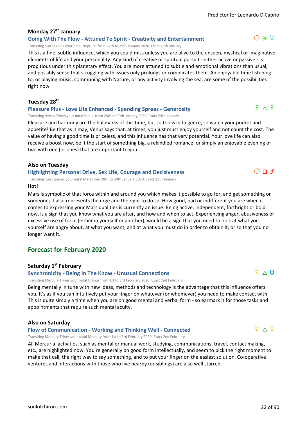#### **Monday 27th January**

**Going With The Flow - Attuned To Spirit - Creativity and Entertainment**

Transiting Sun Sextiles your natal Neptune from 27th to 29th January 2020. Exact 28th January

This is a fine, subtle influence, which you could miss unless you are alive to the unseen, mystical or imaginative elements of life and your personality. Any kind of creative or spiritual pursuit - either active or passive - is propitious under this planetary effect. You are more attuned to subtle and emotional vibrations than usual, and possibly sense that struggling with issues only prolongs or complicates them. An enjoyable time listening to, or playing music, communing with Nature, or any activity involving the sea, are some of the possibilities right now.

#### **Tuesday 28th**

#### **Pleasure Plus - Love Life Enhanced - Spending Sprees - Generosity**

Transiting Venus Trines your natal Venus from 28th to 30th January 2020. Exact 29th January

Pleasure and harmony are the hallmarks of this time, but so too is indulgence, so watch your pocket and appetite! Be that as it may, Venus says that, at times, you just must enjoy yourself and not count the cost. The value of having a good time is priceless, and this influence has that very potential. Your love life can also receive a boost now, be it the start of something big, a rekindled romance, or simply an enjoyable evening or two with one (or ones) that are important to you.

#### **Also on Tuesday**

**Highlighting Personal Drive, Sex Life, Courage and Decisiveness**

Transiting Sun Squares your natal Mars from 28th to 30th January 2020. Exact 29th January

#### **Hot!**

Mars is symbolic of that force within and around you which makes it possible to go for, and get something or someone; it also represents the urge and the right to do so. How good, bad or indifferent you are when it comes to expressing your Mars qualities is currently an issue. Being active, independent, forthright or bold now, is a sign that you know what you are after, and how and when to act. Experiencing anger, abusiveness or excessive use of force (either in yourself or another), would be a sign that you need to look at what you yourself are angry about, at what you want, and at what you must do in order to obtain it, or so that you no longer want it.

#### **Forecast for February 2020**

#### **Saturday 1st February**

#### **Synchronicity - Being In The Know - Unusual Connections**

Transiting Mercury Trines your natal Uranus from 1st to 3rd February 2020. Exact 2nd February

Being mentally in tune with new ideas, methods and technology is the advantage that this influence offers you. It's as if you can intuitively put your finger on whatever (or whomever) you need to make contact with. This is quite simply a time when you are on good mental and verbal form - so earmark it for those tasks and appointments that require such mental acuity.

#### **Also on Saturday**

#### **Flow of Communication - Working and Thinking Well - Connected**

Transiting Mercury Trines your natal Mercury from 1st to 3rd February 2020. Exact 2nd February

All Mercurial activities, such as mental or manual work, studying, communications, travel, contact making, etc., are highlighted now. You're generally on good form intellectually, and seem to pick the right moment to make that call, the right way to say something, and to put your finger on the easiest solution. Co-operative ventures and interactions with those who live nearby (or siblings) are also well starred.



 $\frac{1}{2}$   $\Delta$   $\frac{1}{2}$ 

#### $\Theta \times \Psi$

 $9 \wedge 9$ 

 $O \square d$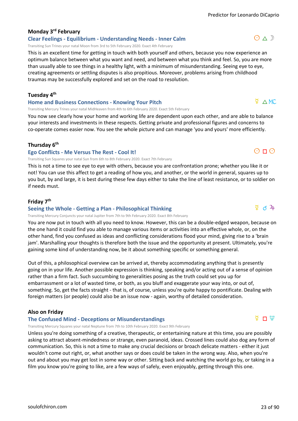#### **Monday 3rd February**

**Clear Feelings - Equilibrium - Understanding Needs - Inner Calm**

Transiting Sun Trines your natal Moon from 3rd to 5th February 2020. Exact 4th February

This is an excellent time for getting in touch with both yourself and others, because you now experience an optimum balance between what you want and need, and between what you think and feel. So, you are more than usually able to see things in a healthy light, with a minimum of misunderstanding. Seeing eye to eye, creating agreements or settling disputes is also propitious. Moreover, problems arising from childhood traumas may be successfully explored and set on the road to resolution.

#### **Tuesday 4th**

#### **Home and Business Connections - Knowing Your Pitch**

Transiting Mercury Trines your natal MidHeaven from 4th to 6th February 2020. Exact 5th February

You now see clearly how your home and working life are dependent upon each other, and are able to balance your interests and investments in these respects. Getting private and professional figures and concerns to co-operate comes easier now. You see the whole picture and can manage 'you and yours' more efficiently.

#### **Thursday 6th**

#### **Ego Conflicts - Me Versus The Rest - Cool It!**

Transiting Sun Squares your natal Sun from 6th to 8th February 2020. Exact 7th February

This is not a time to see eye to eye with others, because you are confrontation prone; whether you like it or not! You can use this affect to get a reading of how you, and another, or the world in general, squares up to you but, by and large, it is best during these few days either to take the line of least resistance, or to soldier on if needs must.

#### **Friday 7th**

#### **Seeing the Whole - Getting a Plan - Philosophical Thinking**

Transiting Mercury Conjuncts your natal Jupiter from 7th to 9th February 2020. Exact 8th February

You are now put in touch with all you need to know. However, this can be a double-edged weapon, because on the one hand it could find you able to manage various items or activities into an effective whole, or, on the other hand, find you confused as ideas and conflicting considerations flood your mind, giving rise to a 'brain jam'. Marshalling your thoughts is therefore both the issue and the opportunity at present. Ultimately, you're gaining some kind of understanding now, be it about something specific or something general.

Out of this, a philosophical overview can be arrived at, thereby accommodating anything that is presently going on in your life. Another possible expression is thinking, speaking and/or acting out of a sense of opinion rather than a firm fact. Such succumbing to generalities posing as the truth could set you up for embarrassment or a lot of wasted time, or both, as you bluff and exaggerate your way into, or out of, something. So, get the facts straight - that is, of course, unless you're quite happy to pontificate. Dealing with foreign matters (or people) could also be an issue now - again, worthy of detailed consideration.

#### **Also on Friday**

#### **The Confused Mind - Deceptions or Misunderstandings**

Transiting Mercury Squares your natal Neptune from 7th to 10th February 2020. Exact 9th February

Unless you're doing something of a creative, therapeutic, or entertaining nature at this time, you are possibly asking to attract absent-mindedness or strange, even paranoid, ideas. Crossed lines could also dog any form of communication. So, this is not a time to make any crucial decisions or broach delicate matters - either it just wouldn't come out right, or, what another says or does could be taken in the wrong way. Also, when you're out and about you may get lost in some way or other. Sitting back and watching the world go by, or taking in a film you know you're going to like, are a few ways of safely, even enjoyably, getting through this one.

#### $\Phi$   $\triangle$  MC

 $O \Pi$ 

#### $\frac{8}{4}$  d  $\frac{2}{4}$

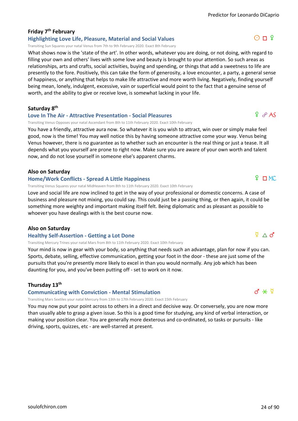$O \Pi$  ?

#### **Friday 7th February**

#### **Highlighting Love Life, Pleasure, Material and Social Values**

Transiting Sun Squares your natal Venus from 7th to 9th February 2020. Exact 8th February

What shows now is the 'state of the art'. In other words, whatever you are doing, or not doing, with regard to filling your own and others' lives with some love and beauty is brought to your attention. So such areas as relationships, arts and crafts, social activities, buying and spending, or things that add a sweetness to life are presently to the fore. Positively, this can take the form of generosity, a love encounter, a party, a general sense of happiness, or anything that helps to make life attractive and more worth living. Negatively, finding yourself being mean, lonely, indulgent, excessive, vain or superficial would point to the fact that a genuine sense of worth, and the ability to give or receive love, is somewhat lacking in your life.

**Saturday 8th**

#### **Love In The Air - Attractive Presentation - Social Pleasures**

Transiting Venus Opposes your natal Ascendant from 8th to 11th February 2020. Exact 10th February

You have a friendly, attractive aura now. So whatever it is you wish to attract, win over or simply make feel good, now is the time! You may well notice this by having someone attractive come your way. Venus being Venus however, there is no guarantee as to whether such an encounter is the real thing or just a tease. It all depends what you yourself are prone to right now. Make sure you are aware of your own worth and talent now, and do not lose yourself in someone else's apparent charms.

#### **Also on Saturday**

#### **Home/Work Conflicts - Spread A Little Happiness**

Transiting Venus Squares your natal MidHeaven from 8th to 11th February 2020. Exact 10th February

Love and social life are now inclined to get in the way of your professional or domestic concerns. A case of business and pleasure not mixing, you could say. This could just be a passing thing, or then again, it could be something more weighty and important making itself felt. Being diplomatic and as pleasant as possible to whoever you have dealings with is the best course now.

#### **Also on Saturday**

#### **Healthy Self-Assertion - Getting a Lot Done**

Transiting Mercury Trines your natal Mars from 8th to 11th February 2020. Exact 10th February

Your mind is now in gear with your body, so anything that needs such an advantage, plan for now if you can. Sports, debate, selling, effective communication, getting your foot in the door - these are just some of the pursuits that you're presently more likely to excel in than you would normally. Any job which has been daunting for you, and you've been putting off - set to work on it now.

#### **Thursday 13th**

**Communicating with Conviction - Mental Stimulation**

Transiting Mars Sextiles your natal Mercury from 13th to 17th February 2020. Exact 15th February

You may now put your point across to others in a direct and decisive way. Or conversely, you are now more than usually able to grasp a given issue. So this is a good time for studying, any kind of verbal interaction, or making your position clear. You are generally more dexterous and co-ordinated, so tasks or pursuits - like driving, sports, quizzes, etc - are well-starred at present.

 $P \cap MC$ 

 $9e$  AS

#### $d * 7$

 $\Psi \wedge d'$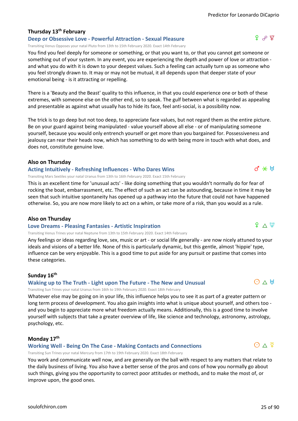ያ ራ ያ

#### **Thursday 13th February**

#### **Deep or Obsessive Love - Powerful Attraction - Sexual Pleasure**

Transiting Venus Opposes your natal Pluto from 13th to 15th February 2020. Exact 14th February

You find you feel deeply for someone or something, or that you want to, or that you cannot get someone or something out of your system. In any event, you are experiencing the depth and power of love or attraction and what you do with it is down to your deepest values. Such a feeling can actually turn up as someone who you feel strongly drawn to. It may or may not be mutual, it all depends upon that deeper state of your emotional being - is it attracting or repelling.

There is a 'Beauty and the Beast' quality to this influence, in that you could experience one or both of these extremes, with someone else on the other end, so to speak. The gulf between what is regarded as appealing and presentable as against what usually has to hide its face, feel anti-social, is a possibility now.

The trick is to go deep but not too deep, to appreciate face values, but not regard them as the entire picture. Be on your guard against being manipulated - value yourself above all else - or of manipulating someone yourself, because you would only entrench yourself or get more than you bargained for. Possessiveness and jealousy can rear their heads now, which has something to do with being more in touch with what does, and does not, constitute genuine love.

#### **Also on Thursday**

#### **Acting Intuitively - Refreshing Influences - Who Dares Wins**

Transiting Mars Sextiles your natal Uranus from 13th to 16th February 2020. Exact 15th February

This is an excellent time for 'unusual acts' - like doing something that you wouldn't normally do for fear of rocking the boat, embarrassment, etc. The effect of such an act can be astounding, because in time it may be seen that such intuitive spontaneity has opened up a pathway into the future that could not have happened otherwise. So, you are now more likely to act on a whim, or take more of a risk, than you would as a rule.

#### **Also on Thursday**

#### **Love Dreams - Pleasing Fantasies - Artistic Inspiration**

Transiting Venus Trines your natal Neptune from 13th to 15th February 2020. Exact 14th February

Any feelings or ideas regarding love, sex, music or art - or social life generally - are now nicely attuned to your ideals and visions of a better life. None of this is particularly dynamic, but this gentle, almost 'hippie' type, influence can be very enjoyable. This is a good time to put aside for any pursuit or pastime that comes into these categories.

#### **Sunday 16th**

#### **Waking up to The Truth - Light upon The Future - The New and Unusual**

Transiting Sun Trines your natal Uranus from 16th to 19th February 2020. Exact 18th February

Whatever else may be going on in your life, this influence helps you to see it as part of a greater pattern or long term process of development. You also gain insights into what is unique about yourself, and others too and you begin to appreciate more what freedom actually means. Additionally, this is a good time to involve yourself with subjects that take a greater overview of life, like science and technology, astronomy, astrology, psychology, etc.

#### **Monday 17th**

#### **Working Well - Being On The Case - Making Contacts and Connections**

Transiting Sun Trines your natal Mercury from 17th to 19th February 2020. Exact 18th February

You work and communicate well now, and are generally on the ball with respect to any matters that relate to the daily business of living. You also have a better sense of the pros and cons of how you normally go about such things, giving you the opportunity to correct poor attitudes or methods, and to make the most of, or improve upon, the good ones.



 $9 \wedge \Psi$ 

 $d \times H$ 

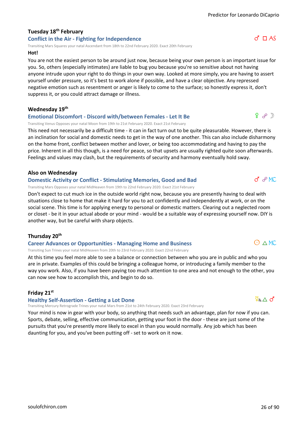#### **Tuesday 18th February Conflict in the Air - Fighting for Independence**

Transiting Mars Squares your natal Ascendant from 18th to 22nd February 2020. Exact 20th February

#### **Hot!**

You are not the easiest person to be around just now, because being your own person is an important issue for you. So, others (especially intimates) are liable to bug you because you're so sensitive about not having anyone intrude upon your right to do things in your own way. Looked at more simply, you are having to assert yourself under pressure, so it's best to work alone if possible, and have a clear objective. Any repressed negative emotion such as resentment or anger is likely to come to the surface; so honestly express it, don't suppress it, or you could attract damage or illness.

#### **Wednesday 19th**

#### **Emotional Discomfort - Discord with/between Females - Let It Be**

Transiting Venus Opposes your natal Moon from 19th to 21st February 2020. Exact 21st February

This need not necessarily be a difficult time - it can in fact turn out to be quite pleasurable. However, there is an inclination for social and domestic needs to get in the way of one another. This can also include disharmony on the home front, conflict between mother and lover, or being too accommodating and having to pay the price. Inherent in all this though, is a need for peace, so that upsets are usually righted quite soon afterwards. Feelings and values may clash, but the requirements of security and harmony eventually hold sway.

#### **Also on Wednesday**

#### **Domestic Activity or Conflict - Stimulating Memories, Good and Bad**

Transiting Mars Opposes your natal MidHeaven from 19th to 22nd February 2020. Exact 21st February

Don't expect to cut much ice in the outside world right now, because you are presently having to deal with situations close to home that make it hard for you to act confidently and independently at work, or on the social scene. This time is for applying energy to personal or domestic matters. Clearing out a neglected room or closet - be it in your actual abode or your mind - would be a suitable way of expressing yourself now. DIY is another way, but be careful with sharp objects.

#### **Thursday 20th**

#### **Career Advances or Opportunities - Managing Home and Business**

Transiting Sun Trines your natal MidHeaven from 20th to 23rd February 2020. Exact 22nd February

At this time you feel more able to see a balance or connection between who you are in public and who you are in private. Examples of this could be bringing a colleague home, or introducing a family member to the way you work. Also, if you have been paying too much attention to one area and not enough to the other, you can now see how to accomplish this, and begin to do so.

#### **Friday 21st**

#### **Healthy Self-Assertion - Getting a Lot Done**

Transiting Mercury Retrograde Trines your natal Mars from 21st to 24th February 2020. Exact 23rd February

Your mind is now in gear with your body, so anything that needs such an advantage, plan for now if you can. Sports, debate, selling, effective communication, getting your foot in the door - these are just some of the pursuits that you're presently more likely to excel in than you would normally. Any job which has been daunting for you, and you've been putting off - set to work on it now.



## $O \wedge MC$

 $\Phi_R \wedge d$ 



 $9 \text{ g} \rightarrow \mathbb{R}$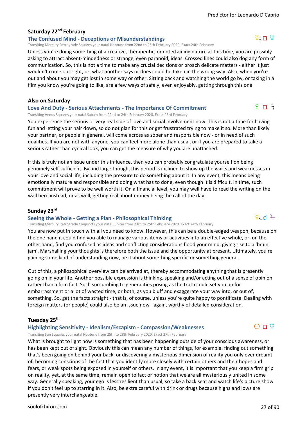#### **Saturday 22nd February**

#### **The Confused Mind - Deceptions or Misunderstandings**

Transiting Mercury Retrograde Squares your natal Neptune from 22nd to 25th February 2020. Exact 24th February

Unless you're doing something of a creative, therapeutic, or entertaining nature at this time, you are possibly asking to attract absent-mindedness or strange, even paranoid, ideas. Crossed lines could also dog any form of communication. So, this is not a time to make any crucial decisions or broach delicate matters - either it just wouldn't come out right, or, what another says or does could be taken in the wrong way. Also, when you're out and about you may get lost in some way or other. Sitting back and watching the world go by, or taking in a film you know you're going to like, are a few ways of safely, even enjoyably, getting through this one.

#### **Also on Saturday**

#### **Love And Duty - Serious Attachments - The Importance Of Commitment**

Transiting Venus Squares your natal Saturn from 22nd to 24th February 2020. Exact 23rd February

You experience the serious or very real side of love and social involvement now. This is not a time for having fun and letting your hair down, so do not plan for this or get frustrated trying to make it so. More than likely your partner, or people in general, will come across as sober and responsible now - or in need of such qualities. If you are not with anyone, you can feel more alone than usual, or if you are prepared to take a serious rather than cynical look, you can get the measure of why you are unattached.

If this is truly not an issue under this influence, then you can probably congratulate yourself on being genuinely self-sufficient. By and large though, this period is inclined to show up the warts and weaknesses in your love and social life, including the pressure to do something about it. In any event, this means being emotionally mature and responsible and doing what has to done, even though it is difficult. In time, such commitment will prove to be well worth it. On a financial level, you may well have to read the writing on the wall here instead, or as well, getting real about money being the call of the day.

#### **Sunday 23rd**

#### **Seeing the Whole - Getting a Plan - Philosophical Thinking**

Transiting Mercury Retrograde Conjuncts your natal Jupiter from 23rd to 25th February 2020. Exact 24th February

You are now put in touch with all you need to know. However, this can be a double-edged weapon, because on the one hand it could find you able to manage various items or activities into an effective whole, or, on the other hand, find you confused as ideas and conflicting considerations flood your mind, giving rise to a 'brain jam'. Marshalling your thoughts is therefore both the issue and the opportunity at present. Ultimately, you're gaining some kind of understanding now, be it about something specific or something general.

Out of this, a philosophical overview can be arrived at, thereby accommodating anything that is presently going on in your life. Another possible expression is thinking, speaking and/or acting out of a sense of opinion rather than a firm fact. Such succumbing to generalities posing as the truth could set you up for embarrassment or a lot of wasted time, or both, as you bluff and exaggerate your way into, or out of, something. So, get the facts straight - that is, of course, unless you're quite happy to pontificate. Dealing with foreign matters (or people) could also be an issue now - again, worthy of detailed consideration.

#### **Tuesday 25th**

#### **Highlighting Sensitivity - Idealism/Escapism - Compassion/Weaknesses**

Transiting Sun Squares your natal Neptune from 25th to 28th February 2020. Exact 27th February

What is brought to light now is something that has been happening outside of your conscious awareness, or has been kept out of sight. Obviously this can mean any number of things, for example: finding out something that's been going on behind your back, or discovering a mysterious dimension of reality you only ever dreamt of; becoming conscious of the fact that you identify more closely with certain others and their hopes and fears, or weak spots being exposed in yourself or others. In any event, it is important that you keep a firm grip on reality, yet, at the same time, remain open to fact or notion that we are all mysteriously united in some way. Generally speaking, your ego is less resilient than usual, so take a back seat and watch life's picture show if you don't feel up to starring in it. Also, be extra careful with drink or drugs because highs and lows are presently very interchangeable.



 $9 \nPi$   $5$ 



 $O \Pi \Psi$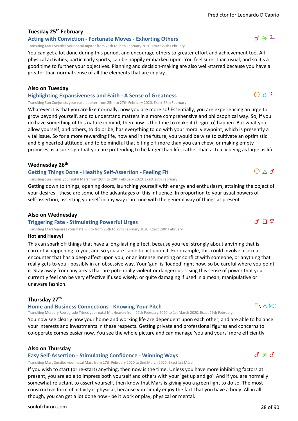#### **Tuesday 25th February**

#### **Acting with Conviction - Fortunate Moves - Exhorting Others**

Transiting Mars Sextiles your natal Jupiter from 25th to 29th February 2020. Exact 27th February

You can get a lot done during this period, and encourage others to greater effort and achievement too. All physical activities, particularly sports, can be happily embarked upon. You feel surer than usual, and so it's a good time to further your objectives. Planning and decision-making are also well-starred because you have a greater than normal sense of all the elements that are in play.

#### **Also on Tuesday**

**Highlighting Expansiveness and Faith - A Sense of Greatness**

Transiting Sun Conjuncts your natal Jupiter from 25th to 27th February 2020. Exact 26th February

Whatever it is that you are like normally, now you are more so! Essentially, you are experiencing an urge to grow beyond yourself, and to understand matters in a more comprehensive and philosophical way. So, if you do have something of this nature in mind, then now is the time to make it (begin to) happen. But what you allow yourself, and others, to do or be, has everything to do with your moral viewpoint, which is presently a vital issue. So for a more rewarding life, now and in the future, you would be wise to cultivate an optimistic and big hearted attitude, and to be mindful that biting off more than you can chew, or making empty promises, is a sure sign that you are pretending to be larger than life, rather than actually being as large as life.

#### **Wednesday 26th**

#### **Getting Things Done - Healthy Self-Assertion - Feeling Fit**

Transiting Sun Trines your natal Mars from 26th to 29th February 2020. Exact 28th February

Getting down to things, opening doors, launching yourself with energy and enthusiasm, attaining the object of your desires - these are some of the advantages of this influence. In proportion to your usual powers of self-assertion, asserting yourself in any way is in tune with the general way of things at present.

#### **Also on Wednesday**

#### **Triggering Fate - Stimulating Powerful Urges**

Transiting Mars Squares your natal Pluto from 26th to 29th February 2020. Exact 28th February

#### **Hot and Heavy!**

This can spark off things that have a long-lasting effect, because you feel strongly about anything that is currently happening to you, and so you are liable to act upon it. For example, this could involve a sexual encounter that has a deep affect upon you, or an intense meeting or conflict with someone, or anything that really gets to you - possibly in an obsessive way. Your 'gun' is 'loaded' right now, so be careful where you point it. Stay away from any areas that are potentially violent or dangerous. Using this sense of power that you currently feel can be very effective if used wisely, or quite damaging if used in a mean, manipulative or unaware fashion.

#### **Thursday 27th**

#### **Home and Business Connections - Knowing Your Pitch**

Transiting Mercury Retrograde Trines your natal MidHeaven from 27th February 2020 to 1st March 2020. Exact 29th February

You now see clearly how your home and working life are dependent upon each other, and are able to balance your interests and investments in these respects. Getting private and professional figures and concerns to co-operate comes easier now. You see the whole picture and can manage 'you and yours' more efficiently.

#### **Also on Thursday**

#### **Easy Self-Assertion - Stimulating Confidence - Winning Ways**

Transiting Mars Sextiles your natal Mars from 27th February 2020 to 2nd March 2020. Exact 1st March

If you wish to start (or re-start) anything, then now is the time. Unless you have more inhibiting factors at present, you are able to impress both yourself and others with your 'get up and go'. And if you are normally somewhat reluctant to assert yourself, then know that Mars is giving you a green light to do so. The most constructive form of activity is physical, because you simply enjoy the fact that you have a body. All in all though, you can get a lot done now - be it work or play, physical or mental.



 $\odot$  d  $4$ 



 $O \wedge d$ 

 $d * d$ 

 $R_{R} \triangle M C$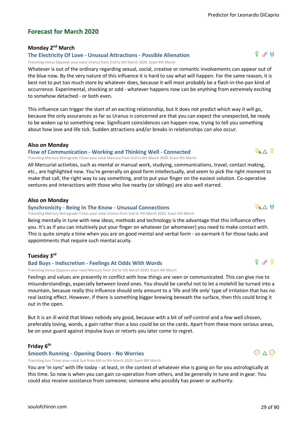$f \sim$ 

#### **Forecast for March 2020**

#### **Monday 2nd March**

#### **The Electricity Of Love - Unusual Attractions - Possible Alienation**

Transiting Venus Opposes your natal Uranus from 2nd to 5th March 2020. Exact 4th March

Whatever is out of the ordinary regarding sexual, social, creative or romantic involvements can appear out of the blue now. By the very nature of this influence it is hard to say what will happen. For the same reason, it is best not to put too much store by whatever does, because it will most probably be a flash-in-the-pan kind of occurrence. Experimental, shocking or odd - whatever happens now can be anything from extremely exciting to somehow detached - or both even.

This influence can trigger the start of an exciting relationship, but it does not predict which way it will go, because the only assurances as far as Uranus is concerned are that you can expect the unexpected, be ready to be woken up to something new. Significant coincidences can happen now, trying to tell you something about how love and life tick. Sudden attractions and/or breaks in relationships can also occur.

#### **Also on Monday**

#### **Flow of Communication - Working and Thinking Well - Connected**

Transiting Mercury Retrograde Trines your natal Mercury from 2nd to 6th March 2020. Exact 4th March

All Mercurial activities, such as mental or manual work, studying, communications, travel, contact making, etc., are highlighted now. You're generally on good form intellectually, and seem to pick the right moment to make that call, the right way to say something, and to put your finger on the easiest solution. Co-operative ventures and interactions with those who live nearby (or siblings) are also well starred.

#### **Also on Monday**

#### **Synchronicity - Being In The Know - Unusual Connections**

Transiting Mercury Retrograde Trines your natal Uranus from 2nd to 7th March 2020. Exact 5th March

Being mentally in tune with new ideas, methods and technology is the advantage that this influence offers you. It's as if you can intuitively put your finger on whatever (or whomever) you need to make contact with. This is quite simply a time when you are on good mental and verbal form - so earmark it for those tasks and appointments that require such mental acuity.

#### **Tuesday 3rd**

#### **Bad Buys - Indiscretion - Feelings At Odds With Words**

Transiting Venus Opposes your natal Mercury from 3rd to 5th March 2020. Exact 4th March

Feelings and values are presently in conflict with how things are seen or communicated. This can give rise to misunderstandings, especially between loved ones. You should be careful not to let a molehill be turned into a mountain, because really this influence should only amount to a 'life and life only' type of irritation that has no real lasting effect. However, if there is something bigger brewing beneath the surface, then this could bring it out in the open.

But it is an ill wind that blows nobody any good, because with a bit of self-control and a few well chosen, preferably loving, words, a gain rather than a loss could be on the cards. Apart from these more serious areas, be on your guard against impulse buys or retorts you later come to regret.

#### **Friday 6th**

#### **Smooth Running - Opening Doors - No Worries**

Transiting Sun Trines your natal Sun from 6th to 9th March 2020. Exact 8th March

You are 'in sync' with life today - at least, in the context of whatever else is going on for you astrologically at this time. So now is when you can gain co-operation from others, and be generally in tune and in gear. You could also receive assistance from someone; someone who possibly has power or authority.

### $\overline{Q}_R \wedge H$

 $9^{\circ}$   $\phi$ 

 $\overline{Q}_R \wedge \overline{Q}$ 

### $O \wedge O$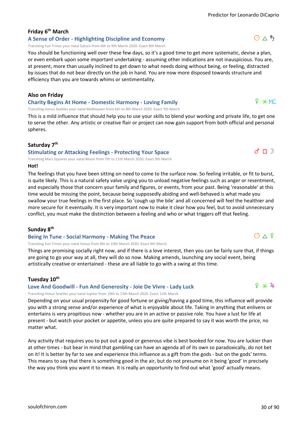### **Friday 6th March**

**A Sense of Order - Highlighting Discipline and Economy** Transiting Sun Trines your natal Saturn from 6th to 9th March 2020. Exact 8th March

You should be functioning well over these few days, so it's a good time to get more systematic, devise a plan, or even embark upon some important undertaking - assuming other indications are not inauspicious. You are, at present, more than usually inclined to get down to what needs doing without being, or feeling, distracted by issues that do not bear directly on the job in hand. You are now more disposed towards structure and efficiency than you are towards whims or sentimentality.

#### **Also on Friday**

#### **Charity Begins At Home - Domestic Harmony - Loving Family**

Transiting Venus Sextiles your natal MidHeaven from 6th to 8th March 2020. Exact 7th March

This is a mild influence that should help you to use your skills to blend your working and private life, to get one to serve the other. Any artistic or creative flair or project can now gain support from both official and personal spheres.

#### **Saturday 7th**

#### **Stimulating or Attacking Feelings - Protecting Your Space**

Transiting Mars Squares your natal Moon from 7th to 11th March 2020. Exact 9th March

#### **Hot!**

The feelings that you have been sitting on need to come to the surface now. So feeling irritable, or fit to burst, is quite likely. This is a natural safety valve urging you to unload negative feelings such as anger or resentment, and especially those that concern your family and figures, or events, from your past. Being 'reasonable' at this time would be missing the point, because being supposedly abiding and well-behaved is what made you swallow your true feelings in the first place. So 'cough up the bile' and all concerned will feel the healthier and more secure for it eventually. It is very important now to make it clear how you feel, but to avoid unnecessary conflict, you must make the distinction between a feeling and who or what triggers off that feeling.

#### **Sunday 8th**

#### **Being In Tune - Social Harmony - Making The Peace**

Transiting Sun Trines your natal Venus from 8th to 10th March 2020. Exact 9th March

Things are promising socially right now, and if there is a love interest, then you can be fairly sure that, if things are going to go your way at all, they will do so now. Making amends, launching any social event, being artistically creative or entertained - these are all liable to go with a swing at this time.

#### **Tuesday 10th**

#### **Love And Goodwill - Fun And Generosity - Joie De Vivre - Lady Luck**

Transiting Venus Sextiles your natal Jupiter from 10th to 13th March 2020. Exact 12th March

Depending on your usual propensity for good fortune or giving/having a good time, this influence will provide you with a strong sense and/or experience of what is enjoyable about life. Taking in anything that enlivens or entertains is very propitious now - whether you are in an active or passive role. You have a lust for life at present - but watch your pocket or appetite, unless you are quite prepared to say it was worth the price, no matter what.

Any activity that requires you to put out a good or generous vibe is best booked for now. You are luckier than at other times - but bear in mind that gambling can have an agenda all of its own so paradoxically, do not bet on it! It is better by far to see and experience this influence as a gift from the gods - but on the gods' terms. This means to say that there is something good in the air, but do not presume on it being 'good' in precisely the way you think you want it to mean. It is really an opportunity to find out what 'good' actually means.



 $d \cap$ 

 $O \wedge h$ 



 $O \wedge 9$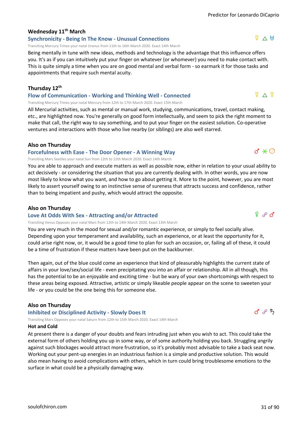#### **Wednesday 11th March**

#### **Synchronicity - Being In The Know - Unusual Connections**

Transiting Mercury Trines your natal Uranus from 11th to 16th March 2020. Exact 14th March

Being mentally in tune with new ideas, methods and technology is the advantage that this influence offers you. It's as if you can intuitively put your finger on whatever (or whomever) you need to make contact with. This is quite simply a time when you are on good mental and verbal form - so earmark it for those tasks and appointments that require such mental acuity.

#### **Thursday 12th**

**Flow of Communication - Working and Thinking Well - Connected** Transiting Mercury Trines your natal Mercury from 12th to 17th March 2020. Exact 15th March

All Mercurial activities, such as mental or manual work, studying, communications, travel, contact making, etc., are highlighted now. You're generally on good form intellectually, and seem to pick the right moment to make that call, the right way to say something, and to put your finger on the easiest solution. Co-operative ventures and interactions with those who live nearby (or siblings) are also well starred.

#### **Also on Thursday**

#### **Forcefulness with Ease - The Door Opener - A Winning Way**

Transiting Mars Sextiles your natal Sun from 12th to 15th March 2020. Exact 14th March

You are able to approach and execute matters as well as possible now, either in relation to your usual ability to act decisively - or considering the situation that you are currently dealing with. In other words, you are now most likely to know what you want, and how to go about getting it. More to the point, however, you are most likely to assert yourself owing to an instinctive sense of sureness that attracts success and confidence, rather than to being impatient and pushy, which would attract the opposite.

#### **Also on Thursday**

#### **Love At Odds With Sex - Attracting and/or Attracted**

Transiting Venus Opposes your natal Mars from 12th to 14th March 2020. Exact 13th March

You are very much in the mood for sexual and/or romantic experience, or simply to feel socially alive. Depending upon your temperament and availability, such an experience, or at least the opportunity for it, could arise right now, or, it would be a good time to plan for such an occasion, or, failing all of these, it could be a time of frustration if these matters have been put on the backburner.

Then again, out of the blue could come an experience that kind of pleasurably highlights the current state of affairs in your love/sex/social life - even precipitating you into an affair or relationship. All in all though, this has the potential to be an enjoyable and exciting time - but be wary of your own shortcomings with respect to these areas being exposed. Attractive, artistic or simply likeable people appear on the scene to sweeten your life - or you could be the one being this for someone else.

#### **Also on Thursday**

**Inhibited or Disciplined Activity - Slowly Does It**

Transiting Mars Opposes your natal Saturn from 12th to 15th March 2020. Exact 14th March

#### **Hot and Cold**

At present there is a danger of your doubts and fears intruding just when you wish to act. This could take the external form of others holding you up in some way, or of some authority holding you back. Struggling angrily against such blockages would attract more frustration, so it's probably most advisable to take a back seat now. Working out your pent-up energies in an industrious fashion is a simple and productive solution. This would also mean having to avoid complications with others, which in turn could bring troublesome emotions to the surface in what could be a physically damaging way.

 $\frac{1}{2}$   $\Delta$   $\frac{1}{2}$ 

 $d \times \odot$ 

 $9<sub>9</sub>$   $\sigma$ 



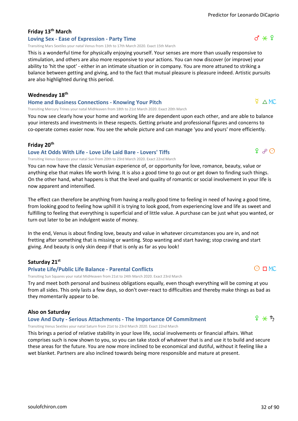#### **Friday 13th March**

#### **Loving Sex - Ease of Expression - Party Time**

Transiting Mars Sextiles your natal Venus from 13th to 17th March 2020. Exact 15th March

This is a wonderful time for physically enjoying yourself. Your senses are more than usually responsive to stimulation, and others are also more responsive to your actions. You can now discover (or improve) your ability to 'hit the spot' - either in an intimate situation or in company. You are more attuned to striking a balance between getting and giving, and to the fact that mutual pleasure is pleasure indeed. Artistic pursuits are also highlighted during this period.

#### **Wednesday 18th**

#### **Home and Business Connections - Knowing Your Pitch**

Transiting Mercury Trines your natal MidHeaven from 18th to 21st March 2020. Exact 20th March

You now see clearly how your home and working life are dependent upon each other, and are able to balance your interests and investments in these respects. Getting private and professional figures and concerns to co-operate comes easier now. You see the whole picture and can manage 'you and yours' more efficiently.

#### **Friday 20th**

#### **Love At Odds With Life - Love Life Laid Bare - Lovers' Tiffs**

Transiting Venus Opposes your natal Sun from 20th to 23rd March 2020. Exact 22nd March

You can now have the classic Venusian experience of, or opportunity for love, romance, beauty, value or anything else that makes life worth living. It is also a good time to go out or get down to finding such things. On the other hand, what happens is that the level and quality of romantic or social involvement in your life is now apparent and intensified.

The effect can therefore be anything from having a really good time to feeling in need of having a good time, from looking good to feeling how uphill it is trying to look good, from experiencing love and life as sweet and fulfilling to feeling that everything is superficial and of little value. A purchase can be just what you wanted, or turn out later to be an indulgent waste of money.

In the end, Venus is about finding love, beauty and value in whatever circumstances you are in, and not fretting after something that is missing or wanting. Stop wanting and start having; stop craving and start giving. And beauty is only skin deep if that is only as far as you look!

#### **Saturday 21st**

#### **Private Life/Public Life Balance - Parental Conflicts**

Transiting Sun Squares your natal MidHeaven from 21st to 24th March 2020. Exact 23rd March

Try and meet both personal and business obligations equally, even though everything will be coming at you from all sides. This only lasts a few days, so don't over-react to difficulties and thereby make things as bad as they momentarily appear to be.

#### **Also on Saturday**

#### **Love And Duty - Serious Attachments - The Importance Of Commitment**

Transiting Venus Sextiles your natal Saturn from 21st to 23rd March 2020. Exact 22nd March

This brings a period of relative stability in your love life, social involvements or financial affairs. What comprises such is now shown to you, so you can take stock of whatever that is and use it to build and secure these areas for the future. You are now more inclined to be economical and dutiful, without it feeling like a wet blanket. Partners are also inclined towards being more responsible and mature at present.



 $9^\circ \rightarrow \odot$ 

 $\Phi$   $\triangle$  MC





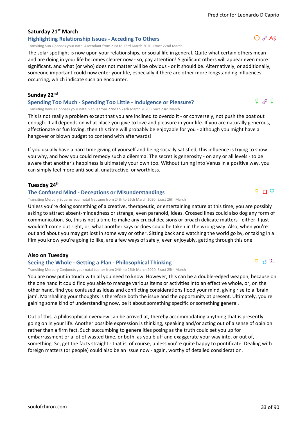#### **Saturday 21st March**

#### **Highlighting Relationship Issues - Acceding To Others**

Transiting Sun Opposes your natal Ascendant from 21st to 23rd March 2020. Exact 22nd March

The solar spotlight is now upon your relationships, or social life in general. Quite what certain others mean and are doing in your life becomes clearer now - so, pay attention! Significant others will appear even more significant, and what (or who) does not matter will be obvious - or it should be. Alternatively, or additionally, someone important could now enter your life, especially if there are other more longstanding influences occurring, which indicate such an encounter.

#### **Sunday 22nd**

#### **Spending Too Much - Spending Too Little - Indulgence or Pleasure?**

Transiting Venus Opposes your natal Venus from 22nd to 24th March 2020. Exact 23rd March

This is not really a problem except that you are inclined to overdo it - or conversely, not push the boat out enough. It all depends on what place you give to love and pleasure in your life. If you are naturally generous, affectionate or fun loving, then this time will probably be enjoyable for you - although you might have a hangover or blown budget to contend with afterwards!

If you usually have a hard time giving of yourself and being socially satisfied, this influence is trying to show you why, and how you could remedy such a dilemma. The secret is generosity - on any or all levels - to be aware that another's happiness is ultimately your own too. Without tuning into Venus in a positive way, you can simply feel more anti-social, unattractive, or worthless.

#### **Tuesday 24th**

#### **The Confused Mind - Deceptions or Misunderstandings**

Transiting Mercury Squares your natal Neptune from 24th to 26th March 2020. Exact 26th March

Unless you're doing something of a creative, therapeutic, or entertaining nature at this time, you are possibly asking to attract absent-mindedness or strange, even paranoid, ideas. Crossed lines could also dog any form of communication. So, this is not a time to make any crucial decisions or broach delicate matters - either it just wouldn't come out right, or, what another says or does could be taken in the wrong way. Also, when you're out and about you may get lost in some way or other. Sitting back and watching the world go by, or taking in a film you know you're going to like, are a few ways of safely, even enjoyably, getting through this one.

#### **Also on Tuesday**

#### **Seeing the Whole - Getting a Plan - Philosophical Thinking**

Transiting Mercury Conjuncts your natal Jupiter from 24th to 26th March 2020. Exact 25th March

You are now put in touch with all you need to know. However, this can be a double-edged weapon, because on the one hand it could find you able to manage various items or activities into an effective whole, or, on the other hand, find you confused as ideas and conflicting considerations flood your mind, giving rise to a 'brain jam'. Marshalling your thoughts is therefore both the issue and the opportunity at present. Ultimately, you're gaining some kind of understanding now, be it about something specific or something general.

Out of this, a philosophical overview can be arrived at, thereby accommodating anything that is presently going on in your life. Another possible expression is thinking, speaking and/or acting out of a sense of opinion rather than a firm fact. Such succumbing to generalities posing as the truth could set you up for embarrassment or a lot of wasted time, or both, as you bluff and exaggerate your way into, or out of, something. So, get the facts straight - that is, of course, unless you're quite happy to pontificate. Dealing with foreign matters (or people) could also be an issue now - again, worthy of detailed consideration.

 $\overline{z}$  D  $\overline{w}$ 



### $O$   $R$  AS

 $9^\circ$   $\%$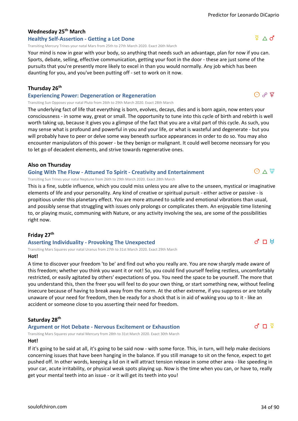#### **Wednesday 25th March**

#### **Healthy Self-Assertion - Getting a Lot Done**

Transiting Mercury Trines your natal Mars from 25th to 27th March 2020. Exact 26th March

Your mind is now in gear with your body, so anything that needs such an advantage, plan for now if you can. Sports, debate, selling, effective communication, getting your foot in the door - these are just some of the pursuits that you're presently more likely to excel in than you would normally. Any job which has been daunting for you, and you've been putting off - set to work on it now.

#### **Thursday 26th**

#### **Experiencing Power: Degeneration or Regeneration**

Transiting Sun Opposes your natal Pluto from 26th to 29th March 2020. Exact 28th March

The underlying fact of life that everything is born, evolves, decays, dies and is born again, now enters your consciousness - in some way, great or small. The opportunity to tune into this cycle of birth and rebirth is well worth taking up, because it gives you a glimpse of the fact that you are a vital part of this cycle. As such, you may sense what is profound and powerful in you and your life, or what is wasteful and degenerate - but you will probably have to peer or delve some way beneath surface appearances in order to do so. You may also encounter manipulators of this power - be they benign or malignant. It could well become necessary for you to let go of decadent elements, and strive towards regenerative ones.

#### **Also on Thursday**

#### **Going With The Flow - Attuned To Spirit - Creativity and Entertainment**

Transiting Sun Trines your natal Neptune from 26th to 29th March 2020. Exact 28th March

This is a fine, subtle influence, which you could miss unless you are alive to the unseen, mystical or imaginative elements of life and your personality. Any kind of creative or spiritual pursuit - either active or passive - is propitious under this planetary effect. You are more attuned to subtle and emotional vibrations than usual, and possibly sense that struggling with issues only prolongs or complicates them. An enjoyable time listening to, or playing music, communing with Nature, or any activity involving the sea, are some of the possibilities right now.

#### **Friday 27th**

#### **Asserting Individuality - Provoking The Unexpected**

Transiting Mars Squares your natal Uranus from 27th to 31st March 2020. Exact 29th March

#### **Hot!**

A time to discover your freedom 'to be' and find out who you really are. You are now sharply made aware of this freedom; whether you think you want it or not! So, you could find yourself feeling restless, uncomfortably restricted, or easily agitated by others' expectations of you. You need the space to be yourself. The more that you understand this, then the freer you will feel to do your own thing, or start something new, without feeling insecure because of having to break away from the norm. At the other extreme, if you suppress or are totally unaware of your need for freedom, then be ready for a shock that is in aid of waking you up to it - like an accident or someone close to you asserting their need for freedom.

#### **Saturday 28th**

#### **Argument or Hot Debate - Nervous Excitement or Exhaustion**

Transiting Mars Squares your natal Mercury from 28th to 31st March 2020. Exact 30th March

#### **Hot!**

If it's going to be said at all, it's going to be said now - with some force. This, in turn, will help make decisions concerning issues that have been hanging in the balance. If you still manage to sit on the fence, expect to get pushed off. In other words, keeping a lid on it will attract tension release in some other area - like speeding in your car, acute irritability, or physical weak spots playing up. Now is the time when you can, or have to, really get your mental teeth into an issue - or it will get its teeth into you!



 $\Theta$   $\phi$   $\varphi$ 

### $d \Pi$  H

 $d \Pi$   $\Phi$ 

 $\Theta \wedge \Psi$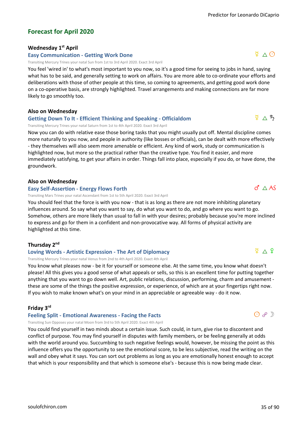#### **Forecast for April 2020**

#### **Wednesday 1st April**

#### **Easy Communication - Getting Work Done**

Transiting Mercury Trines your natal Sun from 1st to 3rd April 2020. Exact 3rd April

You feel 'wired in' to what's most important to you now, so it's a good time for seeing to jobs in hand, saying what has to be said, and generally setting to work on affairs. You are more able to co-ordinate your efforts and deliberations with those of other people at this time, so coming to agreements, and getting good work done on a co-operative basis, are strongly highlighted. Travel arrangements and making connections are far more likely to go smoothly too.

#### **Also on Wednesday**

#### **Getting Down To It - Efficient Thinking and Speaking - Officialdom**

Transiting Mercury Trines your natal Saturn from 1st to 4th April 2020. Exact 3rd April

Now you can do with relative ease those boring tasks that you might usually put off. Mental discipline comes more naturally to you now, and people in authority (like bosses or officials), can be dealt with more effectively - they themselves will also seem more amenable or efficient. Any kind of work, study or communication is highlighted now, but more so the practical rather than the creative type. You find it easier, and more immediately satisfying, to get your affairs in order. Things fall into place, especially if you do, or have done, the groundwork.

#### **Also on Wednesday**

#### **Easy Self-Assertion - Energy Flows Forth**

Transiting Mars Trines your natal Ascendant from 1st to 5th April 2020. Exact 3rd April

You should feel that the force is with you now - that is as long as there are not more inhibiting planetary influences around. So say what you want to say, do what you want to do, and go where you want to go. Somehow, others are more likely than usual to fall in with your desires; probably because you're more inclined to express and go for them in a confident and non-provocative way. All forms of physical activity are highlighted at this time.

#### **Thursday 2nd**

#### **Loving Words - Artistic Expression - The Art of Diplomacy**

#### Transiting Mercury Trines your natal Venus from 2nd to 4th April 2020. Exact 4th April

You know what pleases now - be it for yourself or someone else. At the same time, you know what doesn't please! All this gives you a good sense of what appeals or sells, so this is an excellent time for putting together anything that you want to go down well. Art, public relations, discussion, performing, charm and amusement these are some of the things the positive expression, or experience, of which are at your fingertips right now. If you wish to make known what's on your mind in an appreciable or agreeable way - do it now.

#### **Friday 3rd**

#### **Feeling Split - Emotional Awareness - Facing the Facts**

Transiting Sun Opposes your natal Moon from 3rd to 5th April 2020. Exact 4th April

You could find yourself in two minds about a certain issue. Such could, in turn, give rise to discontent and conflict of purpose. You may find yourself in disputes with family members, or be feeling generally at odds with the world around you. Succumbing to such negative feelings would, however, be missing the point as this influence offers you the opportunity to see the emotional score, to be less subjective, read the writing on the wall and obey what it says. You can sort out problems as long as you are emotionally honest enough to accept that which is your responsibility and that which is someone else's - because this is now being made clear.

 $\Phi \wedge \Phi$ 

 $\sigma^2 \triangle AS$ 



 $\Phi \wedge \Phi$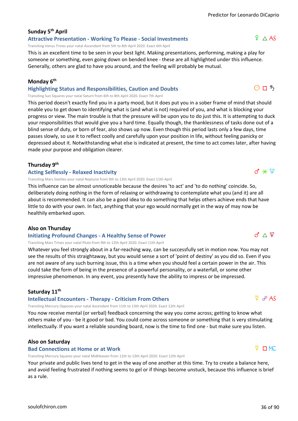## **Sunday 5th April**

**Attractive Presentation - Working To Please - Social Investments**

Transiting Venus Trines your natal Ascendant from 5th to 8th April 2020. Exact 6th April

This is an excellent time to be seen in your best light. Making presentations, performing, making a play for someone or something, even going down on bended knee - these are all highlighted under this influence. Generally, others are glad to have you around, and the feeling will probably be mutual.

#### **Monday 6th**

**Highlighting Status and Responsibilities, Caution and Doubts**

Transiting Sun Squares your natal Saturn from 6th to 8th April 2020. Exact 7th April

This period doesn't exactly find you in a party mood, but it does put you in a sober frame of mind that should enable you to get down to identifying what is (and what is not) required of you, and what is blocking your progress or view. The main trouble is that the pressure will be upon you to do just this. It is attempting to duck your responsibilities that would give you a hard time. Equally though, the thanklessness of tasks done out of a blind sense of duty, or born of fear, also shows up now. Even though this period lasts only a few days, time passes slowly, so use it to reflect coolly and carefully upon your position in life, without feeling panicky or depressed about it. Notwithstanding what else is indicated at present, the time to act comes later, after having made your purpose and obligation clearer.

#### **Thursday 9th**

#### **Acting Selflessly - Relaxed Inactivity**

Transiting Mars Sextiles your natal Neptune from 9th to 13th April 2020. Exact 11th April

This influence can be almost unnoticeable because the desires 'to act' and 'to do nothing' coincide. So, deliberately doing nothing in the form of relaxing or withdrawing to contemplate what you (and it) are all about is recommended. It can also be a good idea to do something that helps others achieve ends that have little to do with your own. In fact, anything that your ego would normally get in the way of may now be healthily embarked upon.

#### **Also on Thursday**

#### **Initiating Profound Changes - A Healthy Sense of Power**

Transiting Mars Trines your natal Pluto from 9th to 12th April 2020. Exact 11th April

Whatever you feel strongly about in a far-reaching way, can be successfully set in motion now. You may not see the results of this straightaway, but you would sense a sort of 'point of destiny' as you did so. Even if you are not aware of any such burning issue, this is a time when you should feel a certain power in the air. This could take the form of being in the presence of a powerful personality, or a waterfall, or some other impressive phenomenon. In any event, you presently have the ability to impress or be impressed.

#### **Saturday 11th**

#### **Intellectual Encounters - Therapy - Criticism From Others**

Transiting Mercury Opposes your natal Ascendant from 11th to 13th April 2020. Exact 12th April

You now receive mental (or verbal) feedback concerning the way you come across; getting to know what others make of you - be it good or bad. You could come across someone or something that is very stimulating intellectually. If you want a reliable sounding board, now is the time to find one - but make sure you listen.

#### **Also on Saturday**

#### **Bad Connections at Home or at Work**

Transiting Mercury Squares your natal MidHeaven from 11th to 13th April 2020. Exact 12th April

Your private and public lives tend to get in the way of one another at this time. Try to create a balance here, and avoid feeling frustrated if nothing seems to gel or if things become unstuck, because this influence is brief as a rule.

#### $Q \Box MC$

#### $d \times \Psi$

 $Q \partial P$  AS

#### $\sigma \wedge \Psi$

## $O \Pi$   $5$

 $9 \wedge AS$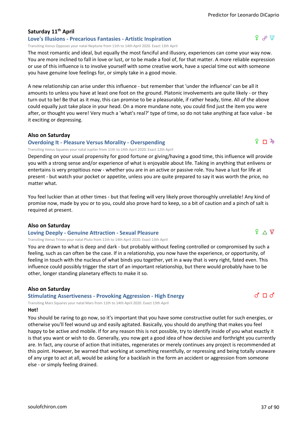# **Saturday 11th April**

#### **Love's Illusions - Precarious Fantasies - Artistic Inspiration**

Transiting Venus Opposes your natal Neptune from 11th to 14th April 2020. Exact 13th April

The most romantic and ideal, but equally the most fanciful and illusory, experiences can come your way now. You are more inclined to fall in love or lust, or to be made a fool of, for that matter. A more reliable expression or use of this influence is to involve yourself with some creative work, have a special time out with someone you have genuine love feelings for, or simply take in a good movie.

A new relationship can arise under this influence - but remember that 'under the influence' can be all it amounts to unless you have at least one foot on the ground. Platonic involvements are quite likely - or they turn out to be! Be that as it may, this can promise to be a pleasurable, if rather heady, time. All of the above could equally just take place in your head. On a more mundane note, you could find just the item you were after, or thought you were! Very much a 'what's real?' type of time, so do not take anything at face value - be it exciting or depressing.

### **Also on Saturday**

## **Overdoing It - Pleasure Versus Morality - Overspending**

Transiting Venus Squares your natal Jupiter from 11th to 14th April 2020. Exact 12th April

Depending on your usual propensity for good fortune or giving/having a good time, this influence will provide you with a strong sense and/or experience of what is enjoyable about life. Taking in anything that enlivens or entertains is very propitious now - whether you are in an active or passive role. You have a lust for life at present - but watch your pocket or appetite, unless you are quite prepared to say it was worth the price, no matter what.

You feel luckier than at other times - but that feeling will very likely prove thoroughly unreliable! Any kind of promise now, made by you or to you, could also prove hard to keep, so a bit of caution and a pinch of salt is required at present.

### **Also on Saturday**

#### **Loving Deeply - Genuine Attraction - Sexual Pleasure**

Transiting Venus Trines your natal Pluto from 11th to 14th April 2020. Exact 13th April

You are drawn to what is deep and dark - but probably without feeling controlled or compromised by such a feeling, such as can often be the case. If in a relationship, you now have the experience, or opportunity, of feeling in touch with the nucleus of what binds you together, yet in a way that is very right, fated even. This influence could possibly trigger the start of an important relationship, but there would probably have to be other, longer standing planetary effects to make it so.

### **Also on Saturday**

### **Stimulating Assertiveness - Provoking Aggression - High Energy**

Transiting Mars Squares your natal Mars from 11th to 14th April 2020. Exact 13th April

### **Hot!**

You should be raring to go now, so it's important that you have some constructive outlet for such energies, or otherwise you'll feel wound up and easily agitated. Basically, you should do anything that makes you feel happy to be active and mobile. If for any reason this is not possible, try to identify inside of you what exactly it is that you want or wish to do. Generally, you now get a good idea of how decisive and forthright you currently are. In fact, any course of action that initiates, regenerates or merely continues any project is recommended at this point. However, be warned that working at something resentfully, or repressing and being totally unaware of any urge to act at all, would be asking for a backlash in the form an accident or aggression from someone else - or simply feeling drained.



 $9 \wedge 9$ 





 $9 \n *n* 2$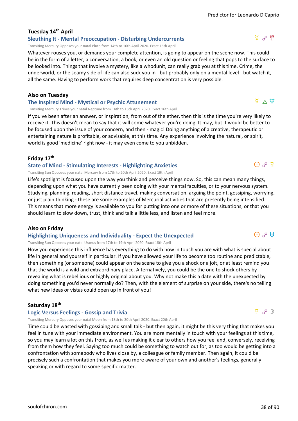# **Tuesday 14th April**

**Sleuthing It - Mental Preoccupation - Disturbing Undercurrents** Transiting Mercury Opposes your natal Pluto from 14th to 16th April 2020. Exact 15th April

Whatever rouses you, or demands your complete attention, is going to appear on the scene now. This could be in the form of a letter, a conversation, a book, or even an old question or feeling that pops to the surface to be looked into. Things that involve a mystery, like a whodunit, can really grab you at this time. Crime, the underworld, or the seamy side of life can also suck you in - but probably only on a mental level - but watch it, all the same. Having to perform work that requires deep concentration is very possible.

#### **Also on Tuesday**

**The Inspired Mind - Mystical or Psychic Attunement**

Transiting Mercury Trines your natal Neptune from 14th to 16th April 2020. Exact 16th April

If you've been after an answer, or inspiration, from out of the ether, then this is the time you're very likely to receive it. This doesn't mean to say that it will come whatever you're doing. It may, but it would be better to be focused upon the issue of your concern, and then - magic! Doing anything of a creative, therapeutic or entertaining nature is profitable, or advisable, at this time. Any experience involving the natural, or spirit, world is good 'medicine' right now - it may even come to you unbidden.

### **Friday 17th**

#### **State of Mind - Stimulating Interests - Highlighting Anxieties**

Transiting Sun Opposes your natal Mercury from 17th to 20th April 2020. Exact 19th April

Life's spotlight is focused upon the way you think and perceive things now. So, this can mean many things, depending upon what you have currently been doing with your mental faculties, or to your nervous system. Studying, planning, reading, short distance travel, making conversation, arguing the point, gossiping, worrying, or just plain thinking - these are some examples of Mercurial activities that are presently being intensified. This means that more energy is available to you for putting into one or more of these situations, or that you should learn to slow down, trust, think and talk a little less, and listen and feel more.

### **Also on Friday**

#### **Highlighting Uniqueness and Individuality - Expect the Unexpected**

Transiting Sun Opposes your natal Uranus from 17th to 19th April 2020. Exact 18th April

How you experience this influence has everything to do with how in touch you are with what is special about life in general and yourself in particular. If you have allowed your life to become too routine and predictable, then something (or someone) could appear on the scene to give you a shock or a jolt, or at least remind you that the world is a wild and extraordinary place. Alternatively, you could be the one to shock others by revealing what is rebellious or highly original about you. Why not make this a date with the unexpected by doing something you'd never normally do? Then, with the element of surprise on your side, there's no telling what new ideas or vistas could open up in front of you!

### **Saturday 18th**

### **Logic Versus Feelings - Gossip and Trivia**

Transiting Mercury Opposes your natal Moon from 18th to 20th April 2020. Exact 20th April

Time could be wasted with gossiping and small talk - but then again, it might be this very thing that makes you feel in tune with your immediate environment. You are more mentally in touch with your feelings at this time, so you may learn a lot on this front, as well as making it clear to others how you feel and, conversely, receiving from them how they feel. Saying too much could be something to watch out for, as too would be getting into a confrontation with somebody who lives close by, a colleague or family member. Then again, it could be precisely such a confrontation that makes you more aware of your own and another's feelings, generally speaking or with regard to some specific matter.

# $\Phi \wedge \Psi$

 $\overline{\Omega}$   $\phi$   $\overline{\Omega}$ 

 $\Phi$   $\mathfrak{p}$ 

 $\phi \in \mathfrak{P}$ 

 $\Theta$   $\theta$  H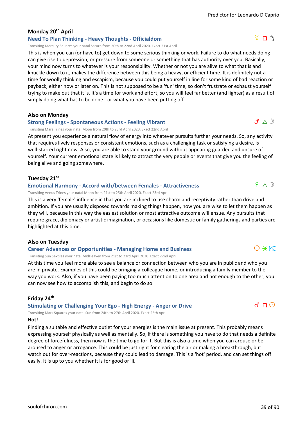# **Monday 20th April**

### **Need To Plan Thinking - Heavy Thoughts - Officialdom**

Transiting Mercury Squares your natal Saturn from 20th to 22nd April 2020. Exact 21st April

This is when you can (or have to) get down to some serious thinking or work. Failure to do what needs doing can give rise to depression, or pressure from someone or something that has authority over you. Basically, your mind now turns to whatever is your responsibility. Whether or not you are alive to what that is and knuckle down to it, makes the difference between this being a heavy, or efficient time. It is definitely not a time for woolly thinking and escapism, because you could put yourself in line for some kind of bad reaction or payback, either now or later on. This is not supposed to be a 'fun' time, so don't frustrate or exhaust yourself trying to make out that it is. It's a time for work and effort, so you will feel far better (and lighter) as a result of simply doing what has to be done - or what you have been putting off.

### **Also on Monday**

#### **Strong Feelings - Spontaneous Actions - Feeling Vibrant**

Transiting Mars Trines your natal Moon from 20th to 23rd April 2020. Exact 22nd April

At present you experience a natural flow of energy into whatever pursuits further your needs. So, any activity that requires lively responses or consistent emotions, such as a challenging task or satisfying a desire, is well-starred right now. Also, you are able to stand your ground without appearing guarded and unsure of yourself. Your current emotional state is likely to attract the very people or events that give you the feeling of being alive and going somewhere.

## **Tuesday 21st**

#### **Emotional Harmony - Accord with/between Females - Attractiveness**

Transiting Venus Trines your natal Moon from 21st to 25th April 2020. Exact 23rd April

This is a very 'female' influence in that you are inclined to use charm and receptivity rather than drive and ambition. If you are usually disposed towards making things happen, now you are wise to let them happen as they will, because in this way the easiest solution or most attractive outcome will ensue. Any pursuits that require grace, diplomacy or artistic imagination, or occasions like domestic or family gatherings and parties are highlighted at this time.

### **Also on Tuesday**

#### **Career Advances or Opportunities - Managing Home and Business**

Transiting Sun Sextiles your natal MidHeaven from 21st to 23rd April 2020. Exact 22nd April

At this time you feel more able to see a balance or connection between who you are in public and who you are in private. Examples of this could be bringing a colleague home, or introducing a family member to the way you work. Also, if you have been paying too much attention to one area and not enough to the other, you can now see how to accomplish this, and begin to do so.

# **Friday 24th**

**Stimulating or Challenging Your Ego - High Energy - Anger or Drive**

Transiting Mars Squares your natal Sun from 24th to 27th April 2020. Exact 26th April

### **Hot!**

Finding a suitable and effective outlet for your energies is the main issue at present. This probably means expressing yourself physically as well as mentally. So, if there is something you have to do that needs a definite degree of forcefulness, then now is the time to go for it. But this is also a time when you can arouse or be aroused to anger or arrogance. This could be just right for clearing the air or making a breakthrough, but watch out for over-reactions, because they could lead to damage. This is a 'hot' period, and can set things off easily. It is up to you whether it is for good or ill.



# $9 \wedge D$

 $d \triangle D$ 

 $d \sqcap \odot$ 

 $O \times MC$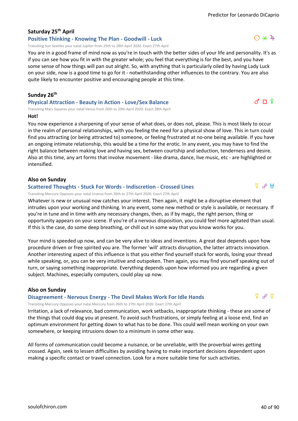# **Saturday 25th April**

**Positive Thinking - Knowing The Plan - Goodwill - Luck** Transiting Sun Sextiles your natal Jupiter from 25th to 28th April 2020. Exact 27th April

You are in a good frame of mind now as you're in touch with the better sides of your life and personality. It's as if you can see how you fit in with the greater whole; you feel that everything is for the best, and you have some sense of how things will pan out alright. So, with anything that is particularly oiled by having Lady Luck on your side, now is a good time to go for it - notwithstanding other influences to the contrary. You are also quite likely to encounter positive and encouraging people at this time.

#### **Sunday 26th**

**Physical Attraction - Beauty in Action - Love/Sex Balance**

Transiting Mars Squares your natal Venus from 26th to 29th April 2020. Exact 28th April **Hot!**

You now experience a sharpening of your sense of what does, or does not, please. This is most likely to occur in the realm of personal relationships, with you feeling the need for a physical show of love. This in turn could find you attracting (or being attracted to) someone, or feeling frustrated at no-one being available. If you have an ongoing intimate relationship, this would be a time for the erotic. In any event, you may have to find the right balance between making love and having sex, between courtship and seduction, tenderness and desire. Also at this time, any art forms that involve movement - like drama, dance, live music, etc - are highlighted or intensified.

#### **Also on Sunday**

#### **Scattered Thoughts - Stuck For Words - Indiscretion - Crossed Lines**

Transiting Mercury Opposes your natal Uranus from 26th to 27th April 2020. Exact 27th April

Whatever is new or unusual now catches your interest. Then again, it might be a disruptive element that intrudes upon your working and thinking. In any event, some new method or style is available, or necessary. If you're in tune and in time with any necessary changes, then, as if by magic, the right person, thing or opportunity appears on your scene. If you're of a nervous disposition, you could feel more agitated than usual. If this is the case, do some deep breathing, or chill out in some way that you know works for you.

Your mind is speeded up now, and can be very alive to ideas and inventions. A great deal depends upon how procedure driven or free spirited you are. The former 'will' attracts disruption, the latter attracts innovation. Another interesting aspect of this influence is that you either find yourself stuck for words, losing your thread while speaking, or, you can be very intuitive and outspoken. Then again, you may find yourself speaking out of turn, or saying something inappropriate. Everything depends upon how informed you are regarding a given subject. Machines, especially computers, could play up now.

### **Also on Sunday**

#### **Disagreement - Nervous Energy - The Devil Makes Work For Idle Hands**

Transiting Mercury Opposes your natal Mercury from 26th to 27th April 2020. Exact 27th April

Irritation, a lack of relevance, bad communication, work setbacks, inappropriate thinking - these are some of the things that could dog you at present. To avoid such frustrations, or simply feeling at a loose end, find an optimum environment for getting down to what has to be done. This could well mean working on your own somewhere, or keeping intrusions down to a minimum in some other way.

All forms of communication could become a nuisance, or be unreliable, with the proverbial wires getting crossed. Again, seek to lessen difficulties by avoiding having to make important decisions dependent upon making a specific contact or travel connection. Look for a more suitable time for such activities.



 $\sigma$   $\Box$   $\Omega$ 



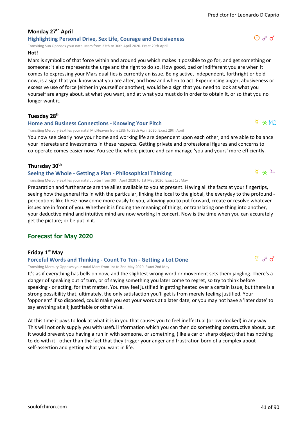# **Monday 27th April Highlighting Personal Drive, Sex Life, Courage and Decisiveness**

Transiting Sun Opposes your natal Mars from 27th to 30th April 2020. Exact 29th April

## **Hot!**

Mars is symbolic of that force within and around you which makes it possible to go for, and get something or someone; it also represents the urge and the right to do so. How good, bad or indifferent you are when it comes to expressing your Mars qualities is currently an issue. Being active, independent, forthright or bold now, is a sign that you know what you are after, and how and when to act. Experiencing anger, abusiveness or excessive use of force (either in yourself or another), would be a sign that you need to look at what you yourself are angry about, at what you want, and at what you must do in order to obtain it, or so that you no longer want it.

#### **Tuesday 28th**

#### **Home and Business Connections - Knowing Your Pitch**

Transiting Mercury Sextiles your natal MidHeaven from 28th to 29th April 2020. Exact 29th April

You now see clearly how your home and working life are dependent upon each other, and are able to balance your interests and investments in these respects. Getting private and professional figures and concerns to co-operate comes easier now. You see the whole picture and can manage 'you and yours' more efficiently.

#### **Thursday 30th**

#### **Seeing the Whole - Getting a Plan - Philosophical Thinking**

Transiting Mercury Sextiles your natal Jupiter from 30th April 2020 to 1st May 2020. Exact 1st May

Preparation and furtherance are the allies available to you at present. Having all the facts at your fingertips, seeing how the general fits in with the particular, linking the local to the global, the everyday to the profound perceptions like these now come more easily to you, allowing you to put forward, create or resolve whatever issues are in front of you. Whether it is finding the meaning of things, or translating one thing into another, your deductive mind and intuitive mind are now working in concert. Now is the time when you can accurately get the picture; or be put in it.

# **Forecast for May 2020**

### **Friday 1st May**

#### **Forceful Words and Thinking - Count To Ten - Getting a Lot Done**

Transiting Mercury Opposes your natal Mars from 1st to 2nd May 2020. Exact 2nd May

It's as if everything has bells on now, and the slightest wrong word or movement sets them jangling. There's a danger of speaking out of turn, or of saying something you later come to regret, so try to think before speaking - or acting, for that matter. You may feel justified in getting heated over a certain issue, but there is a strong possibility that, ultimately, the only satisfaction you'll get is from merely feeling justified. Your 'opponent' if so disposed, could make you eat your words at a later date, or you may not have a 'later date' to say anything at all; justifiable or otherwise.

At this time it pays to look at what it is in you that causes you to feel ineffectual (or overlooked) in any way. This will not only supply you with useful information which you can then do something constructive about, but it would prevent you having a run in with someone, or something, (like a car or sharp object) that has nothing to do with it - other than the fact that they trigger your anger and frustration born of a complex about self-assertion and getting what you want in life.



# $\overline{9}$  or  $\overline{0}$



# $\frac{5}{4}$   $\div$   $\frac{1}{4}$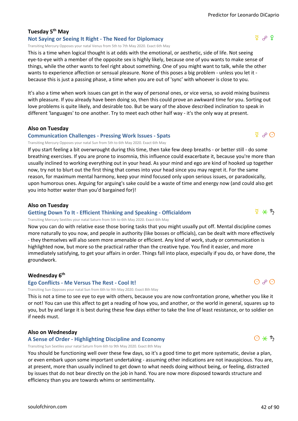# **Tuesday 5th May**

**Not Saying or Seeing It Right - The Need for Diplomacy** Transiting Mercury Opposes your natal Venus from 5th to 7th May 2020. Exact 6th May

This is a time when logical thought is at odds with the emotional, or aesthetic, side of life. Not seeing eye-to-eye with a member of the opposite sex is highly likely, because one of you wants to make sense of things, while the other wants to feel right about something. One of you might want to talk, while the other wants to experience affection or sensual pleasure. None of this poses a big problem - unless you let it because this is just a passing phase, a time when you are out of 'sync' with whoever is close to you.

It's also a time when work issues can get in the way of personal ones, or vice versa, so avoid mixing business with pleasure. If you already have been doing so, then this could prove an awkward time for you. Sorting out love problems is quite likely, and desirable too. But be wary of the above described inclination to speak in different 'languages' to one another. Try to meet each other half way - it's the only way at present.

**Also on Tuesday**

#### **Communication Challenges - Pressing Work Issues - Spats**

Transiting Mercury Opposes your natal Sun from 5th to 6th May 2020. Exact 6th May

If you start feeling a bit overwrought during this time, then take few deep breaths - or better still - do some breathing exercises. If you are prone to insomnia, this influence could exacerbate it, because you're more than usually inclined to working everything out in your head. As your mind and ego are kind of hooked up together now, try not to blurt out the first thing that comes into your head since you may regret it. For the same reason, for maximum mental harmony, keep your mind focused only upon serious issues, or paradoxically, upon humorous ones. Arguing for arguing's sake could be a waste of time and energy now (and could also get you into hotter water than you'd bargained for)!

#### **Also on Tuesday**

#### **Getting Down To It - Efficient Thinking and Speaking - Officialdom**

Transiting Mercury Sextiles your natal Saturn from 5th to 6th May 2020. Exact 6th May

Now you can do with relative ease those boring tasks that you might usually put off. Mental discipline comes more naturally to you now, and people in authority (like bosses or officials), can be dealt with more effectively - they themselves will also seem more amenable or efficient. Any kind of work, study or communication is highlighted now, but more so the practical rather than the creative type. You find it easier, and more immediately satisfying, to get your affairs in order. Things fall into place, especially if you do, or have done, the groundwork.

#### **Wednesday 6th**

#### **Ego Conflicts - Me Versus The Rest - Cool It!**

Transiting Sun Opposes your natal Sun from 6th to 9th May 2020. Exact 8th May

This is not a time to see eye to eye with others, because you are now confrontation prone, whether you like it or not! You can use this affect to get a reading of how you, and another, or the world in general, squares up to you, but by and large it is best during these few days either to take the line of least resistance, or to soldier on if needs must.

#### **Also on Wednesday**

**A Sense of Order - Highlighting Discipline and Economy**

Transiting Sun Sextiles your natal Saturn from 6th to 9th May 2020. Exact 8th May

You should be functioning well over these few days, so it's a good time to get more systematic, devise a plan, or even embark upon some important undertaking - assuming other indications are not inauspicious. You are, at present, more than usually inclined to get down to what needs doing without being, or feeling, distracted by issues that do not bear directly on the job in hand. You are now more disposed towards structure and efficiency than you are towards whims or sentimentality.

 $999$ 

 $\Phi$   $\Theta$ 



 $O$   $O$ 

 $\frac{a}{4}$   $\frac{a}{5}$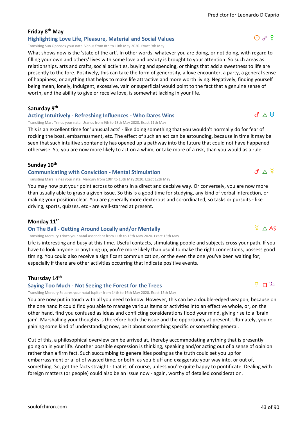### **Friday 8th May Highlighting Love Life, Pleasure, Material and Social Values**

Transiting Sun Opposes your natal Venus from 8th to 10th May 2020. Exact 9th May

What shows now is the 'state of the art'. In other words, whatever you are doing, or not doing, with regard to filling your own and others' lives with some love and beauty is brought to your attention. So such areas as relationships, arts and crafts, social activities, buying and spending, or things that add a sweetness to life are presently to the fore. Positively, this can take the form of generosity, a love encounter, a party, a general sense of happiness, or anything that helps to make life attractive and more worth living. Negatively, finding yourself being mean, lonely, indulgent, excessive, vain or superficial would point to the fact that a genuine sense of worth, and the ability to give or receive love, is somewhat lacking in your life.

**Saturday 9th**

#### **Acting Intuitively - Refreshing Influences - Who Dares Wins**

Transiting Mars Trines your natal Uranus from 9th to 13th May 2020. Exact 11th May

This is an excellent time for 'unusual acts' - like doing something that you wouldn't normally do for fear of rocking the boat, embarrassment, etc. The effect of such an act can be astounding, because in time it may be seen that such intuitive spontaneity has opened up a pathway into the future that could not have happened otherwise. So, you are now more likely to act on a whim, or take more of a risk, than you would as a rule.

#### **Sunday 10th**

#### **Communicating with Conviction - Mental Stimulation**

Transiting Mars Trines your natal Mercury from 10th to 13th May 2020. Exact 12th May

You may now put your point across to others in a direct and decisive way. Or conversely, you are now more than usually able to grasp a given issue. So this is a good time for studying, any kind of verbal interaction, or making your position clear. You are generally more dexterous and co-ordinated, so tasks or pursuits - like driving, sports, quizzes, etc - are well-starred at present.

#### **Monday 11th**

#### **On The Ball - Getting Around Locally and/or Mentally**

Transiting Mercury Trines your natal Ascendant from 11th to 13th May 2020. Exact 13th May

Life is interesting and busy at this time. Useful contacts, stimulating people and subjects cross your path. If you have to look anyone or anything up, you're more likely than usual to make the right connections, possess good timing. You could also receive a significant communication, or the even the one you've been waiting for; especially if there are other activities occurring that indicate positive events.

#### **Thursday 14th**

#### **Saying Too Much - Not Seeing the Forest for the Trees**

Transiting Mercury Squares your natal Jupiter from 14th to 16th May 2020. Exact 15th May

You are now put in touch with all you need to know. However, this can be a double-edged weapon, because on the one hand it could find you able to manage various items or activities into an effective whole, or, on the other hand, find you confused as ideas and conflicting considerations flood your mind, giving rise to a 'brain jam'. Marshalling your thoughts is therefore both the issue and the opportunity at present. Ultimately, you're gaining some kind of understanding now, be it about something specific or something general.

Out of this, a philosophical overview can be arrived at, thereby accommodating anything that is presently going on in your life. Another possible expression is thinking, speaking and/or acting out of a sense of opinion rather than a firm fact. Such succumbing to generalities posing as the truth could set you up for embarrassment or a lot of wasted time, or both, as you bluff and exaggerate your way into, or out of, something. So, get the facts straight - that is, of course, unless you're quite happy to pontificate. Dealing with foreign matters (or people) could also be an issue now - again, worthy of detailed consideration.

# $\sqrt{2}$   $\wedge$  AS

 $\sqrt{2}$  n  $\sqrt{4}$ 

 $d \wedge H$ 

 $d \triangle \nsubseteq$ 

 $O$   $P$   $Q$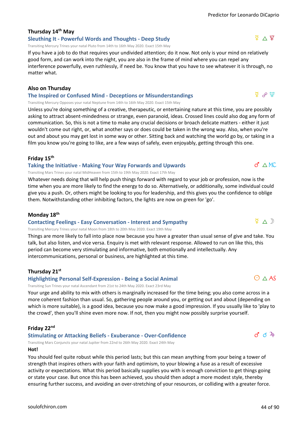# Predictor for Leonardo DiCaprio

#### **Thursday 14th May Sleuthing It - Powerful Words and Thoughts - Deep Study**

Transiting Mercury Trines your natal Pluto from 14th to 16th May 2020. Exact 15th May

If you have a job to do that requires your undivided attention; do it now. Not only is your mind on relatively good form, and can work into the night, you are also in the frame of mind where you can repel any interference powerfully, even ruthlessly, if need be. You know that you have to see whatever it is through, no matter what.

#### **Also on Thursday**

**The Inspired or Confused Mind - Deceptions or Misunderstandings**

Transiting Mercury Opposes your natal Neptune from 14th to 16th May 2020. Exact 15th May

Unless you're doing something of a creative, therapeutic, or entertaining nature at this time, you are possibly asking to attract absent-mindedness or strange, even paranoid, ideas. Crossed lines could also dog any form of communication. So, this is not a time to make any crucial decisions or broach delicate matters - either it just wouldn't come out right, or, what another says or does could be taken in the wrong way. Also, when you're out and about you may get lost in some way or other. Sitting back and watching the world go by, or taking in a film you know you're going to like, are a few ways of safely, even enjoyably, getting through this one.

#### **Friday 15th**

#### **Taking the Initiative - Making Your Way Forwards and Upwards**

Transiting Mars Trines your natal MidHeaven from 15th to 19th May 2020. Exact 17th May

Whatever needs doing that will help push things forward with regard to your job or profession, now is the time when you are more likely to find the energy to do so. Alternatively, or additionally, some individual could give you a push. Or, others might be looking to you for leadership, and this gives you the confidence to oblige them. Notwithstanding other inhibiting factors, the lights are now on green for 'go'.

#### **Monday 18th**

#### **Contacting Feelings - Easy Conversation - Interest and Sympathy**

Transiting Mercury Trines your natal Moon from 18th to 20th May 2020. Exact 19th May

Things are more likely to fall into place now because you have a greater than usual sense of give and take. You talk, but also listen, and vice versa. Enquiry is met with relevant response. Allowed to run on like this, this period can become very stimulating and informative, both emotionally and intellectually. Any intercommunications, personal or business, are highlighted at this time.

#### **Thursday 21st**

#### **Highlighting Personal Self-Expression - Being a Social Animal**

Transiting Sun Trines your natal Ascendant from 21st to 24th May 2020. Exact 23rd May

Your urge and ability to mix with others is marginally increased for the time being; you also come across in a more coherent fashion than usual. So, gathering people around you, or getting out and about (depending on which is more suitable), is a good idea, because you now make a good impression. If you usually like to 'play to the crowd', then you'll shine even more now. If not, then you might now possibly surprise yourself.

#### **Friday 22nd**

**Stimulating or Attacking Beliefs - Exuberance - Over-Confidence**

Transiting Mars Conjuncts your natal Jupiter from 22nd to 26th May 2020. Exact 24th May

#### **Hot!**

You should feel quite robust while this period lasts; but this can mean anything from your being a tower of strength that inspires others with your faith and optimism, to your blowing a fuse as a result of excessive activity or expectations. What this period basically supplies you with is enough conviction to get things going or state your case. But once this has been achieved, you should then adopt a more modest style, thereby ensuring further success, and avoiding an over-stretching of your resources, or colliding with a greater force.

## $\sigma' \triangle M$ C

 $\Phi \wedge \mathbb{D}$ 

 $\odot$   $\land$  AS

# $\sigma$   $\sigma$  4



d w l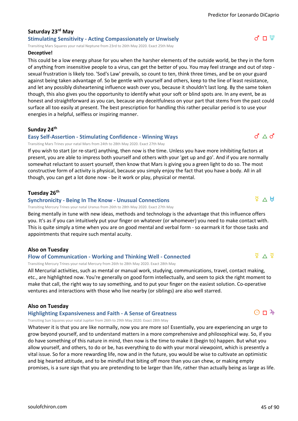#### **Saturday 23rd May Stimulating Sensitivity - Acting Compassionately or Unwisely**

Transiting Mars Squares your natal Neptune from 23rd to 26th May 2020. Exact 25th May

#### **Deceptive!**

This could be a low energy phase for you when the harsher elements of the outside world, be they in the form of anything from insensitive people to a virus, can get the better of you. You may feel strange and out of step sexual frustration is likely too. 'Sod's Law' prevails, so count to ten, think three times, and be on your guard against being taken advantage of. So be gentle with yourself and others, keep to the line of least resistance, and let any possibly disheartening influence wash over you, because it shouldn't last long. By the same token though, this also gives you the opportunity to identify what your soft or blind spots are. In any event, be as honest and straightforward as you can, because any deceitfulness on your part that stems from the past could surface all too easily at present. The best prescription for handling this rather peculiar period is to use your energies in a helpful, selfless or inspiring manner.

### **Sunday 24th**

#### **Easy Self-Assertion - Stimulating Confidence - Winning Ways**

Transiting Mars Trines your natal Mars from 24th to 28th May 2020. Exact 27th May

If you wish to start (or re-start) anything, then now is the time. Unless you have more inhibiting factors at present, you are able to impress both yourself and others with your 'get up and go'. And if you are normally somewhat reluctant to assert yourself, then know that Mars is giving you a green light to do so. The most constructive form of activity is physical, because you simply enjoy the fact that you have a body. All in all though, you can get a lot done now - be it work or play, physical or mental.

### **Tuesday 26th**

#### **Synchronicity - Being In The Know - Unusual Connections**

Transiting Mercury Trines your natal Uranus from 26th to 28th May 2020. Exact 27th May

Being mentally in tune with new ideas, methods and technology is the advantage that this influence offers you. It's as if you can intuitively put your finger on whatever (or whomever) you need to make contact with. This is quite simply a time when you are on good mental and verbal form - so earmark it for those tasks and appointments that require such mental acuity.

# **Also on Tuesday**

### **Flow of Communication - Working and Thinking Well - Connected**

Transiting Mercury Trines your natal Mercury from 26th to 28th May 2020. Exact 28th May

All Mercurial activities, such as mental or manual work, studying, communications, travel, contact making, etc., are highlighted now. You're generally on good form intellectually, and seem to pick the right moment to make that call, the right way to say something, and to put your finger on the easiest solution. Co-operative ventures and interactions with those who live nearby (or siblings) are also well starred.

### **Also on Tuesday**

**Highlighting Expansiveness and Faith - A Sense of Greatness**

Transiting Sun Squares your natal Jupiter from 26th to 29th May 2020. Exact 28th May

Whatever it is that you are like normally, now you are more so! Essentially, you are experiencing an urge to grow beyond yourself, and to understand matters in a more comprehensive and philosophical way. So, if you do have something of this nature in mind, then now is the time to make it (begin to) happen. But what you allow yourself, and others, to do or be, has everything to do with your moral viewpoint, which is presently a vital issue. So for a more rewarding life, now and in the future, you would be wise to cultivate an optimistic and big hearted attitude, and to be mindful that biting off more than you can chew, or making empty promises, is a sure sign that you are pretending to be larger than life, rather than actually being as large as life.

# $\frac{1}{2}$   $\vee$   $\mathbb{H}$

 $\Phi$   $\vee$   $\Phi$ 

 $O$   $\Box$   $4$ 

 $d \wedge d$ 

 $d \Pi \Psi$ 

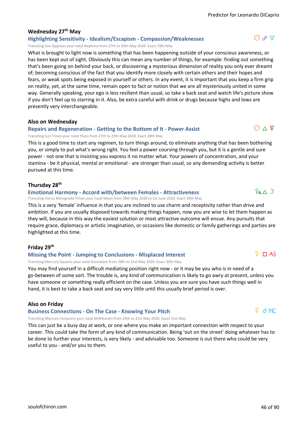### **Wednesday 27th May**

#### **Highlighting Sensitivity - Idealism/Escapism - Compassion/Weaknesses**

Transiting Sun Opposes your natal Neptune from 27th to 30th May 2020. Exact 29th May

What is brought to light now is something that has been happening outside of your conscious awareness, or has been kept out of sight. Obviously this can mean any number of things, for example: finding out something that's been going on behind your back, or discovering a mysterious dimension of reality you only ever dreamt of; becoming conscious of the fact that you identify more closely with certain others and their hopes and fears, or weak spots being exposed in yourself or others. In any event, it is important that you keep a firm grip on reality, yet, at the same time, remain open to fact or notion that we are all mysteriously united in some way. Generally speaking, your ego is less resilient than usual, so take a back seat and watch life's picture show if you don't feel up to starring in it. Also, be extra careful with drink or drugs because highs and lows are presently very interchangeable.

#### **Also on Wednesday**

#### **Repairs and Regeneration - Getting to the Bottom of It - Power Assist**

Transiting Sun Trines your natal Pluto from 27th to 29th May 2020. Exact 28th May

This is a good time to start any regimen, to turn things around, to eliminate anything that has been bothering you, or simply to put what's wrong right. You feel a power coursing through you, but it is a gentle and sure power - not one that is insisting you express it no matter what. Your powers of concentration, and your stamina - be it physical, mental or emotional - are stronger than usual, so any demanding activity is better pursued at this time.

#### **Thursday 28th**

#### **Emotional Harmony - Accord with/between Females - Attractiveness**

Transiting Venus Retrograde Trines your natal Moon from 28th May 2020 to 1st June 2020. Exact 30th May

This is a very 'female' influence in that you are inclined to use charm and receptivity rather than drive and ambition. If you are usually disposed towards making things happen, now you are wise to let them happen as they will, because in this way the easiest solution or most attractive outcome will ensue. Any pursuits that require grace, diplomacy or artistic imagination, or occasions like domestic or family gatherings and parties are highlighted at this time.

#### **Friday 29th**

#### **Missing the Point - Jumping to Conclusions - Misplaced Interest**

Transiting Mercury Squares your natal Ascendant from 29th to 31st May 2020. Exact 30th May

You may find yourself in a difficult mediating position right now - or it may be you who is in need of a go-between of some sort. The trouble is, any kind of communication is likely to go awry at present, unless you have someone or something really efficient on the case. Unless you are sure you have such things well in hand, it is best to take a back seat and say very little until this usually brief period is over.

#### **Also on Friday**

#### **Business Connections - On The Case - Knowing Your Pitch**

Transiting Mercury Conjuncts your natal MidHeaven from 29th to 31st May 2020. Exact 31st May

This can just be a busy day at work, or one where you make an important connection with respect to your career. This could take the form of any kind of communication. Being 'out on the street' doing whatever has to be done to further your interests, is very likely - and advisable too. Someone is out there who could be very useful to you - and/or you to them.

# $\frac{1}{2}$  d MC

 $\sqrt{2}$   $\Box$  AS

 $O \triangle \Psi$ 

 $P_R \wedge D$ 

# $\Omega$   $\sim$   $\mathfrak{P}$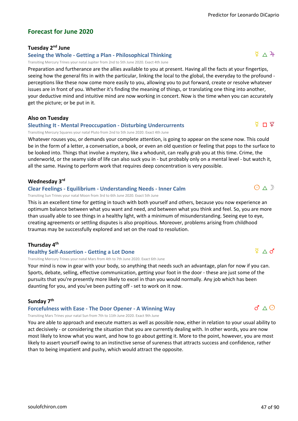# **Forecast for June 2020**

## **Tuesday 2nd June**

# **Seeing the Whole - Getting a Plan - Philosophical Thinking**

Transiting Mercury Trines your natal Jupiter from 2nd to 5th June 2020. Exact 4th June

Preparation and furtherance are the allies available to you at present. Having all the facts at your fingertips, seeing how the general fits in with the particular, linking the local to the global, the everyday to the profound perceptions like these now come more easily to you, allowing you to put forward, create or resolve whatever issues are in front of you. Whether it's finding the meaning of things, or translating one thing into another, your deductive mind and intuitive mind are now working in concert. Now is the time when you can accurately get the picture; or be put in it.

# **Also on Tuesday**

## **Sleuthing It - Mental Preoccupation - Disturbing Undercurrents**

Transiting Mercury Squares your natal Pluto from 2nd to 5th June 2020. Exact 4th June

Whatever rouses you, or demands your complete attention, is going to appear on the scene now. This could be in the form of a letter, a conversation, a book, or even an old question or feeling that pops to the surface to be looked into. Things that involve a mystery, like a whodunit, can really grab you at this time. Crime, the underworld, or the seamy side of life can also suck you in - but probably only on a mental level - but watch it, all the same. Having to perform work that requires deep concentration is very possible.

#### **Wednesday 3rd**

#### **Clear Feelings - Equilibrium - Understanding Needs - Inner Calm**

Transiting Sun Trines your natal Moon from 3rd to 6th June 2020. Exact 5th June

This is an excellent time for getting in touch with both yourself and others, because you now experience an optimum balance between what you want and need, and between what you think and feel. So, you are more than usually able to see things in a healthy light, with a minimum of misunderstanding. Seeing eye to eye, creating agreements or settling disputes is also propitious. Moreover, problems arising from childhood traumas may be successfully explored and set on the road to resolution.

### **Thursday 4th**

#### **Healthy Self-Assertion - Getting a Lot Done**

Transiting Mercury Trines your natal Mars from 4th to 7th June 2020. Exact 6th June

Your mind is now in gear with your body, so anything that needs such an advantage, plan for now if you can. Sports, debate, selling, effective communication, getting your foot in the door - these are just some of the pursuits that you're presently more likely to excel in than you would normally. Any job which has been daunting for you, and you've been putting off - set to work on it now.

#### **Sunday 7th**

#### **Forcefulness with Ease - The Door Opener - A Winning Way**

Transiting Mars Trines your natal Sun from 7th to 11th June 2020. Exact 9th June

You are able to approach and execute matters as well as possible now, either in relation to your usual ability to act decisively - or considering the situation that you are currently dealing with. In other words, you are now most likely to know what you want, and how to go about getting it. More to the point, however, you are most likely to assert yourself owing to an instinctive sense of sureness that attracts success and confidence, rather than to being impatient and pushy, which would attract the opposite.



 $\Phi \wedge d'$ 

 $O \triangle D$ 

 $\sqrt{2}$  Π  $\sqrt{2}$ 

 $\frac{5}{4}$   $\wedge$   $\frac{2}{4}$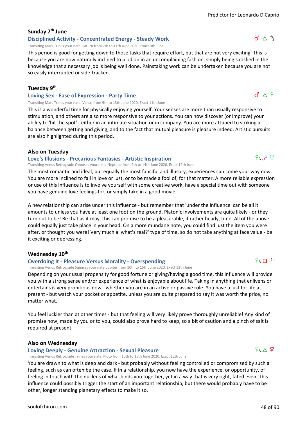### **Sunday 7th June Disciplined Activity - Concentrated Energy - Steady Work**

Transiting Mars Trines your natal Saturn from 7th to 11th June 2020. Exact 9th June

This period is good for getting down to those tasks that require effort, but that are not very exciting. This is because you are now naturally inclined to plod on in an uncomplaining fashion, simply being satisfied in the knowledge that a necessary job is being well done. Painstaking work can be undertaken because you are not so easily interrupted or side-tracked.

#### **Tuesday 9th**

#### **Loving Sex - Ease of Expression - Party Time**

Transiting Mars Trines your natal Venus from 9th to 13th June 2020. Exact 11th June

This is a wonderful time for physically enjoying yourself. Your senses are more than usually responsive to stimulation, and others are also more responsive to your actions. You can now discover (or improve) your ability to 'hit the spot' - either in an intimate situation or in company. You are more attuned to striking a balance between getting and giving, and to the fact that mutual pleasure is pleasure indeed. Artistic pursuits are also highlighted during this period.

#### **Also on Tuesday**

#### **Love's Illusions - Precarious Fantasies - Artistic Inspiration**

Transiting Venus Retrograde Opposes your natal Neptune from 9th to 14th June 2020. Exact 12th June

The most romantic and ideal, but equally the most fanciful and illusory, experiences can come your way now. You are more inclined to fall in love or lust, or to be made a fool of, for that matter. A more reliable expression or use of this influence is to involve yourself with some creative work, have a special time out with someone you have genuine love feelings for, or simply take in a good movie.

A new relationship can arise under this influence - but remember that 'under the influence' can be all it amounts to unless you have at least one foot on the ground. Platonic involvements are quite likely - or they turn out to be! Be that as it may, this can promise to be a pleasurable, if rather heady, time. All of the above could equally just take place in your head. On a more mundane note, you could find just the item you were after, or thought you were! Very much a 'what's real?' type of time, so do not take anything at face value - be it exciting or depressing.

#### **Wednesday 10th**

#### **Overdoing It - Pleasure Versus Morality - Overspending**

Transiting Venus Retrograde Squares your natal Jupiter from 10th to 15th June 2020. Exact 13th June

Depending on your usual propensity for good fortune or giving/having a good time, this influence will provide you with a strong sense and/or experience of what is enjoyable about life. Taking in anything that enlivens or entertains is very propitious now - whether you are in an active or passive role. You have a lust for life at present - but watch your pocket or appetite, unless you are quite prepared to say it was worth the price, no matter what.

You feel luckier than at other times - but that feeling will very likely prove thoroughly unreliable! Any kind of promise now, made by you or to you, could also prove hard to keep, so a bit of caution and a pinch of salt is required at present.

#### **Also on Wednesday**

#### **Loving Deeply - Genuine Attraction - Sexual Pleasure**

Transiting Venus Retrograde Trines your natal Pluto from 10th to 15th June 2020. Exact 12th June

You are drawn to what is deep and dark - but probably without feeling controlled or compromised by such a feeling, such as can often be the case. If in a relationship, you now have the experience, or opportunity, of feeling in touch with the nucleus of what binds you together, yet in a way that is very right, fated even. This influence could possibly trigger the start of an important relationship, but there would probably have to be other, longer standing planetary effects to make it so.

# $P_R \Pi$  +

# $d \wedge 9$

 $P_R \rho \Psi$ 

 $d \wedge b$ 

 $P_{R} \wedge \Psi$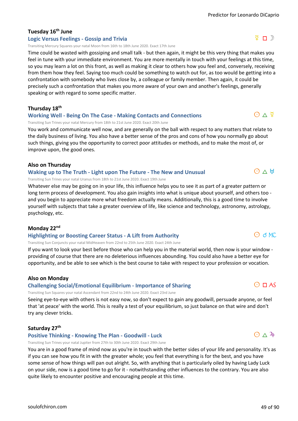# **Tuesday 16th June**

#### **Logic Versus Feelings - Gossip and Trivia**

Transiting Mercury Squares your natal Moon from 16th to 18th June 2020. Exact 17th June

Time could be wasted with gossiping and small talk - but then again, it might be this very thing that makes you feel in tune with your immediate environment. You are more mentally in touch with your feelings at this time, so you may learn a lot on this front, as well as making it clear to others how you feel and, conversely, receiving from them how they feel. Saying too much could be something to watch out for, as too would be getting into a confrontation with somebody who lives close by, a colleague or family member. Then again, it could be precisely such a confrontation that makes you more aware of your own and another's feelings, generally speaking or with regard to some specific matter.

**Thursday 18th**

#### **Working Well - Being On The Case - Making Contacts and Connections**

Transiting Sun Trines your natal Mercury from 18th to 21st June 2020. Exact 20th June

You work and communicate well now, and are generally on the ball with respect to any matters that relate to the daily business of living. You also have a better sense of the pros and cons of how you normally go about such things, giving you the opportunity to correct poor attitudes or methods, and to make the most of, or improve upon, the good ones.

#### **Also on Thursday**

#### **Waking up to The Truth - Light upon The Future - The New and Unusual**

Transiting Sun Trines your natal Uranus from 18th to 21st June 2020. Exact 19th June

Whatever else may be going on in your life, this influence helps you to see it as part of a greater pattern or long term process of development. You also gain insights into what is unique about yourself, and others too and you begin to appreciate more what freedom actually means. Additionally, this is a good time to involve yourself with subjects that take a greater overview of life, like science and technology, astronomy, astrology, psychology, etc.

#### **Monday 22nd**

#### **Highlighting or Boosting Career Status - A Lift from Authority**

Transiting Sun Conjuncts your natal MidHeaven from 22nd to 25th June 2020. Exact 24th June

If you want to look your best before those who can help you in the material world, then now is your window providing of course that there are no deleterious influences abounding. You could also have a better eye for opportunity, and be able to see which is the best course to take with respect to your profession or vocation.

#### **Also on Monday**

**Challenging Social/Emotional Equilibrium - Importance of Sharing**

Transiting Sun Squares your natal Ascendant from 22nd to 24th June 2020. Exact 23rd June

Seeing eye-to-eye with others is not easy now, so don't expect to gain any goodwill, persuade anyone, or feel that 'at peace' with the world. This is really a test of your equilibrium, so just balance on that wire and don't try any clever tricks.

#### **Saturday 27th**

#### **Positive Thinking - Knowing The Plan - Goodwill - Luck**

Transiting Sun Trines your natal Jupiter from 27th to 30th June 2020. Exact 29th June

You are in a good frame of mind now as you're in touch with the better sides of your life and personality. It's as if you can see how you fit in with the greater whole; you feel that everything is for the best, and you have some sense of how things will pan out alright. So, with anything that is particularly oiled by having Lady Luck on your side, now is a good time to go for it - notwithstanding other influences to the contrary. You are also quite likely to encounter positive and encouraging people at this time.



 $O \triangle 4$ 

 $O$  d MC

# $O \wedge \n9$

 $O \wedge H$ 

# $\sqrt{2}$  n  $\sqrt{2}$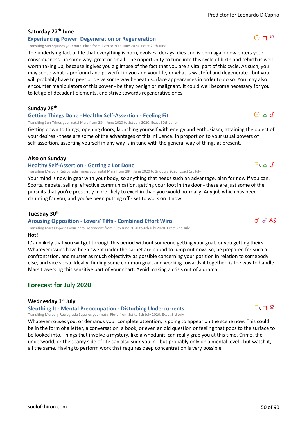# **Saturday 27th June**

## **Experiencing Power: Degeneration or Regeneration**

Transiting Sun Squares your natal Pluto from 27th to 30th June 2020. Exact 29th June

The underlying fact of life that everything is born, evolves, decays, dies and is born again now enters your consciousness - in some way, great or small. The opportunity to tune into this cycle of birth and rebirth is well worth taking up, because it gives you a glimpse of the fact that you are a vital part of this cycle. As such, you may sense what is profound and powerful in you and your life, or what is wasteful and degenerate - but you will probably have to peer or delve some way beneath surface appearances in order to do so. You may also encounter manipulators of this power - be they benign or malignant. It could well become necessary for you to let go of decadent elements, and strive towards regenerative ones.

**Sunday 28th**

#### **Getting Things Done - Healthy Self-Assertion - Feeling Fit**

Transiting Sun Trines your natal Mars from 28th June 2020 to 1st July 2020. Exact 30th June

Getting down to things, opening doors, launching yourself with energy and enthusiasm, attaining the object of your desires - these are some of the advantages of this influence. In proportion to your usual powers of self-assertion, asserting yourself in any way is in tune with the general way of things at present.

#### **Also on Sunday**

#### **Healthy Self-Assertion - Getting a Lot Done**

Transiting Mercury Retrograde Trines your natal Mars from 28th June 2020 to 2nd July 2020. Exact 1st July

Your mind is now in gear with your body, so anything that needs such an advantage, plan for now if you can. Sports, debate, selling, effective communication, getting your foot in the door - these are just some of the pursuits that you're presently more likely to excel in than you would normally. Any job which has been daunting for you, and you've been putting off - set to work on it now.

#### **Tuesday 30th**

### **Arousing Opposition - Lovers' Tiffs - Combined Effort Wins**

Transiting Mars Opposes your natal Ascendant from 30th June 2020 to 4th July 2020. Exact 2nd July

#### **Hot!**

It's unlikely that you will get through this period without someone getting your goat, or you getting theirs. Whatever issues have been swept under the carpet are bound to jump out now. So, be prepared for such a confrontation, and muster as much objectivity as possible concerning your position in relation to somebody else, and vice versa. Ideally, finding some common goal, and working towards it together, is the way to handle Mars traversing this sensitive part of your chart. Avoid making a crisis out of a drama.

# **Forecast for July 2020**

#### **Wednesday 1st July**

**Sleuthing It - Mental Preoccupation - Disturbing Undercurrents**

Transiting Mercury Retrograde Squares your natal Pluto from 1st to 5th July 2020. Exact 3rd July

Whatever rouses you, or demands your complete attention, is going to appear on the scene now. This could be in the form of a letter, a conversation, a book, or even an old question or feeling that pops to the surface to be looked into. Things that involve a mystery, like a whodunit, can really grab you at this time. Crime, the underworld, or the seamy side of life can also suck you in - but probably only on a mental level - but watch it, all the same. Having to perform work that requires deep concentration is very possible.

 $\Phi_{\text{\tiny R}} \wedge d$ 

 $\sigma$   $\sigma$  AS

 $\Theta \wedge d'$ 

# $\overline{Q}_D$ ,  $\Box$   $\mathcal{Q}'$

# $O\Pi$   $2$

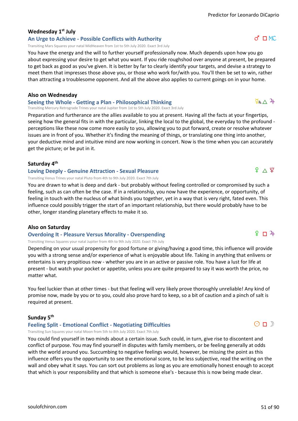## **Wednesday 1st July**

**An Urge to Achieve - Possible Conflicts with Authority**

Transiting Mars Squares your natal MidHeaven from 1st to 5th July 2020. Exact 3rd July

You have the energy and the will to further yourself professionally now. Much depends upon how you go about expressing your desire to get what you want. If you ride roughshod over anyone at present, be prepared to get back as good as you've given. It is better by far to clearly identify your targets, and devise a strategy to meet them that impresses those above you, or those who work for/with you. You'll then be set to win, rather than attracting a troublesome opponent. And all the above also applies to current goings on in your home.

#### **Also on Wednesday**

**Seeing the Whole - Getting a Plan - Philosophical Thinking**

Transiting Mercury Retrograde Trines your natal Jupiter from 1st to 5th July 2020. Exact 3rd July

Preparation and furtherance are the allies available to you at present. Having all the facts at your fingertips, seeing how the general fits in with the particular, linking the local to the global, the everyday to the profound perceptions like these now come more easily to you, allowing you to put forward, create or resolve whatever issues are in front of you. Whether it's finding the meaning of things, or translating one thing into another, your deductive mind and intuitive mind are now working in concert. Now is the time when you can accurately get the picture; or be put in it.

#### **Saturday 4th**

#### **Loving Deeply - Genuine Attraction - Sexual Pleasure**

Transiting Venus Trines your natal Pluto from 4th to 9th July 2020. Exact 7th July

You are drawn to what is deep and dark - but probably without feeling controlled or compromised by such a feeling, such as can often be the case. If in a relationship, you now have the experience, or opportunity, of feeling in touch with the nucleus of what binds you together, yet in a way that is very right, fated even. This influence could possibly trigger the start of an important relationship, but there would probably have to be other, longer standing planetary effects to make it so.

#### **Also on Saturday**

#### **Overdoing It - Pleasure Versus Morality - Overspending**

Transiting Venus Squares your natal Jupiter from 4th to 9th July 2020. Exact 7th July

Depending on your usual propensity for good fortune or giving/having a good time, this influence will provide you with a strong sense and/or experience of what is enjoyable about life. Taking in anything that enlivens or entertains is very propitious now - whether you are in an active or passive role. You have a lust for life at present - but watch your pocket or appetite, unless you are quite prepared to say it was worth the price, no matter what.

You feel luckier than at other times - but that feeling will very likely prove thoroughly unreliable! Any kind of promise now, made by you or to you, could also prove hard to keep, so a bit of caution and a pinch of salt is required at present.

#### **Sunday 5th**

#### **Feeling Split - Emotional Conflict - Negotiating Difficulties**

Transiting Sun Squares your natal Moon from 5th to 8th July 2020. Exact 7th July

You could find yourself in two minds about a certain issue. Such could, in turn, give rise to discontent and conflict of purpose. You may find yourself in disputes with family members, or be feeling generally at odds with the world around you. Succumbing to negative feelings would, however, be missing the point as this influence offers you the opportunity to see the emotional score, to be less subjective, read the writing on the wall and obey what it says. You can sort out problems as long as you are emotionally honest enough to accept that which is your responsibility and that which is someone else's - because this is now being made clear.

# $9 \wedge 9$

 $9 \n *n*$   $\sqrt{4}$ 

# $O \square$

# $d \Box M$

 $\frac{5}{4}R\triangle^2$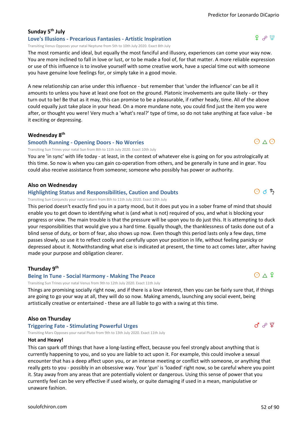$9 \rho \Psi$ 

#### **Sunday 5th July Love's Illusions - Precarious Fantasies - Artistic Inspiration**

Transiting Venus Opposes your natal Neptune from 5th to 10th July 2020. Exact 8th July

The most romantic and ideal, but equally the most fanciful and illusory, experiences can come your way now. You are more inclined to fall in love or lust, or to be made a fool of, for that matter. A more reliable expression or use of this influence is to involve yourself with some creative work, have a special time out with someone you have genuine love feelings for, or simply take in a good movie.

A new relationship can arise under this influence - but remember that 'under the influence' can be all it amounts to unless you have at least one foot on the ground. Platonic involvements are quite likely - or they turn out to be! Be that as it may, this can promise to be a pleasurable, if rather heady, time. All of the above could equally just take place in your head. On a more mundane note, you could find just the item you were after, or thought you were! Very much a 'what's real?' type of time, so do not take anything at face value - be it exciting or depressing.

#### **Wednesday 8th**

#### **Smooth Running - Opening Doors - No Worries**

Transiting Sun Trines your natal Sun from 8th to 11th July 2020. Exact 10th July

You are 'in sync' with life today - at least, in the context of whatever else is going on for you astrologically at this time. So now is when you can gain co-operation from others, and be generally in tune and in gear. You could also receive assistance from someone; someone who possibly has power or authority.

#### **Also on Wednesday**

#### **Highlighting Status and Responsibilities, Caution and Doubts**

Transiting Sun Conjuncts your natal Saturn from 8th to 11th July 2020. Exact 10th July

This period doesn't exactly find you in a party mood, but it does put you in a sober frame of mind that should enable you to get down to identifying what is (and what is not) required of you, and what is blocking your progress or view. The main trouble is that the pressure will be upon you to do just this. It is attempting to duck your responsibilities that would give you a hard time. Equally though, the thanklessness of tasks done out of a blind sense of duty, or born of fear, also shows up now. Even though this period lasts only a few days, time passes slowly, so use it to reflect coolly and carefully upon your position in life, without feeling panicky or depressed about it. Notwithstanding what else is indicated at present, the time to act comes later, after having made your purpose and obligation clearer.

#### **Thursday 9th**

#### **Being In Tune - Social Harmony - Making The Peace**

Transiting Sun Trines your natal Venus from 9th to 12th July 2020. Exact 11th July

Things are promising socially right now, and if there is a love interest, then you can be fairly sure that, if things are going to go your way at all, they will do so now. Making amends, launching any social event, being artistically creative or entertained - these are all liable to go with a swing at this time.

#### **Also on Thursday**

#### **Triggering Fate - Stimulating Powerful Urges**

Transiting Mars Opposes your natal Pluto from 9th to 13th July 2020. Exact 11th July

#### **Hot and Heavy!**

This can spark off things that have a long-lasting effect, because you feel strongly about anything that is currently happening to you, and so you are liable to act upon it. For example, this could involve a sexual encounter that has a deep affect upon you, or an intense meeting or conflict with someone, or anything that really gets to you - possibly in an obsessive way. Your 'gun' is 'loaded' right now, so be careful where you point it. Stay away from any areas that are potentially violent or dangerous. Using this sense of power that you currently feel can be very effective if used wisely, or quite damaging if used in a mean, manipulative or unaware fashion.



8 cm

 $O \wedge 9$ 



 $O \wedge O$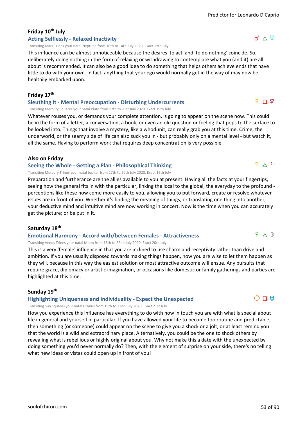# **Friday 10th July**

#### **Acting Selflessly - Relaxed Inactivity**

Transiting Mars Trines your natal Neptune from 10th to 14th July 2020. Exact 12th July

This influence can be almost unnoticeable because the desires 'to act' and 'to do nothing' coincide. So, deliberately doing nothing in the form of relaxing or withdrawing to contemplate what you (and it) are all about is recommended. It can also be a good idea to do something that helps others achieve ends that have little to do with your own. In fact, anything that your ego would normally get in the way of may now be healthily embarked upon.

#### **Friday 17th**

#### **Sleuthing It - Mental Preoccupation - Disturbing Undercurrents**

Transiting Mercury Squares your natal Pluto from 17th to 21st July 2020. Exact 19th July

Whatever rouses you, or demands your complete attention, is going to appear on the scene now. This could be in the form of a letter, a conversation, a book, or even an old question or feeling that pops to the surface to be looked into. Things that involve a mystery, like a whodunit, can really grab you at this time. Crime, the underworld, or the seamy side of life can also suck you in - but probably only on a mental level - but watch it, all the same. Having to perform work that requires deep concentration is very possible.

#### **Also on Friday**

#### **Seeing the Whole - Getting a Plan - Philosophical Thinking**

Transiting Mercury Trines your natal Jupiter from 17th to 20th July 2020. Exact 19th July

Preparation and furtherance are the allies available to you at present. Having all the facts at your fingertips, seeing how the general fits in with the particular, linking the local to the global, the everyday to the profound perceptions like these now come more easily to you, allowing you to put forward, create or resolve whatever issues are in front of you. Whether it's finding the meaning of things, or translating one thing into another, your deductive mind and intuitive mind are now working in concert. Now is the time when you can accurately get the picture; or be put in it.

#### **Saturday 18th**

#### **Emotional Harmony - Accord with/between Females - Attractiveness**

Transiting Venus Trines your natal Moon from 18th to 22nd July 2020. Exact 20th July

This is a very 'female' influence in that you are inclined to use charm and receptivity rather than drive and ambition. If you are usually disposed towards making things happen, now you are wise to let them happen as they will, because in this way the easiest solution or most attractive outcome will ensue. Any pursuits that require grace, diplomacy or artistic imagination, or occasions like domestic or family gatherings and parties are highlighted at this time.

#### **Sunday 19th**

#### **Highlighting Uniqueness and Individuality - Expect the Unexpected**

Transiting Sun Squares your natal Uranus from 19th to 22nd July 2020. Exact 21st July

How you experience this influence has everything to do with how in touch you are with what is special about life in general and yourself in particular. If you have allowed your life to become too routine and predictable, then something (or someone) could appear on the scene to give you a shock or a jolt, or at least remind you that the world is a wild and extraordinary place. Alternatively, you could be the one to shock others by revealing what is rebellious or highly original about you. Why not make this a date with the unexpected by doing something you'd never normally do? Then, with the element of surprise on your side, there's no telling what new ideas or vistas could open up in front of you!



 $P \wedge D$ 

# $\sqrt{2}$   $\wedge$   $\sqrt{4}$

ቑ Π ጀ

# $d \triangle \Psi$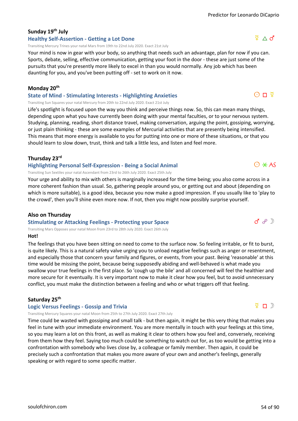# **Sunday 19th July**

#### **Healthy Self-Assertion - Getting a Lot Done**

Transiting Mercury Trines your natal Mars from 19th to 22nd July 2020. Exact 21st July

Your mind is now in gear with your body, so anything that needs such an advantage, plan for now if you can. Sports, debate, selling, effective communication, getting your foot in the door - these are just some of the pursuits that you're presently more likely to excel in than you would normally. Any job which has been daunting for you, and you've been putting off - set to work on it now.

#### **Monday 20th**

#### **State of Mind - Stimulating Interests - Highlighting Anxieties**

Transiting Sun Squares your natal Mercury from 20th to 22nd July 2020. Exact 21st July

Life's spotlight is focused upon the way you think and perceive things now. So, this can mean many things, depending upon what you have currently been doing with your mental faculties, or to your nervous system. Studying, planning, reading, short distance travel, making conversation, arguing the point, gossiping, worrying, or just plain thinking - these are some examples of Mercurial activities that are presently being intensified. This means that more energy is available to you for putting into one or more of these situations, or that you should learn to slow down, trust, think and talk a little less, and listen and feel more.

#### **Thursday 23rd**

#### **Highlighting Personal Self-Expression - Being a Social Animal**

Transiting Sun Sextiles your natal Ascendant from 23rd to 26th July 2020. Exact 25th July

Your urge and ability to mix with others is marginally increased for the time being; you also come across in a more coherent fashion than usual. So, gathering people around you, or getting out and about (depending on which is more suitable), is a good idea, because you now make a good impression. If you usually like to 'play to the crowd', then you'll shine even more now. If not, then you might now possibly surprise yourself.

#### **Also on Thursday**

#### **Stimulating or Attacking Feelings - Protecting your Space**

Transiting Mars Opposes your natal Moon from 23rd to 28th July 2020. Exact 26th July

#### **Hot!**

The feelings that you have been sitting on need to come to the surface now. So feeling irritable, or fit to burst, is quite likely. This is a natural safety valve urging you to unload negative feelings such as anger or resentment, and especially those that concern your family and figures, or events, from your past. Being 'reasonable' at this time would be missing the point, because being supposedly abiding and well-behaved is what made you swallow your true feelings in the first place. So 'cough up the bile' and all concerned will feel the healthier and more secure for it eventually. It is very important now to make it clear how you feel, but to avoid unnecessary conflict, you must make the distinction between a feeling and who or what triggers off that feeling.

#### **Saturday 25th**

#### **Logic Versus Feelings - Gossip and Trivia**

Transiting Mercury Squares your natal Moon from 25th to 27th July 2020. Exact 27th July

Time could be wasted with gossiping and small talk - but then again, it might be this very thing that makes you feel in tune with your immediate environment. You are more mentally in touch with your feelings at this time, so you may learn a lot on this front, as well as making it clear to others how you feel and, conversely, receiving from them how they feel. Saying too much could be something to watch out for, as too would be getting into a confrontation with somebody who lives close by, a colleague or family member. Then again, it could be precisely such a confrontation that makes you more aware of your own and another's feelings, generally speaking or with regard to some specific matter.







 $O\Pi$   $\Phi$ 

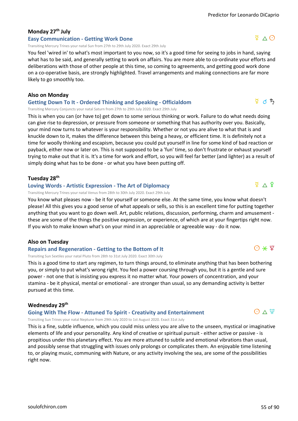# **Monday 27th July**

#### **Easy Communication - Getting Work Done**

Transiting Mercury Trines your natal Sun from 27th to 29th July 2020. Exact 29th July

You feel 'wired in' to what's most important to you now, so it's a good time for seeing to jobs in hand, saying what has to be said, and generally setting to work on affairs. You are more able to co-ordinate your efforts and deliberations with those of other people at this time, so coming to agreements, and getting good work done on a co-operative basis, are strongly highlighted. Travel arrangements and making connections are far more likely to go smoothly too.

#### **Also on Monday**

#### **Getting Down To It - Ordered Thinking and Speaking - Officialdom**

Transiting Mercury Conjuncts your natal Saturn from 27th to 29th July 2020. Exact 29th July

This is when you can (or have to) get down to some serious thinking or work. Failure to do what needs doing can give rise to depression, or pressure from someone or something that has authority over you. Basically, your mind now turns to whatever is your responsibility. Whether or not you are alive to what that is and knuckle down to it, makes the difference between this being a heavy, or efficient time. It is definitely not a time for woolly thinking and escapism, because you could put yourself in line for some kind of bad reaction or payback, either now or later on. This is not supposed to be a 'fun' time, so don't frustrate or exhaust yourself trying to make out that it is. It's a time for work and effort, so you will feel far better (and lighter) as a result of simply doing what has to be done - or what you have been putting off.

#### **Tuesday 28th**

#### **Loving Words - Artistic Expression - The Art of Diplomacy**

Transiting Mercury Trines your natal Venus from 28th to 30th July 2020. Exact 29th July

You know what pleases now - be it for yourself or someone else. At the same time, you know what doesn't please! All this gives you a good sense of what appeals or sells, so this is an excellent time for putting together anything that you want to go down well. Art, public relations, discussion, performing, charm and amusement these are some of the things the positive expression, or experience, of which are at your fingertips right now. If you wish to make known what's on your mind in an appreciable or agreeable way - do it now.

#### **Also on Tuesday**

**Repairs and Regeneration - Getting to the Bottom of It**

Transiting Sun Sextiles your natal Pluto from 28th to 31st July 2020. Exact 30th July

This is a good time to start any regimen, to turn things around, to eliminate anything that has been bothering you, or simply to put what's wrong right. You feel a power coursing through you, but it is a gentle and sure power - not one that is insisting you express it no matter what. Your powers of concentration, and your stamina - be it physical, mental or emotional - are stronger than usual, so any demanding activity is better pursued at this time.

#### **Wednesday 29th**

#### **Going With The Flow - Attuned To Spirit - Creativity and Entertainment**

Transiting Sun Trines your natal Neptune from 29th July 2020 to 1st August 2020. Exact 31st July

This is a fine, subtle influence, which you could miss unless you are alive to the unseen, mystical or imaginative elements of life and your personality. Any kind of creative or spiritual pursuit - either active or passive - is propitious under this planetary effect. You are more attuned to subtle and emotional vibrations than usual, and possibly sense that struggling with issues only prolongs or complicates them. An enjoyable time listening to, or playing music, communing with Nature, or any activity involving the sea, are some of the possibilities right now.



 $\bigcirc * \Psi$ 

 $\Phi \wedge \Phi$ 

# $\Phi \wedge \Theta$

 $\frac{5}{4}$  d  $\frac{1}{2}$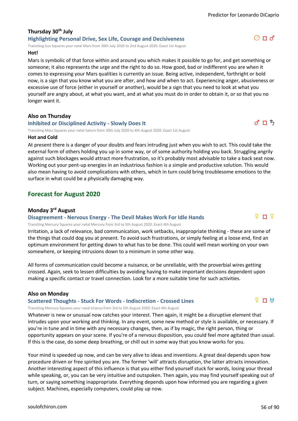# **Thursday 30th July Highlighting Personal Drive, Sex Life, Courage and Decisiveness**

Transiting Sun Squares your natal Mars from 30th July 2020 to 2nd August 2020. Exact 1st August

#### **Hot!**

Mars is symbolic of that force within and around you which makes it possible to go for, and get something or someone; it also represents the urge and the right to do so. How good, bad or indifferent you are when it comes to expressing your Mars qualities is currently an issue. Being active, independent, forthright or bold now, is a sign that you know what you are after, and how and when to act. Experiencing anger, abusiveness or excessive use of force (either in yourself or another), would be a sign that you need to look at what you yourself are angry about, at what you want, and at what you must do in order to obtain it, or so that you no longer want it.

#### **Also on Thursday**

#### **Inhibited or Disciplined Activity - Slowly Does It**

Transiting Mars Squares your natal Saturn from 30th July 2020 to 4th August 2020. Exact 1st August

#### **Hot and Cold**

At present there is a danger of your doubts and fears intruding just when you wish to act. This could take the external form of others holding you up in some way, or of some authority holding you back. Struggling angrily against such blockages would attract more frustration, so it's probably most advisable to take a back seat now. Working out your pent-up energies in an industrious fashion is a simple and productive solution. This would also mean having to avoid complications with others, which in turn could bring troublesome emotions to the surface in what could be a physically damaging way.

# **Forecast for August 2020**

#### **Monday 3rd August**

#### **Disagreement - Nervous Energy - The Devil Makes Work For Idle Hands**

Transiting Mercury Squares your natal Mercury from 3rd to 5th August 2020. Exact 4th August

Irritation, a lack of relevance, bad communication, work setbacks, inappropriate thinking - these are some of the things that could dog you at present. To avoid such frustrations, or simply feeling at a loose end, find an optimum environment for getting down to what has to be done. This could well mean working on your own somewhere, or keeping intrusions down to a minimum in some other way.

All forms of communication could become a nuisance, or be unreliable, with the proverbial wires getting crossed. Again, seek to lessen difficulties by avoiding having to make important decisions dependent upon making a specific contact or travel connection. Look for a more suitable time for such activities.

#### **Also on Monday**

#### **Scattered Thoughts - Stuck For Words - Indiscretion - Crossed Lines**

Transiting Mercury Squares your natal Uranus from 3rd to 5th August 2020. Exact 4th August

Whatever is new or unusual now catches your interest. Then again, it might be a disruptive element that intrudes upon your working and thinking. In any event, some new method or style is available, or necessary. If you're in tune and in time with any necessary changes, then, as if by magic, the right person, thing or opportunity appears on your scene. If you're of a nervous disposition, you could feel more agitated than usual. If this is the case, do some deep breathing, or chill out in some way that you know works for you.

Your mind is speeded up now, and can be very alive to ideas and inventions. A great deal depends upon how procedure driven or free spirited you are. The former 'will' attracts disruption, the latter attracts innovation. Another interesting aspect of this influence is that you either find yourself stuck for words, losing your thread while speaking, or, you can be very intuitive and outspoken. Then again, you may find yourself speaking out of turn, or saying something inappropriate. Everything depends upon how informed you are regarding a given subject. Machines, especially computers, could play up now.



d r d

 $d \sqcap b$ 

 $O \Pi d$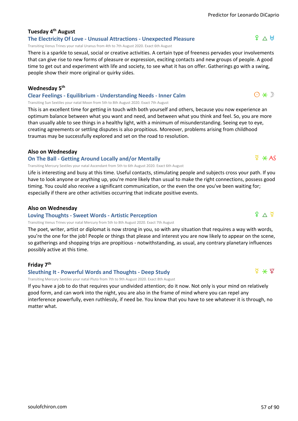# **Tuesday 4th August**

#### **The Electricity Of Love - Unusual Attractions - Unexpected Pleasure**

Transiting Venus Trines your natal Uranus from 4th to 7th August 2020. Exact 6th August

There is a sparkle to sexual, social or creative activities. A certain type of freeness pervades your involvements that can give rise to new forms of pleasure or expression, exciting contacts and new groups of people. A good time to get out and experiment with life and society, to see what it has on offer. Gatherings go with a swing, people show their more original or quirky sides.

#### **Wednesday 5th**

#### **Clear Feelings - Equilibrium - Understanding Needs - Inner Calm**

Transiting Sun Sextiles your natal Moon from 5th to 8th August 2020. Exact 7th August

This is an excellent time for getting in touch with both yourself and others, because you now experience an optimum balance between what you want and need, and between what you think and feel. So, you are more than usually able to see things in a healthy light, with a minimum of misunderstanding. Seeing eye to eye, creating agreements or settling disputes is also propitious. Moreover, problems arising from childhood traumas may be successfully explored and set on the road to resolution.

#### **Also on Wednesday**

#### **On The Ball - Getting Around Locally and/or Mentally**

Transiting Mercury Sextiles your natal Ascendant from 5th to 6th August 2020. Exact 6th August

Life is interesting and busy at this time. Useful contacts, stimulating people and subjects cross your path. If you have to look anyone or anything up, you're more likely than usual to make the right connections, possess good timing. You could also receive a significant communication, or the even the one you've been waiting for; especially if there are other activities occurring that indicate positive events.

#### **Also on Wednesday**

#### **Loving Thoughts - Sweet Words - Artistic Perception**

Transiting Venus Trines your natal Mercury from 5th to 8th August 2020. Exact 7th August

The poet, writer, artist or diplomat is now strong in you, so with any situation that requires a way with words, you're the one for the job! People or things that please and interest you are now likely to appear on the scene, so gatherings and shopping trips are propitious - notwithstanding, as usual, any contrary planetary influences possibly active at this time.

### **Friday 7th**

# **Sleuthing It - Powerful Words and Thoughts - Deep Study**

Transiting Mercury Sextiles your natal Pluto from 7th to 9th August 2020. Exact 8th August

If you have a job to do that requires your undivided attention; do it now. Not only is your mind on relatively good form, and can work into the night, you are also in the frame of mind where you can repel any interference powerfully, even ruthlessly, if need be. You know that you have to see whatever it is through, no matter what.



 $\frac{d}{dx}$   $\angle$  AS

 $P \wedge H$ 



 $9 \wedge 9$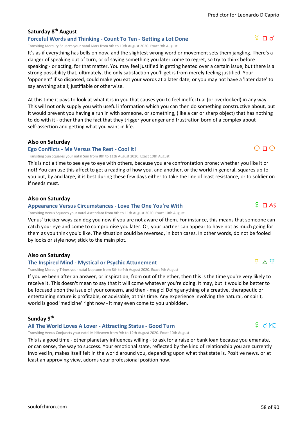## **Saturday 8th August**

**Forceful Words and Thinking - Count To Ten - Getting a Lot Done** Transiting Mercury Squares your natal Mars from 8th to 10th August 2020. Exact 9th August

It's as if everything has bells on now, and the slightest wrong word or movement sets them jangling. There's a danger of speaking out of turn, or of saying something you later come to regret, so try to think before speaking - or acting, for that matter. You may feel justified in getting heated over a certain issue, but there is a strong possibility that, ultimately, the only satisfaction you'll get is from merely feeling justified. Your 'opponent' if so disposed, could make you eat your words at a later date, or you may not have a 'later date' to say anything at all; justifiable or otherwise.

At this time it pays to look at what it is in you that causes you to feel ineffectual (or overlooked) in any way. This will not only supply you with useful information which you can then do something constructive about, but it would prevent you having a run in with someone, or something, (like a car or sharp object) that has nothing to do with it - other than the fact that they trigger your anger and frustration born of a complex about self-assertion and getting what you want in life.

#### **Also on Saturday**

#### **Ego Conflicts - Me Versus The Rest - Cool It!**

Transiting Sun Squares your natal Sun from 8th to 11th August 2020. Exact 10th August

This is not a time to see eye to eye with others, because you are confrontation prone; whether you like it or not! You can use this affect to get a reading of how you, and another, or the world in general, squares up to you but, by and large, it is best during these few days either to take the line of least resistance, or to soldier on if needs must.

#### **Also on Saturday**

#### **Appearance Versus Circumstances - Love The One You're With**

Transiting Venus Squares your natal Ascendant from 8th to 11th August 2020. Exact 10th August

Venus' trickier ways can dog you now if you are not aware of them. For instance, this means that someone can catch your eye and come to compromise you later. Or, your partner can appear to have not as much going for them as you think you'd like. The situation could be reversed, in both cases. In other words, do not be fooled by looks or style now; stick to the main plot.

#### **Also on Saturday**

#### **The Inspired Mind - Mystical or Psychic Attunement**

Transiting Mercury Trines your natal Neptune from 8th to 9th August 2020. Exact 9th August

If you've been after an answer, or inspiration, from out of the ether, then this is the time you're very likely to receive it. This doesn't mean to say that it will come whatever you're doing. It may, but it would be better to be focused upon the issue of your concern, and then - magic! Doing anything of a creative, therapeutic or entertaining nature is profitable, or advisable, at this time. Any experience involving the natural, or spirit, world is good 'medicine' right now - it may even come to you unbidden.

#### **Sunday 9th**

### **All The World Loves A Lover - Attracting Status - Good Turn**

Transiting Venus Conjuncts your natal MidHeaven from 9th to 12th August 2020. Exact 10th August

This is a good time - other planetary influences willing - to ask for a raise or bank loan because you emanate, or can sense, the way to success. Your emotional state, reflected by the kind of relationship you are currently involved in, makes itself felt in the world around you, depending upon what that state is. Positive news, or at least an approving view, adorns your professional position now.

# f d MC



 $\Omega$   $\Box$  AS

 $\Phi \vee \Psi$ 

 $O \Pi O$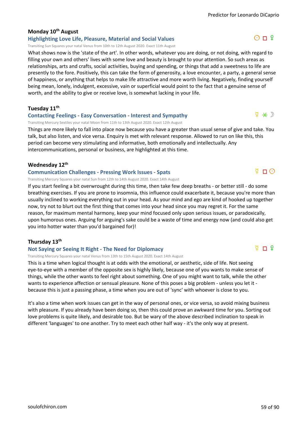# **Monday 10th August**

# **Highlighting Love Life, Pleasure, Material and Social Values**

Transiting Sun Squares your natal Venus from 10th to 12th August 2020. Exact 11th August

What shows now is the 'state of the art'. In other words, whatever you are doing, or not doing, with regard to filling your own and others' lives with some love and beauty is brought to your attention. So such areas as relationships, arts and crafts, social activities, buying and spending, or things that add a sweetness to life are presently to the fore. Positively, this can take the form of generosity, a love encounter, a party, a general sense of happiness, or anything that helps to make life attractive and more worth living. Negatively, finding yourself being mean, lonely, indulgent, excessive, vain or superficial would point to the fact that a genuine sense of worth, and the ability to give or receive love, is somewhat lacking in your life.

**Tuesday 11th**

#### **Contacting Feelings - Easy Conversation - Interest and Sympathy**

Transiting Mercury Sextiles your natal Moon from 11th to 13th August 2020. Exact 12th August

Things are more likely to fall into place now because you have a greater than usual sense of give and take. You talk, but also listen, and vice versa. Enquiry is met with relevant response. Allowed to run on like this, this period can become very stimulating and informative, both emotionally and intellectually. Any intercommunications, personal or business, are highlighted at this time.

#### **Wednesday 12th**

#### **Communication Challenges - Pressing Work Issues - Spats**

Transiting Mercury Squares your natal Sun from 12th to 14th August 2020. Exact 14th August

If you start feeling a bit overwrought during this time, then take few deep breaths - or better still - do some breathing exercises. If you are prone to insomnia, this influence could exacerbate it, because you're more than usually inclined to working everything out in your head. As your mind and ego are kind of hooked up together now, try not to blurt out the first thing that comes into your head since you may regret it. For the same reason, for maximum mental harmony, keep your mind focused only upon serious issues, or paradoxically, upon humorous ones. Arguing for arguing's sake could be a waste of time and energy now (and could also get you into hotter water than you'd bargained for)!

### **Thursday 13th**

#### **Not Saying or Seeing It Right - The Need for Diplomacy**

Transiting Mercury Squares your natal Venus from 13th to 15th August 2020. Exact 14th August

This is a time when logical thought is at odds with the emotional, or aesthetic, side of life. Not seeing eye-to-eye with a member of the opposite sex is highly likely, because one of you wants to make sense of things, while the other wants to feel right about something. One of you might want to talk, while the other wants to experience affection or sensual pleasure. None of this poses a big problem - unless you let it because this is just a passing phase, a time when you are out of 'sync' with whoever is close to you.

It's also a time when work issues can get in the way of personal ones, or vice versa, so avoid mixing business with pleasure. If you already have been doing so, then this could prove an awkward time for you. Sorting out love problems is quite likely, and desirable too. But be wary of the above described inclination to speak in different 'languages' to one another. Try to meet each other half way - it's the only way at present.



 $\Phi \times D$ 

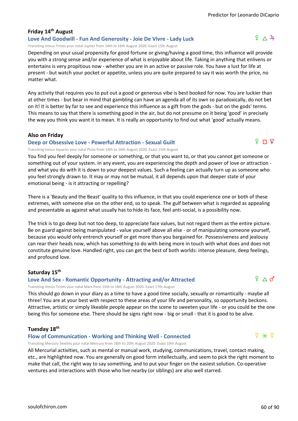# **Friday 14th August**

#### **Love And Goodwill - Fun And Generosity - Joie De Vivre - Lady Luck**

Transiting Venus Trines your natal Jupiter from 14th to 16th August 2020. Exact 15th August

Depending on your usual propensity for good fortune or giving/having a good time, this influence will provide you with a strong sense and/or experience of what is enjoyable about life. Taking in anything that enlivens or entertains is very propitious now - whether you are in an active or passive role. You have a lust for life at present - but watch your pocket or appetite, unless you are quite prepared to say it was worth the price, no matter what.

Any activity that requires you to put out a good or generous vibe is best booked for now. You are luckier than at other times - but bear in mind that gambling can have an agenda all of its own so paradoxically, do not bet on it! It is better by far to see and experience this influence as a gift from the gods - but on the gods' terms. This means to say that there is something good in the air, but do not presume on it being 'good' in precisely the way you think you want it to mean. It is really an opportunity to find out what 'good' actually means.

#### **Also on Friday**

#### **Deep or Obsessive Love - Powerful Attraction - Sexual Guilt**

Transiting Venus Squares your natal Pluto from 14th to 16th August 2020. Exact 15th August

You find you feel deeply for someone or something, or that you want to, or that you cannot get someone or something out of your system. In any event, you are experiencing the depth and power of love or attraction and what you do with it is down to your deepest values. Such a feeling can actually turn up as someone who you feel strongly drawn to. It may or may not be mutual, it all depends upon that deeper state of your emotional being - is it attracting or repelling?

There is a 'Beauty and the Beast' quality to this influence, in that you could experience one or both of these extremes, with someone else on the other end, so to speak. The gulf between what is regarded as appealing and presentable as against what usually has to hide its face, feel anti-social, is a possibility now.

The trick is to go deep but not too deep, to appreciate face values, but not regard them as the entire picture. Be on guard against being manipulated - value yourself above all else - or of manipulating someone yourself, because you would only entrench yourself or get more than you bargained for. Possessiveness and jealousy can rear their heads now, which has something to do with being more in touch with what does and does not constitute genuine love. Handled right, you can get the best of both worlds: intense pleasure, deep feelings, and profound love.

#### **Saturday 15th**

### **Love And Sex - Romantic Opportunity - Attracting and/or Attracted**

Transiting Venus Trines your natal Mars from 15th to 18th August 2020. Exact 17th August

This should go down in your diary as a time to have a good time socially, sexually or romantically - maybe all three! You are at your best with respect to these areas of your life and personality, so opportunity beckons. Attractive, artistic or simply likeable people appear on the scene to sweeten your life - or you could be the one being this for someone else. There should be signs right now - big or small - that it is good to be alive.

#### **Tuesday 18th**

#### **Flow of Communication - Working and Thinking Well - Connected**

Transiting Mercury Sextiles your natal Mercury from 18th to 20th August 2020. Exact 19th August

All Mercurial activities, such as mental or manual work, studying, communications, travel, contact making, etc., are highlighted now. You are generally on good form intellectually, and seem to pick the right moment to make that call, the right way to say something, and to put your finger on the easiest solution. Co-operative ventures and interactions with those who live nearby (or siblings) are also well starred.



 $\frac{1}{2}$   $\frac{1}{2}$ 

# $9^{\circ}$   $\wedge$   $3^{\circ}$

ያ ⊓ ⊻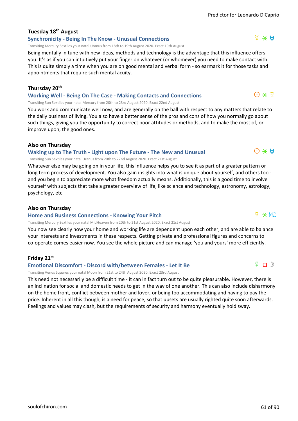# **Tuesday 18th August**

#### **Synchronicity - Being In The Know - Unusual Connections**

Transiting Mercury Sextiles your natal Uranus from 18th to 19th August 2020. Exact 19th August

Being mentally in tune with new ideas, methods and technology is the advantage that this influence offers you. It's as if you can intuitively put your finger on whatever (or whomever) you need to make contact with. This is quite simply a time when you are on good mental and verbal form - so earmark it for those tasks and appointments that require such mental acuity.

#### **Thursday 20th**

**Working Well - Being On The Case - Making Contacts and Connections**

Transiting Sun Sextiles your natal Mercury from 20th to 23rd August 2020. Exact 22nd August

You work and communicate well now, and are generally on the ball with respect to any matters that relate to the daily business of living. You also have a better sense of the pros and cons of how you normally go about such things, giving you the opportunity to correct poor attitudes or methods, and to make the most of, or improve upon, the good ones.

#### **Also on Thursday**

#### **Waking up to The Truth - Light upon The Future - The New and Unusual**

Transiting Sun Sextiles your natal Uranus from 20th to 22nd August 2020. Exact 21st August

Whatever else may be going on in your life, this influence helps you to see it as part of a greater pattern or long term process of development. You also gain insights into what is unique about yourself, and others too and you begin to appreciate more what freedom actually means. Additionally, this is a good time to involve yourself with subjects that take a greater overview of life, like science and technology, astronomy, astrology, psychology, etc.

#### **Also on Thursday**

#### **Home and Business Connections - Knowing Your Pitch**

Transiting Mercury Sextiles your natal MidHeaven from 20th to 21st August 2020. Exact 21st August

You now see clearly how your home and working life are dependent upon each other, and are able to balance your interests and investments in these respects. Getting private and professional figures and concerns to co-operate comes easier now. You see the whole picture and can manage 'you and yours' more efficiently.

### **Friday 21st**

#### **Emotional Discomfort - Discord with/between Females - Let It Be**

Transiting Venus Squares your natal Moon from 21st to 24th August 2020. Exact 23rd August

This need not necessarily be a difficult time - it can in fact turn out to be quite pleasurable. However, there is an inclination for social and domestic needs to get in the way of one another. This can also include disharmony on the home front, conflict between mother and lover, or being too accommodating and having to pay the price. Inherent in all this though, is a need for peace, so that upsets are usually righted quite soon afterwards. Feelings and values may clash, but the requirements of security and harmony eventually hold sway.



 $\Phi \times MC$ 

 $O \times H$ 



 $\Delta \times H$ 

 $\Theta \star \nabla$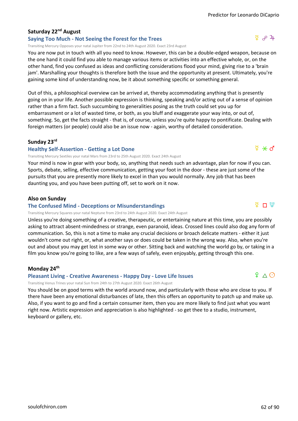# **Saturday 22nd August**

# **Saying Too Much - Not Seeing the Forest for the Trees**

Transiting Mercury Opposes your natal Jupiter from 22nd to 24th August 2020. Exact 23rd August

You are now put in touch with all you need to know. However, this can be a double-edged weapon, because on the one hand it could find you able to manage various items or activities into an effective whole, or, on the other hand, find you confused as ideas and conflicting considerations flood your mind, giving rise to a 'brain jam'. Marshalling your thoughts is therefore both the issue and the opportunity at present. Ultimately, you're gaining some kind of understanding now, be it about something specific or something general.

Out of this, a philosophical overview can be arrived at, thereby accommodating anything that is presently going on in your life. Another possible expression is thinking, speaking and/or acting out of a sense of opinion rather than a firm fact. Such succumbing to generalities posing as the truth could set you up for embarrassment or a lot of wasted time, or both, as you bluff and exaggerate your way into, or out of, something. So, get the facts straight - that is, of course, unless you're quite happy to pontificate. Dealing with foreign matters (or people) could also be an issue now - again, worthy of detailed consideration.

### **Sunday 23rd**

#### **Healthy Self-Assertion - Getting a Lot Done**

Transiting Mercury Sextiles your natal Mars from 23rd to 25th August 2020. Exact 24th August

Your mind is now in gear with your body, so, anything that needs such an advantage, plan for now if you can. Sports, debate, selling, effective communication, getting your foot in the door - these are just some of the pursuits that you are presently more likely to excel in than you would normally. Any job that has been daunting you, and you have been putting off, set to work on it now.

### **Also on Sunday**

#### **The Confused Mind - Deceptions or Misunderstandings**

Transiting Mercury Squares your natal Neptune from 23rd to 24th August 2020. Exact 24th August

Unless you're doing something of a creative, therapeutic, or entertaining nature at this time, you are possibly asking to attract absent-mindedness or strange, even paranoid, ideas. Crossed lines could also dog any form of communication. So, this is not a time to make any crucial decisions or broach delicate matters - either it just wouldn't come out right, or, what another says or does could be taken in the wrong way. Also, when you're out and about you may get lost in some way or other. Sitting back and watching the world go by, or taking in a film you know you're going to like, are a few ways of safely, even enjoyably, getting through this one.

#### **Monday 24th**

#### **Pleasant Living - Creative Awareness - Happy Day - Love Life Issues**

Transiting Venus Trines your natal Sun from 24th to 27th August 2020. Exact 26th August

You should be on good terms with the world around now, and particularly with those who are close to you. If there have been any emotional disturbances of late, then this offers an opportunity to patch up and make up. Also, if you want to go and find a certain consumer item, then you are more likely to find just what you want right now. Artistic expression and appreciation is also highlighted - so get thee to a studio, instrument, keyboard or gallery, etc.



 $94$ 



 $9 \wedge 9$ 

 $\Phi \times d$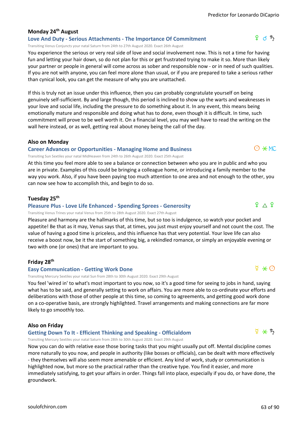## **Monday 24th August**

#### **Love And Duty - Serious Attachments - The Importance Of Commitment**

Transiting Venus Conjuncts your natal Saturn from 24th to 27th August 2020. Exact 26th August

You experience the serious or very real side of love and social involvement now. This is not a time for having fun and letting your hair down, so do not plan for this or get frustrated trying to make it so. More than likely your partner or people in general will come across as sober and responsible now - or in need of such qualities. If you are not with anyone, you can feel more alone than usual, or if you are prepared to take a serious rather than cynical look, you can get the measure of why you are unattached.

If this is truly not an issue under this influence, then you can probably congratulate yourself on being genuinely self-sufficient. By and large though, this period is inclined to show up the warts and weaknesses in your love and social life, including the pressure to do something about it. In any event, this means being emotionally mature and responsible and doing what has to done, even though it is difficult. In time, such commitment will prove to be well worth it. On a financial level, you may well have to read the writing on the wall here instead, or as well, getting real about money being the call of the day.

#### **Also on Monday**

#### **Career Advances or Opportunities - Managing Home and Business**

Transiting Sun Sextiles your natal MidHeaven from 24th to 26th August 2020. Exact 25th August

At this time you feel more able to see a balance or connection between who you are in public and who you are in private. Examples of this could be bringing a colleague home, or introducing a family member to the way you work. Also, if you have been paying too much attention to one area and not enough to the other, you can now see how to accomplish this, and begin to do so.

#### **Tuesday 25th**

#### **Pleasure Plus - Love Life Enhanced - Spending Sprees - Generosity**

Transiting Venus Trines your natal Venus from 25th to 28th August 2020. Exact 27th August

Pleasure and harmony are the hallmarks of this time, but so too is indulgence, so watch your pocket and appetite! Be that as it may, Venus says that, at times, you just must enjoy yourself and not count the cost. The value of having a good time is priceless, and this influence has that very potential. Your love life can also receive a boost now, be it the start of something big, a rekindled romance, or simply an enjoyable evening or two with one (or ones) that are important to you.

#### **Friday 28th**

#### **Easy Communication - Getting Work Done**

Transiting Mercury Sextiles your natal Sun from 28th to 30th August 2020. Exact 29th August

You feel 'wired in' to what's most important to you now, so it's a good time for seeing to jobs in hand, saying what has to be said, and generally setting to work on affairs. You are more able to co-ordinate your efforts and deliberations with those of other people at this time, so coming to agreements, and getting good work done on a co-operative basis, are strongly highlighted. Travel arrangements and making connections are far more likely to go smoothly too.

#### **Also on Friday**

#### **Getting Down To It - Efficient Thinking and Speaking - Officialdom**

Transiting Mercury Sextiles your natal Saturn from 28th to 30th August 2020. Exact 29th August

Now you can do with relative ease those boring tasks that you might usually put off. Mental discipline comes more naturally to you now, and people in authority (like bosses or officials), can be dealt with more effectively - they themselves will also seem more amenable or efficient. Any kind of work, study or communication is highlighted now, but more so the practical rather than the creative type. You find it easier, and more immediately satisfying, to get your affairs in order. Things fall into place, especially if you do, or have done, the groundwork.

 $O \times MC$ 

 $\begin{smallmatrix} 9 & \Delta & 9 \end{smallmatrix}$ 



 $\Phi \times \mathcal{L}$ 

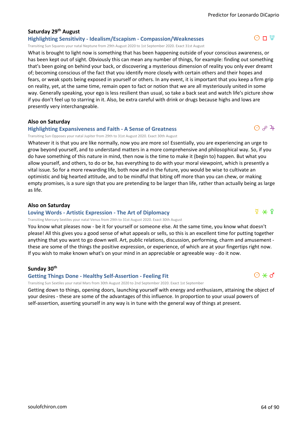$O \Pi \Psi$ 

# **Saturday 29th August**

# **Highlighting Sensitivity - Idealism/Escapism - Compassion/Weaknesses**

Transiting Sun Squares your natal Neptune from 29th August 2020 to 1st September 2020. Exact 31st August

What is brought to light now is something that has been happening outside of your conscious awareness, or has been kept out of sight. Obviously this can mean any number of things, for example: finding out something that's been going on behind your back, or discovering a mysterious dimension of reality you only ever dreamt of; becoming conscious of the fact that you identify more closely with certain others and their hopes and fears, or weak spots being exposed in yourself or others. In any event, it is important that you keep a firm grip on reality, yet, at the same time, remain open to fact or notion that we are all mysteriously united in some way. Generally speaking, your ego is less resilient than usual, so take a back seat and watch life's picture show if you don't feel up to starring in it. Also, be extra careful with drink or drugs because highs and lows are presently very interchangeable.

### **Also on Saturday**

### **Highlighting Expansiveness and Faith - A Sense of Greatness**

Transiting Sun Opposes your natal Jupiter from 29th to 31st August 2020. Exact 30th August

Whatever it is that you are like normally, now you are more so! Essentially, you are experiencing an urge to grow beyond yourself, and to understand matters in a more comprehensive and philosophical way. So, if you do have something of this nature in mind, then now is the time to make it (begin to) happen. But what you allow yourself, and others, to do or be, has everything to do with your moral viewpoint, which is presently a vital issue. So for a more rewarding life, both now and in the future, you would be wise to cultivate an optimistic and big hearted attitude, and to be mindful that biting off more than you can chew, or making empty promises, is a sure sign that you are pretending to be larger than life, rather than actually being as large as life.

#### **Also on Saturday**

#### **Loving Words - Artistic Expression - The Art of Diplomacy**

Transiting Mercury Sextiles your natal Venus from 29th to 31st August 2020. Exact 30th August

You know what pleases now - be it for yourself or someone else. At the same time, you know what doesn't please! All this gives you a good sense of what appeals or sells, so this is an excellent time for putting together anything that you want to go down well. Art, public relations, discussion, performing, charm and amusement these are some of the things the positive expression, or experience, of which are at your fingertips right now. If you wish to make known what's on your mind in an appreciable or agreeable way - do it now.

#### **Sunday 30th**

#### **Getting Things Done - Healthy Self-Assertion - Feeling Fit**

Transiting Sun Sextiles your natal Mars from 30th August 2020 to 2nd September 2020. Exact 1st September

Getting down to things, opening doors, launching yourself with energy and enthusiasm, attaining the object of your desires - these are some of the advantages of this influence. In proportion to your usual powers of self-assertion, asserting yourself in any way is in tune with the general way of things at present.



 $\odot$   $\phi$  4





 $\Phi$   $*$   $\Phi$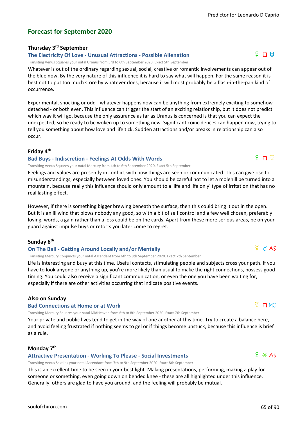# **Forecast for September 2020**

#### **Thursday 3rd September**

#### **The Electricity Of Love - Unusual Attractions - Possible Alienation**

Transiting Venus Squares your natal Uranus from 3rd to 6th September 2020. Exact 5th September

Whatever is out of the ordinary regarding sexual, social, creative or romantic involvements can appear out of the blue now. By the very nature of this influence it is hard to say what will happen. For the same reason it is best not to put too much store by whatever does, because it will most probably be a flash-in-the-pan kind of occurrence.

Experimental, shocking or odd - whatever happens now can be anything from extremely exciting to somehow detached - or both even. This influence can trigger the start of an exciting relationship, but it does not predict which way it will go, because the only assurance as far as Uranus is concerned is that you can expect the unexpected; so be ready to be woken up to something new. Significant coincidences can happen now, trying to tell you something about how love and life tick. Sudden attractions and/or breaks in relationship can also occur.

#### **Friday 4th**

#### **Bad Buys - Indiscretion - Feelings At Odds With Words**

Transiting Venus Squares your natal Mercury from 4th to 6th September 2020. Exact 5th September

Feelings and values are presently in conflict with how things are seen or communicated. This can give rise to misunderstandings, especially between loved ones. You should be careful not to let a molehill be turned into a mountain, because really this influence should only amount to a 'life and life only' type of irritation that has no real lasting effect.

However, if there is something bigger brewing beneath the surface, then this could bring it out in the open. But it is an ill wind that blows nobody any good, so with a bit of self control and a few well chosen, preferably loving, words, a gain rather than a loss could be on the cards. Apart from these more serious areas, be on your guard against impulse buys or retorts you later come to regret.

#### **Sunday 6th**

#### **On The Ball - Getting Around Locally and/or Mentally**

Transiting Mercury Conjuncts your natal Ascendant from 6th to 8th September 2020. Exact 7th September

Life is interesting and busy at this time. Useful contacts, stimulating people and subjects cross your path. If you have to look anyone or anything up, you're more likely than usual to make the right connections, possess good timing. You could also receive a significant communication, or even the one you have been waiting for, especially if there are other activities occurring that indicate positive events.

#### **Also on Sunday**

#### **Bad Connections at Home or at Work**

Transiting Mercury Squares your natal MidHeaven from 6th to 8th September 2020. Exact 7th September

Your private and public lives tend to get in the way of one another at this time. Try to create a balance here, and avoid feeling frustrated if nothing seems to gel or if things become unstuck, because this influence is brief as a rule.

#### **Monday 7th**

#### **Attractive Presentation - Working To Please - Social Investments**

Transiting Venus Sextiles your natal Ascendant from 7th to 9th September 2020. Exact 8th September

This is an excellent time to be seen in your best light. Making presentations, performing, making a play for someone or something, even going down on bended knee - these are all highlighted under this influence. Generally, others are glad to have you around, and the feeling will probably be mutual.



 $\overline{Q}$   $\Box$  MC

# $\Omega$  T  $\Omega$

# $\Phi$  d AS

# $f \Box H$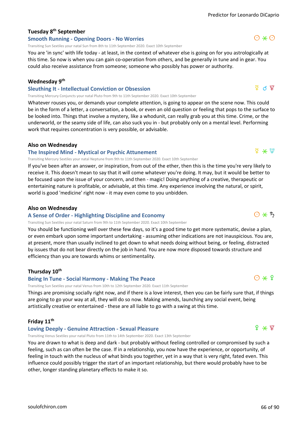# **Tuesday 8th September**

#### **Smooth Running - Opening Doors - No Worries**

Transiting Sun Sextiles your natal Sun from 8th to 11th September 2020. Exact 10th September

You are 'in sync' with life today - at least, in the context of whatever else is going on for you astrologically at this time. So now is when you can gain co-operation from others, and be generally in tune and in gear. You could also receive assistance from someone; someone who possibly has power or authority.

#### **Wednesday 9th**

#### **Sleuthing It - Intellectual Conviction or Obsession**

Transiting Mercury Conjuncts your natal Pluto from 9th to 11th September 2020. Exact 10th September

Whatever rouses you, or demands your complete attention, is going to appear on the scene now. This could be in the form of a letter, a conversation, a book, or even an old question or feeling that pops to the surface to be looked into. Things that involve a mystery, like a whodunit, can really grab you at this time. Crime, or the underworld, or the seamy side of life, can also suck you in - but probably only on a mental level. Performing work that requires concentration is very possible, or advisable.

#### **Also on Wednesday**

#### **The Inspired Mind - Mystical or Psychic Attunement**

Transiting Mercury Sextiles your natal Neptune from 9th to 11th September 2020. Exact 10th September

If you've been after an answer, or inspiration, from out of the ether, then this is the time you're very likely to receive it. This doesn't mean to say that it will come whatever you're doing. It may, but it would be better to be focused upon the issue of your concern, and then - magic! Doing anything of a creative, therapeutic or entertaining nature is profitable, or advisable, at this time. Any experience involving the natural, or spirit, world is good 'medicine' right now - it may even come to you unbidden.

#### **Also on Wednesday**

#### **A Sense of Order - Highlighting Discipline and Economy**

Transiting Sun Sextiles your natal Saturn from 9th to 11th September 2020. Exact 10th September

You should be functioning well over these few days, so it's a good time to get more systematic, devise a plan, or even embark upon some important undertaking - assuming other indications are not inauspicious. You are, at present, more than usually inclined to get down to what needs doing without being, or feeling, distracted by issues that do not bear directly on the job in hand. You are now more disposed towards structure and efficiency than you are towards whims or sentimentality.

#### **Thursday 10th**

#### **Being In Tune - Social Harmony - Making The Peace**

Transiting Sun Sextiles your natal Venus from 10th to 12th September 2020. Exact 11th September

Things are promising socially right now, and if there is a love interest, then you can be fairly sure that, if things are going to go your way at all, they will do so now. Making amends, launching any social event, being artistically creative or entertained - these are all liable to go with a swing at this time.

#### **Friday 11th**

#### **Loving Deeply - Genuine Attraction - Sexual Pleasure**

Transiting Venus Sextiles your natal Pluto from 11th to 14th September 2020. Exact 13th September

You are drawn to what is deep and dark - but probably without feeling controlled or compromised by such a feeling, such as can often be the case. If in a relationship, you now have the experience, or opportunity, of feeling in touch with the nucleus of what binds you together, yet in a way that is very right, fated even. This influence could possibly trigger the start of an important relationship, but there would probably have to be other, longer standing planetary effects to make it so.



 $f * f$ 

 $\nabla$  ና ሕ

 $O \times O$ 

# $\Phi \times \Phi$

 $O*5$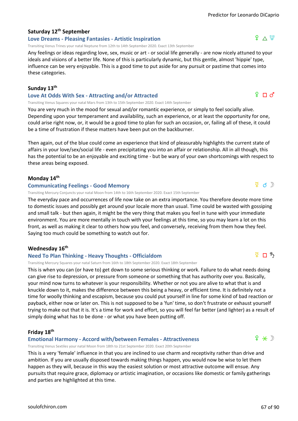# **Saturday 12th September**

#### **Love Dreams - Pleasing Fantasies - Artistic Inspiration**

Transiting Venus Trines your natal Neptune from 12th to 14th September 2020. Exact 13th September

Any feelings or ideas regarding love, sex, music or art - or social life generally - are now nicely attuned to your ideals and visions of a better life. None of this is particularly dynamic, but this gentle, almost 'hippie' type, influence can be very enjoyable. This is a good time to put aside for any pursuit or pastime that comes into these categories.

#### **Sunday 13th**

#### **Love At Odds With Sex - Attracting and/or Attracted**

Transiting Venus Squares your natal Mars from 13th to 15th September 2020. Exact 14th September

You are very much in the mood for sexual and/or romantic experience, or simply to feel socially alive. Depending upon your temperament and availability, such an experience, or at least the opportunity for one, could arise right now, or, it would be a good time to plan for such an occasion, or, failing all of these, it could be a time of frustration if these matters have been put on the backburner.

Then again, out of the blue could come an experience that kind of pleasurably highlights the current state of affairs in your love/sex/social life - even precipitating you into an affair or relationship. All in all though, this has the potential to be an enjoyable and exciting time - but be wary of your own shortcomings with respect to these areas being exposed.

#### **Monday 14th**

#### **Communicating Feelings - Good Memory**

Transiting Mercury Conjuncts your natal Moon from 14th to 16th September 2020. Exact 15th September

The everyday pace and occurrences of life now take on an extra importance. You therefore devote more time to domestic issues and possibly get around your locale more than usual. Time could be wasted with gossiping and small talk - but then again, it might be the very thing that makes you feel in tune with your immediate environment. You are more mentally in touch with your feelings at this time, so you may learn a lot on this front, as well as making it clear to others how you feel, and conversely, receiving from them how they feel. Saying too much could be something to watch out for.

#### **Wednesday 16th**

#### **Need To Plan Thinking - Heavy Thoughts - Officialdom**

Transiting Mercury Squares your natal Saturn from 16th to 18th September 2020. Exact 18th September

This is when you can (or have to) get down to some serious thinking or work. Failure to do what needs doing can give rise to depression, or pressure from someone or something that has authority over you. Basically, your mind now turns to whatever is your responsibility. Whether or not you are alive to what that is and knuckle down to it, makes the difference between this being a heavy, or efficient time. It is definitely not a time for woolly thinking and escapism, because you could put yourself in line for some kind of bad reaction or payback, either now or later on. This is not supposed to be a 'fun' time, so don't frustrate or exhaust yourself trying to make out that it is. It's a time for work and effort, so you will feel far better (and lighter) as a result of simply doing what has to be done - or what you have been putting off.

#### **Friday 18th**

**Emotional Harmony - Accord with/between Females - Attractiveness**

Transiting Venus Sextiles your natal Moon from 18th to 21st September 2020. Exact 20th September

This is a very 'female' influence in that you are inclined to use charm and receptivity rather than drive and ambition. If you are usually disposed towards making things happen, you would now be wise to let them happen as they will, because in this way the easiest solution or most attractive outcome will ensue. Any pursuits that require grace, diplomacy or artistic imagination, or occasions like domestic or family gatherings and parties are highlighted at this time.

# ጀΠኻ

 $f \star \mathcal{D}$ 

 $\Phi$  d  $\mathbb{D}$ 

# $f \Box \circ f$

 $9 \wedge 4$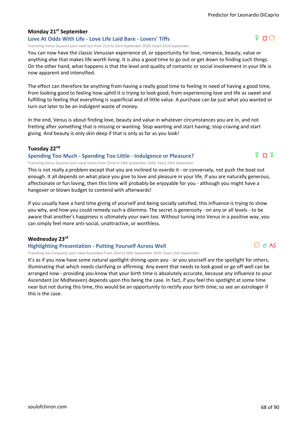# **Monday 21st September**

## **Love At Odds With Life - Love Life Laid Bare - Lovers' Tiffs**

Transiting Venus Squares your natal Sun from 21st to 23rd September 2020. Exact 22nd September

You can now have the classic Venusian experience of, or opportunity for love, romance, beauty, value or anything else that makes life worth living. It is also a good time to go out or get down to finding such things. On the other hand, what happens is that the level and quality of romantic or social involvement in your life is now apparent and intensified.

The effect can therefore be anything from having a really good time to feeling in need of having a good time, from looking good to feeling how uphill it is trying to look good, from experiencing love and life as sweet and fulfilling to feeling that everything is superficial and of little value. A purchase can be just what you wanted or turn out later to be an indulgent waste of money.

In the end, Venus is about finding love, beauty and value in whatever circumstances you are in, and not fretting after something that is missing or wanting. Stop wanting and start having; stop craving and start giving. And beauty is only skin deep if that is only as far as you look!

# **Tuesday 22nd**

# **Spending Too Much - Spending Too Little - Indulgence or Pleasure?**

Transiting Venus Squares your natal Venus from 22nd to 24th September 2020. Exact 23rd September

This is not really a problem except that you are inclined to overdo it - or conversely, not push the boat out enough. It all depends on what place you give to love and pleasure in your life. If you are naturally generous, affectionate or fun loving, then this time will probably be enjoyable for you - although you might have a hangover or blown budget to contend with afterwards!

If you usually have a hard time giving of yourself and being socially satisfied, this influence is trying to show you why, and how you could remedy such a dilemma. The secret is generosity - on any or all levels - to be aware that another's happiness is ultimately your own too. Without tuning into Venus in a positive way, you can simply feel more anti-social, unattractive, or worthless.

# **Wednesday 23rd**

# **Highlighting Presentation - Putting Yourself Across Well**

Transiting Sun Conjuncts your natal Ascendant from 23rd to 26th September 2020. Exact 25th September

It's as if you now have some natural spotlight shining upon you - or you yourself are the spotlight for others, illuminating that which needs clarifying or affirming. Any event that needs to look good or go off well can be arranged now - providing you know that your birth time is absolutely accurate, because any influence to your Ascendant (or Midheaven) depends upon this being the case. In fact, if you feel this spotlight at some time near but not during this time, this would be an opportunity to rectify your birth time; so see an astrologer if this is the case.



 $9 \square$ <sup>9</sup>

# $P \cap Q$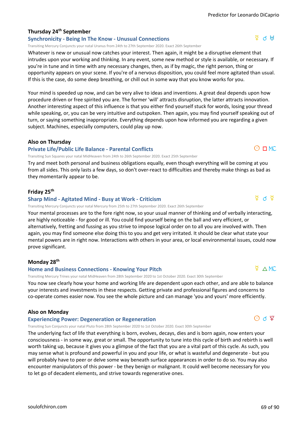# **Thursday 24th September**

### **Synchronicity - Being In The Know - Unusual Connections**

Transiting Mercury Conjuncts your natal Uranus from 24th to 27th September 2020. Exact 26th September

Whatever is new or unusual now catches your interest. Then again, it might be a disruptive element that intrudes upon your working and thinking. In any event, some new method or style is available, or necessary. If you're in tune and in time with any necessary changes, then, as if by magic, the right person, thing or opportunity appears on your scene. If you're of a nervous disposition, you could feel more agitated than usual. If this is the case, do some deep breathing, or chill out in some way that you know works for you.

Your mind is speeded up now, and can be very alive to ideas and inventions. A great deal depends upon how procedure driven or free spirited you are. The former 'will' attracts disruption, the latter attracts innovation. Another interesting aspect of this influence is that you either find yourself stuck for words, losing your thread while speaking, or, you can be very intuitive and outspoken. Then again, you may find yourself speaking out of turn, or saying something inappropriate. Everything depends upon how informed you are regarding a given subject. Machines, especially computers, could play up now.

#### **Also on Thursday**

#### **Private Life/Public Life Balance - Parental Conflicts**

Transiting Sun Squares your natal MidHeaven from 24th to 26th September 2020. Exact 25th September

Try and meet both personal and business obligations equally, even though everything will be coming at you from all sides. This only lasts a few days, so don't over-react to difficulties and thereby make things as bad as they momentarily appear to be.

#### **Friday 25th**

#### **Sharp Mind - Agitated Mind - Busy at Work - Criticism**

Transiting Mercury Conjuncts your natal Mercury from 25th to 27th September 2020. Exact 26th September

Your mental processes are to the fore right now, so your usual manner of thinking and of verbally interacting, are highly noticeable - for good or ill. You could find yourself being on the ball and very efficient, or alternatively, fretting and fussing as you strive to impose logical order on to all you are involved with. Then again, you may find someone else doing this to you and get very irritated. It should be clear what state your mental powers are in right now. Interactions with others in your area, or local environmental issues, could now prove significant.

#### **Monday 28th**

#### **Home and Business Connections - Knowing Your Pitch**

Transiting Mercury Trines your natal MidHeaven from 28th September 2020 to 1st October 2020. Exact 30th September

You now see clearly how your home and working life are dependent upon each other, and are able to balance your interests and investments in these respects. Getting private and professional figures and concerns to co-operate comes easier now. You see the whole picture and can manage 'you and yours' more efficiently.

#### **Also on Monday**

#### **Experiencing Power: Degeneration or Regeneration**

Transiting Sun Conjuncts your natal Pluto from 28th September 2020 to 1st October 2020. Exact 30th September

The underlying fact of life that everything is born, evolves, decays, dies and is born again, now enters your consciousness - in some way, great or small. The opportunity to tune into this cycle of birth and rebirth is well worth taking up, because it gives you a glimpse of the fact that you are a vital part of this cycle. As such, you may sense what is profound and powerful in you and your life, or what is wasteful and degenerate - but you will probably have to peer or delve some way beneath surface appearances in order to do so. You may also encounter manipulators of this power - be they benign or malignant. It could well become necessary for you to let go of decadent elements, and strive towards regenerative ones.



d q d

 $O$  of  $\Psi$ 

 $P \triangle M C$ 



 $O \Pi M C$ 

 $\Delta$   $\alpha$   $\mu$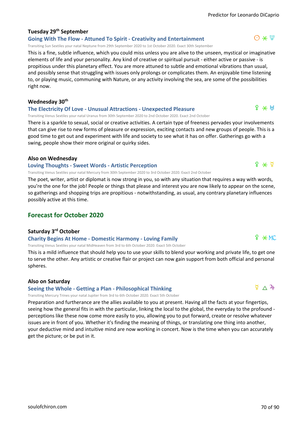# **Tuesday 29th September**

**Going With The Flow - Attuned To Spirit - Creativity and Entertainment** Transiting Sun Sextiles your natal Neptune from 29th September 2020 to 1st October 2020. Exact 30th September

This is a fine, subtle influence, which you could miss unless you are alive to the unseen, mystical or imaginative elements of life and your personality. Any kind of creative or spiritual pursuit - either active or passive - is propitious under this planetary effect. You are more attuned to subtle and emotional vibrations than usual, and possibly sense that struggling with issues only prolongs or complicates them. An enjoyable time listening to, or playing music, communing with Nature, or any activity involving the sea, are some of the possibilities right now.

#### **Wednesday 30th**

#### **The Electricity Of Love - Unusual Attractions - Unexpected Pleasure**

Transiting Venus Sextiles your natal Uranus from 30th September 2020 to 2nd October 2020. Exact 2nd October

There is a sparkle to sexual, social or creative activities. A certain type of freeness pervades your involvements that can give rise to new forms of pleasure or expression, exciting contacts and new groups of people. This is a good time to get out and experiment with life and society to see what it has on offer. Gatherings go with a swing, people show their more original or quirky sides.

#### **Also on Wednesday**

#### **Loving Thoughts - Sweet Words - Artistic Perception**

Transiting Venus Sextiles your natal Mercury from 30th September 2020 to 3rd October 2020. Exact 2nd October

The poet, writer, artist or diplomat is now strong in you, so with any situation that requires a way with words, you're the one for the job! People or things that please and interest you are now likely to appear on the scene, so gatherings and shopping trips are propitious - notwithstanding, as usual, any contrary planetary influences possibly active at this time.

### **Forecast for October 2020**

#### **Saturday 3rd October**

#### **Charity Begins At Home - Domestic Harmony - Loving Family**

Transiting Venus Sextiles your natal MidHeaven from 3rd to 6th October 2020. Exact 5th October

This is a mild influence that should help you to use your skills to blend your working and private life, to get one to serve the other. Any artistic or creative flair or project can now gain support from both official and personal spheres.

#### **Also on Saturday**

### **Seeing the Whole - Getting a Plan - Philosophical Thinking**

Transiting Mercury Trines your natal Jupiter from 3rd to 6th October 2020. Exact 5th October

Preparation and furtherance are the allies available to you at present. Having all the facts at your fingertips, seeing how the general fits in with the particular, linking the local to the global, the everyday to the profound perceptions like these now come more easily to you, allowing you to put forward, create or resolve whatever issues are in front of you. Whether it's finding the meaning of things, or translating one thing into another, your deductive mind and intuitive mind are now working in concert. Now is the time when you can accurately get the picture; or be put in it.

 $9 \times 9$ 

# $? * MC$

# $\frac{8}{4}$   $\wedge$   $\frac{2}{4}$



 $\Theta \times \Psi$ 

# $9 \times H$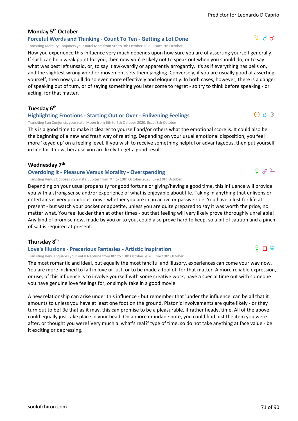#### **Monday 5th October**

#### **Forceful Words and Thinking - Count To Ten - Getting a Lot Done**

Transiting Mercury Conjuncts your natal Mars from 5th to 9th October 2020. Exact 7th October

How you experience this influence very much depends upon how sure you are of asserting yourself generally. If such can be a weak point for you, then now you're likely not to speak out when you should do, or to say what was best left unsaid, or, to say it awkwardly or apparently arrogantly. It's as if everything has bells on, and the slightest wrong word or movement sets them jangling. Conversely, if you are usually good at asserting yourself, then now you'll do so even more effectively and eloquently. In both cases, however, there is a danger of speaking out of turn, or of saying something you later come to regret - so try to think before speaking - or acting, for that matter.

**Tuesday 6th**

#### **Highlighting Emotions - Starting Out or Over - Enlivening Feelings**

Transiting Sun Conjuncts your natal Moon from 6th to 9th October 2020. Exact 8th October

This is a good time to make it clearer to yourself and/or others what the emotional score is. It could also be the beginning of a new and fresh way of relating. Depending on your usual emotional disposition, you feel more 'keyed up' on a feeling level. If you wish to receive something helpful or advantageous, then put yourself in line for it now, because you are likely to get a good result.

#### **Wednesday 7th**

#### **Overdoing It - Pleasure Versus Morality - Overspending**

Transiting Venus Opposes your natal Jupiter from 7th to 10th October 2020. Exact 9th October

Depending on your usual propensity for good fortune or giving/having a good time, this influence will provide you with a strong sense and/or experience of what is enjoyable about life. Taking in anything that enlivens or entertains is very propitious now - whether you are in an active or passive role. You have a lust for life at present - but watch your pocket or appetite, unless you are quite prepared to say it was worth the price, no matter what. You feel luckier than at other times - but that feeling will very likely prove thoroughly unreliable! Any kind of promise now, made by you or to you, could also prove hard to keep, so a bit of caution and a pinch of salt is required at present.

#### **Thursday 8th**

#### **Love's Illusions - Precarious Fantasies - Artistic Inspiration**

Transiting Venus Squares your natal Neptune from 8th to 10th October 2020. Exact 9th October

The most romantic and ideal, but equally the most fanciful and illusory, experiences can come your way now. You are more inclined to fall in love or lust, or to be made a fool of, for that matter. A more reliable expression, or use, of this influence is to involve yourself with some creative work, have a special time out with someone you have genuine love feelings for, or simply take in a good movie.

A new relationship can arise under this influence - but remember that 'under the influence' can be all that it amounts to unless you have at least one foot on the ground. Platonic involvements are quite likely - or they turn out to be! Be that as it may, this can promise to be a pleasurable, if rather heady, time. All of the above could equally just take place in your head. On a more mundane note, you could find just the item you were after, or thought you were! Very much a 'what's real?' type of time, so do not take anything at face value - be it exciting or depressing.

 $\odot$  d  $\mathbb{D}$ 

 $994$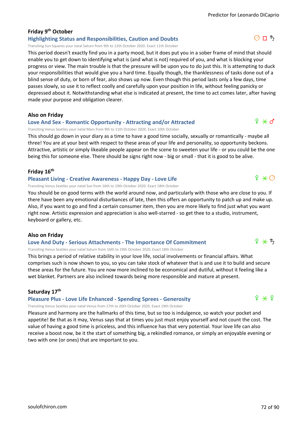# **Friday 9th October**

# **Highlighting Status and Responsibilities, Caution and Doubts**

Transiting Sun Squares your natal Saturn from 9th to 12th October 2020. Exact 11th October

This period doesn't exactly find you in a party mood, but it does put you in a sober frame of mind that should enable you to get down to identifying what is (and what is not) required of you, and what is blocking your progress or view. The main trouble is that the pressure will be upon you to do just this. It is attempting to duck your responsibilities that would give you a hard time. Equally though, the thanklessness of tasks done out of a blind sense of duty, or born of fear, also shows up now. Even though this period lasts only a few days, time passes slowly, so use it to reflect coolly and carefully upon your position in life, without feeling panicky or depressed about it. Notwithstanding what else is indicated at present, the time to act comes later, after having made your purpose and obligation clearer.

### **Also on Friday**

# **Love And Sex - Romantic Opportunity - Attracting and/or Attracted**

Transiting Venus Sextiles your natal Mars from 9th to 11th October 2020. Exact 10th October

This should go down in your diary as a time to have a good time socially, sexually or romantically - maybe all three! You are at your best with respect to these areas of your life and personality, so opportunity beckons. Attractive, artistic or simply likeable people appear on the scene to sweeten your life - or you could be the one being this for someone else. There should be signs right now - big or small - that it is good to be alive.

## **Friday 16th**

### **Pleasant Living - Creative Awareness - Happy Day - Love Life**

Transiting Venus Sextiles your natal Sun from 16th to 19th October 2020. Exact 18th October

You should be on good terms with the world around now, and particularly with those who are close to you. If there have been any emotional disturbances of late, then this offers an opportunity to patch up and make up. Also, if you want to go and find a certain consumer item, then you are more likely to find just what you want right now. Artistic expression and appreciation is also well-starred - so get thee to a studio, instrument, keyboard or gallery, etc.

### **Also on Friday**

# **Love And Duty - Serious Attachments - The Importance Of Commitment**

Transiting Venus Sextiles your natal Saturn from 16th to 19th October 2020. Exact 18th October

This brings a period of relative stability in your love life, social involvements or financial affairs. What comprises such is now shown to you, so you can take stock of whatever that is and use it to build and secure these areas for the future. You are now more inclined to be economical and dutiful, without it feeling like a wet blanket. Partners are also inclined towards being more responsible and mature at present.

### **Saturday 17th**

# **Pleasure Plus - Love Life Enhanced - Spending Sprees - Generosity**

Transiting Venus Sextiles your natal Venus from 17th to 20th October 2020. Exact 19th October

Pleasure and harmony are the hallmarks of this time, but so too is indulgence, so watch your pocket and appetite! Be that as it may, Venus says that at times you just must enjoy yourself and not count the cost. The value of having a good time is priceless, and this influence has that very potential. Your love life can also receive a boost now, be it the start of something big, a rekindled romance, or simply an enjoyable evening or two with one (or ones) that are important to you.



 $9 * 5$ 

# $O \Pi$   $\hbar$

 $f \ast f$ 

 $9 \times \odot$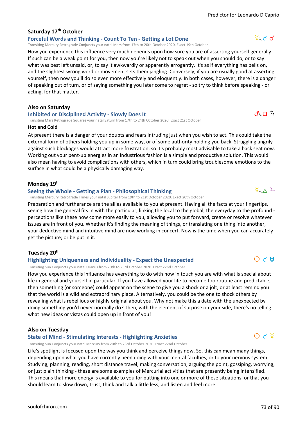# **Saturday 17th October**

#### **Forceful Words and Thinking - Count To Ten - Getting a Lot Done**

Transiting Mercury Retrograde Conjuncts your natal Mars from 17th to 20th October 2020. Exact 19th October

How you experience this influence very much depends upon how sure you are of asserting yourself generally. If such can be a weak point for you, then now you're likely not to speak out when you should do, or to say what was best left unsaid, or, to say it awkwardly or apparently arrogantly. It's as if everything has bells on, and the slightest wrong word or movement sets them jangling. Conversely, if you are usually good at asserting yourself, then now you'll do so even more effectively and eloquently. In both cases, however, there is a danger of speaking out of turn, or of saying something you later come to regret - so try to think before speaking - or acting, for that matter.

#### **Also on Saturday**

#### **Inhibited or Disciplined Activity - Slowly Does It**

Transiting Mars Retrograde Squares your natal Saturn from 17th to 24th October 2020. Exact 21st October

#### **Hot and Cold**

At present there is a danger of your doubts and fears intruding just when you wish to act. This could take the external form of others holding you up in some way, or of some authority holding you back. Struggling angrily against such blockages would attract more frustration, so it's probably most advisable to take a back seat now. Working out your pent-up energies in an industrious fashion is a simple and productive solution. This would also mean having to avoid complications with others, which in turn could bring troublesome emotions to the surface in what could be a physically damaging way.

#### **Monday 19th**

#### **Seeing the Whole - Getting a Plan - Philosophical Thinking**

Transiting Mercury Retrograde Trines your natal Jupiter from 19th to 21st October 2020. Exact 20th October

Preparation and furtherance are the allies available to you at present. Having all the facts at your fingertips, seeing how the general fits in with the particular, linking the local to the global, the everyday to the profound perceptions like these now come more easily to you, allowing you to put forward, create or resolve whatever issues are in front of you. Whether it's finding the meaning of things, or translating one thing into another, your deductive mind and intuitive mind are now working in concert. Now is the time when you can accurately get the picture; or be put in it.

#### **Tuesday 20th**

#### **Highlighting Uniqueness and Individuality - Expect the Unexpected**

Transiting Sun Conjuncts your natal Uranus from 20th to 23rd October 2020. Exact 22nd October

How you experience this influence has everything to do with how in touch you are with what is special about life in general and yourself in particular. If you have allowed your life to become too routine and predictable, then something (or someone) could appear on the scene to give you a shock or a jolt, or at least remind you that the world is a wild and extraordinary place. Alternatively, you could be the one to shock others by revealing what is rebellious or highly original about you. Why not make this a date with the unexpected by doing something you'd never normally do? Then, with the element of surprise on your side, there's no telling what new ideas or vistas could open up in front of you!

#### **Also on Tuesday**

#### **State of Mind - Stimulating Interests - Highlighting Anxieties**

Transiting Sun Conjuncts your natal Mercury from 20th to 23rd October 2020. Exact 22nd October

Life's spotlight is focused upon the way you think and perceive things now. So, this can mean many things, depending upon what you have currently been doing with your mental faculties, or to your nervous system. Studying, planning, reading, short distance travel, making conversation, arguing the point, gossiping, worrying, or just plain thinking - these are some examples of Mercurial activities that are presently being intensified. This means that more energy is available to you for putting into one or more of these situations, or that you should learn to slow down, trust, think and talk a little less, and listen and feel more.



 $\mathcal{A}_R \sqcap \mathcal{F}$ 

# $\Sigma_R \wedge 24$

 $\Theta$  d  $\Psi$ 

 $\Theta$  d  $\mathbb H$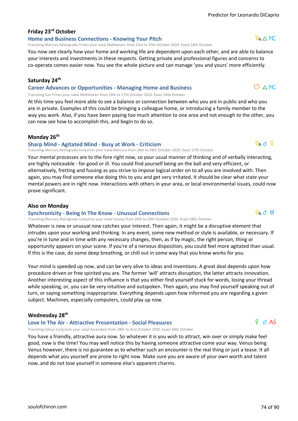# **Friday 23rd October**

#### **Home and Business Connections - Knowing Your Pitch**

Transiting Mercury Retrograde Trines your natal MidHeaven from 23rd to 25th October 2020. Exact 24th October

You now see clearly how your home and working life are dependent upon each other, and are able to balance your interests and investments in these respects. Getting private and professional figures and concerns to co-operate comes easier now. You see the whole picture and can manage 'you and yours' more efficiently.

#### **Saturday 24th**

#### **Career Advances or Opportunities - Managing Home and Business**

Transiting Sun Trines your natal MidHeaven from 24th to 27th October 2020. Exact 26th October

At this time you feel more able to see a balance or connection between who you are in public and who you are in private. Examples of this could be bringing a colleague home, or introducing a family member to the way you work. Also, if you have been paying too much attention to one area and not enough to the other, you can now see how to accomplish this, and begin to do so.

#### **Monday 26th**

#### **Sharp Mind - Agitated Mind - Busy at Work - Criticism**

Transiting Mercury Retrograde Conjuncts your natal Mercury from 26th to 28th October 2020. Exact 27th October

Your mental processes are to the fore right now, so your usual manner of thinking and of verbally interacting, are highly noticeable - for good or ill. You could find yourself being on the ball and very efficient, or alternatively, fretting and fussing as you strive to impose logical order on to all you are involved with. Then again, you may find someone else doing this to you and get very irritated. It should be clear what state your mental powers are in right now. Interactions with others in your area, or local environmental issues, could now prove significant.

#### **Also on Monday**

#### **Synchronicity - Being In The Know - Unusual Connections**

Transiting Mercury Retrograde Conjuncts your natal Uranus from 26th to 29th October 2020. Exact 28th October

Whatever is new or unusual now catches your interest. Then again, it might be a disruptive element that intrudes upon your working and thinking. In any event, some new method or style is available, or necessary. If you're in tune and in time with any necessary changes, then, as if by magic, the right person, thing or opportunity appears on your scene. If you're of a nervous disposition, you could feel more agitated than usual. If this is the case, do some deep breathing, or chill out in some way that you know works for you.

Your mind is speeded up now, and can be very alive to ideas and inventions. A great deal depends upon how procedure driven or free spirited you are. The former 'will' attracts disruption, the latter attracts innovation. Another interesting aspect of this influence is that you either find yourself stuck for words, losing your thread while speaking, or, you can be very intuitive and outspoken. Then again, you may find yourself speaking out of turn, or saying something inappropriate. Everything depends upon how informed you are regarding a given subject. Machines, especially computers, could play up now.

#### **Wednesday 28th**

#### **Love In The Air - Attractive Presentation - Social Pleasures**

Transiting Venus Conjuncts your natal Ascendant from 28th to 31st October 2020. Exact 30th October

You have a friendly, attractive aura now. So whatever it is you wish to attract, win over or simply make feel good, now is the time! You may well notice this by having someone attractive come your way. Venus being Venus however, there is no guarantee as to whether such an encounter is the real thing or just a tease. It all depends what you yourself are prone to right now. Make sure you are aware of your own worth and talent now, and do not lose yourself in someone else's apparent charms.

# $O \wedge MC$

 $\overline{2}R \wedge MC$ 

# $9$  d AS



$$
\Sigma_{R}Q
$$

$$
\mathbf{C} \triangle \mathbf{F} \mathbf{C}
$$

 $\Phi_R$  d  $\Phi$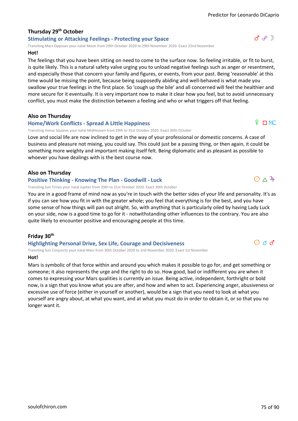### **Thursday 29th October Stimulating or Attacking Feelings - Protecting your Space**

Transiting Mars Opposes your natal Moon from 29th October 2020 to 29th November 2020. Exact 22nd November

#### **Hot!**

The feelings that you have been sitting on need to come to the surface now. So feeling irritable, or fit to burst, is quite likely. This is a natural safety valve urging you to unload negative feelings such as anger or resentment, and especially those that concern your family and figures, or events, from your past. Being 'reasonable' at this time would be missing the point, because being supposedly abiding and well-behaved is what made you swallow your true feelings in the first place. So 'cough up the bile' and all concerned will feel the healthier and more secure for it eventually. It is very important now to make it clear how you feel, but to avoid unnecessary conflict, you must make the distinction between a feeling and who or what triggers off that feeling.

### **Also on Thursday**

#### **Home/Work Conflicts - Spread A Little Happiness**

Transiting Venus Squares your natal MidHeaven from 29th to 31st October 2020. Exact 30th October

Love and social life are now inclined to get in the way of your professional or domestic concerns. A case of business and pleasure not mixing, you could say. This could just be a passing thing, or then again, it could be something more weighty and important making itself felt. Being diplomatic and as pleasant as possible to whoever you have dealings with is the best course now.

### **Also on Thursday**

#### **Positive Thinking - Knowing The Plan - Goodwill - Luck**

Transiting Sun Trines your natal Jupiter from 29th to 31st October 2020. Exact 30th October

You are in a good frame of mind now as you're in touch with the better sides of your life and personality. It's as if you can see how you fit in with the greater whole; you feel that everything is for the best, and you have some sense of how things will pan out alright. So, with anything that is particularly oiled by having Lady Luck on your side, now is a good time to go for it - notwithstanding other influences to the contrary. You are also quite likely to encounter positive and encouraging people at this time.

# **Friday 30th**

### **Highlighting Personal Drive, Sex Life, Courage and Decisiveness**

Transiting Sun Conjuncts your natal Mars from 30th October 2020 to 2nd November 2020. Exact 1st November **Hot!**

Mars is symbolic of that force within and around you which makes it possible to go for, and get something or someone; it also represents the urge and the right to do so. How good, bad or indifferent you are when it comes to expressing your Mars qualities is currently an issue. Being active, independent, forthright or bold now, is a sign that you know what you are after, and how and when to act. Experiencing anger, abusiveness or excessive use of force (either in yourself or another), would be a sign that you need to look at what you yourself are angry about, at what you want, and at what you must do in order to obtain it, or so that you no longer want it.



# $O \wedge 4$

 $\Theta$  d d

 $P \cap MC$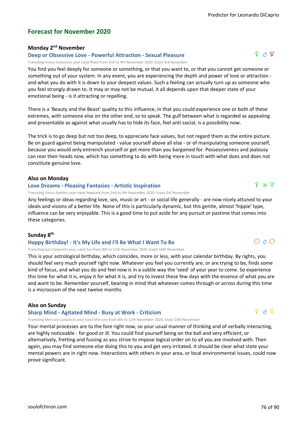# **Forecast for November 2020**

# **Monday 2nd November**

## **Deep or Obsessive Love - Powerful Attraction - Sexual Pleasure**

Transiting Venus Conjuncts your natal Pluto from 2nd to 4th November 2020. Exact 3rd November

You find you feel deeply for someone or something, or that you want to, or that you cannot get someone or something out of your system. In any event, you are experiencing the depth and power of love or attraction and what you do with it is down to your deepest values. Such a feeling can actually turn up as someone who you feel strongly drawn to. It may or may not be mutual, it all depends upon that deeper state of your emotional being - is it attracting or repelling.

There is a 'Beauty and the Beast' quality to this influence, in that you could experience one or both of these extremes, with someone else on the other end, so to speak. The gulf between what is regarded as appealing and presentable as against what usually has to hide its face, feel anti-social, is a possibility now.

The trick is to go deep but not too deep, to appreciate face values, but not regard them as the entire picture. Be on guard against being manipulated - value yourself above all else - or of manipulating someone yourself, because you would only entrench yourself or get more than you bargained for. Possessiveness and jealousy can rear their heads now, which has something to do with being more in touch with what does and does not constitute genuine love.

### **Also on Monday**

#### **Love Dreams - Pleasing Fantasies - Artistic Inspiration**

Transiting Venus Sextiles your natal Neptune from 2nd to 4th November 2020. Exact 3rd November

Any feelings or ideas regarding love, sex, music or art - or social life generally - are now nicely attuned to your ideals and visions of a better life. None of this is particularly dynamic, but this gentle, almost 'hippie' type, influence can be very enjoyable. This is a good time to put aside for any pursuit or pastime that comes into these categories.

### **Sunday 8th**

### **Happy Birthday! - It's My Life and I'll Be What I Want To Be**

Transiting Sun Conjuncts your natal Sun from 8th to 11th November 2020. Exact 10th November

This is your astrological birthday, which coincides, more or less, with your calendar birthday. By rights, you should feel very much yourself right now. Whatever you feel you currently are, or are trying to be, finds some kind of focus, and what you do and feel now is in a subtle way the 'seed' of your year to come. So experience this time for what it is, enjoy it for what it is, and try to invest these few days with the essence of what you are and want to be. Remember yourself, bearing in mind that whatever comes through or across during this time is a microcosm of the next twelve months.

### **Also on Sunday**

### **Sharp Mind - Agitated Mind - Busy at Work - Criticism**

Transiting Mercury Conjuncts your natal Mercury from 8th to 11th November 2020. Exact 10th November

Your mental processes are to the fore right now, so your usual manner of thinking and of verbally interacting, are highly noticeable - for good or ill. You could find yourself being on the ball and very efficient, or alternatively, fretting and fussing as you strive to impose logical order on to all you are involved with. Then again, you may find someone else doing this to you and get very irritated. It should be clear what state your mental powers are in right now. Interactions with others in your area, or local environmental issues, could now prove significant.

 $f \ast \Psi$ 

 $O$  d  $O$ 

f q ;

# $\vec{P}$  d  $\vec{q}$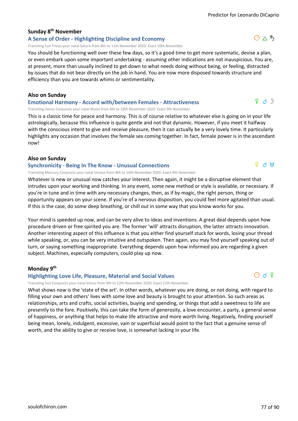# **Sunday 8th November**

# **A Sense of Order - Highlighting Discipline and Economy**

Transiting Sun Trines your natal Saturn from 8th to 11th November 2020. Exact 10th November

You should be functioning well over these few days, so it's a good time to get more systematic, devise a plan, or even embark upon some important undertaking - assuming other indications are not inauspicious. You are, at present, more than usually inclined to get down to what needs doing without being, or feeling, distracted by issues that do not bear directly on the job in hand. You are now more disposed towards structure and efficiency than you are towards whims or sentimentality.

#### **Also on Sunday**

#### **Emotional Harmony - Accord with/between Females - Attractiveness**

Transiting Venus Conjuncts your natal Moon from 8th to 10th November 2020. Exact 9th November

This is a classic time for peace and harmony. This is of course relative to whatever else is going on in your life astrologically, because this influence is quite gentle and not that dynamic. However, if you meet it halfway with the conscious intent to give and receive pleasure, then it can actually be a very lovely time. It particularly highlights any occasion that involves the female sex coming together. In fact, female power is in the ascendant now!

### **Also on Sunday**

#### **Synchronicity - Being In The Know - Unusual Connections**

Transiting Mercury Conjuncts your natal Uranus from 8th to 10th November 2020. Exact 9th November

Whatever is new or unusual now catches your interest. Then again, it might be a disruptive element that intrudes upon your working and thinking. In any event, some new method or style is available, or necessary. If you're in tune and in time with any necessary changes, then, as if by magic, the right person, thing or opportunity appears on your scene. If you're of a nervous disposition, you could feel more agitated than usual. If this is the case, do some deep breathing, or chill out in some way that you know works for you.

Your mind is speeded up now, and can be very alive to ideas and inventions. A great deal depends upon how procedure driven or free spirited you are. The former 'will' attracts disruption, the latter attracts innovation. Another interesting aspect of this influence is that you either find yourself stuck for words, losing your thread while speaking, or, you can be very intuitive and outspoken. Then again, you may find yourself speaking out of turn, or saying something inappropriate. Everything depends upon how informed you are regarding a given subject. Machines, especially computers, could play up now.

#### **Monday 9th**

#### **Highlighting Love Life, Pleasure, Material and Social Values**

Transiting Sun Conjuncts your natal Venus from 9th to 12th November 2020. Exact 11th November

What shows now is the 'state of the art'. In other words, whatever you are doing, or not doing, with regard to filling your own and others' lives with some love and beauty is brought to your attention. So such areas as relationships, arts and crafts, social activities, buying and spending, or things that add a sweetness to life are presently to the fore. Positively, this can take the form of generosity, a love encounter, a party, a general sense of happiness, or anything that helps to make life attractive and more worth living. Negatively, finding yourself being mean, lonely, indulgent, excessive, vain or superficial would point to the fact that a genuine sense of worth, and the ability to give or receive love, is somewhat lacking in your life.



 $0 \wedge 5$ 

 $9d$ 

 $\Delta$   $\alpha$   $\rm H$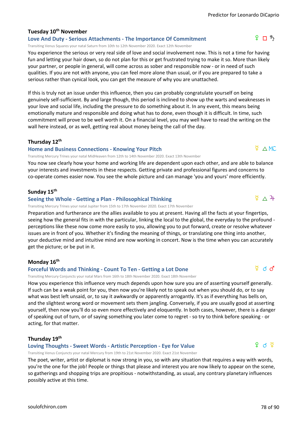# **Tuesday 10th November**

**Love And Duty - Serious Attachments - The Importance Of Commitment**

Transiting Venus Squares your natal Saturn from 10th to 12th November 2020. Exact 12th November

You experience the serious or very real side of love and social involvement now. This is not a time for having fun and letting your hair down, so do not plan for this or get frustrated trying to make it so. More than likely your partner, or people in general, will come across as sober and responsible now - or in need of such qualities. If you are not with anyone, you can feel more alone than usual, or if you are prepared to take a serious rather than cynical look, you can get the measure of why you are unattached.

If this is truly not an issue under this influence, then you can probably congratulate yourself on being genuinely self-sufficient. By and large though, this period is inclined to show up the warts and weaknesses in your love and social life, including the pressure to do something about it. In any event, this means being emotionally mature and responsible and doing what has to done, even though it is difficult. In time, such commitment will prove to be well worth it. On a financial level, you may well have to read the writing on the wall here instead, or as well, getting real about money being the call of the day.

### **Thursday 12th**

### **Home and Business Connections - Knowing Your Pitch**

Transiting Mercury Trines your natal MidHeaven from 12th to 14th November 2020. Exact 13th November

You now see clearly how your home and working life are dependent upon each other, and are able to balance your interests and investments in these respects. Getting private and professional figures and concerns to co-operate comes easier now. You see the whole picture and can manage 'you and yours' more efficiently.

### **Sunday 15th**

# **Seeing the Whole - Getting a Plan - Philosophical Thinking**

Transiting Mercury Trines your natal Jupiter from 15th to 17th November 2020. Exact 17th November

Preparation and furtherance are the allies available to you at present. Having all the facts at your fingertips, seeing how the general fits in with the particular, linking the local to the global, the everyday to the profound perceptions like these now come more easily to you, allowing you to put forward, create or resolve whatever issues are in front of you. Whether it's finding the meaning of things, or translating one thing into another, your deductive mind and intuitive mind are now working in concert. Now is the time when you can accurately get the picture; or be put in it.

### **Monday 16th**

# **Forceful Words and Thinking - Count To Ten - Getting a Lot Done**

Transiting Mercury Conjuncts your natal Mars from 16th to 18th November 2020. Exact 18th November

How you experience this influence very much depends upon how sure you are of asserting yourself generally. If such can be a weak point for you, then now you're likely not to speak out when you should do, or to say what was best left unsaid, or, to say it awkwardly or apparently arrogantly. It's as if everything has bells on, and the slightest wrong word or movement sets them jangling. Conversely, if you are usually good at asserting yourself, then now you'll do so even more effectively and eloquently. In both cases, however, there is a danger of speaking out of turn, or of saying something you later come to regret - so try to think before speaking - or acting, for that matter.

# **Thursday 19th**

### **Loving Thoughts - Sweet Words - Artistic Perception - Eye for Value**

Transiting Venus Conjuncts your natal Mercury from 19th to 21st November 2020. Exact 21st November

The poet, writer, artist or diplomat is now strong in you, so with any situation that requires a way with words, you're the one for the job! People or things that please and interest you are now likely to appear on the scene, so gatherings and shopping trips are propitious - notwithstanding, as usual, any contrary planetary influences possibly active at this time.

 $Q \wedge MC$ 

 $\S$   $\wedge$  4

 $9 \nPi$   $5$ 



 $2\,$  ব  $\,$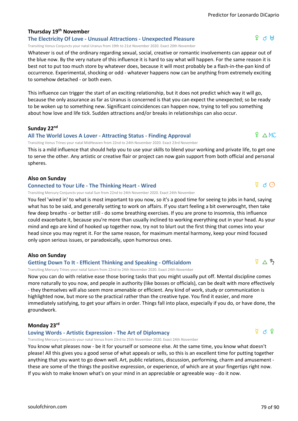# **Thursday 19th November**

# **The Electricity Of Love - Unusual Attractions - Unexpected Pleasure**

Transiting Venus Conjuncts your natal Uranus from 19th to 21st November 2020. Exact 20th November

Whatever is out of the ordinary regarding sexual, social, creative or romantic involvements can appear out of the blue now. By the very nature of this influence it is hard to say what will happen. For the same reason it is best not to put too much store by whatever does, because it will most probably be a flash-in-the-pan kind of occurrence. Experimental, shocking or odd - whatever happens now can be anything from extremely exciting to somehow detached - or both even.

This influence can trigger the start of an exciting relationship, but it does not predict which way it will go, because the only assurance as far as Uranus is concerned is that you can expect the unexpected; so be ready to be woken up to something new. Significant coincidences can happen now, trying to tell you something about how love and life tick. Sudden attractions and/or breaks in relationships can also occur.

### **Sunday 22nd**

#### **All The World Loves A Lover - Attracting Status - Finding Approval**

Transiting Venus Trines your natal MidHeaven from 22nd to 24th November 2020. Exact 23rd November

This is a mild influence that should help you to use your skills to blend your working and private life, to get one to serve the other. Any artistic or creative flair or project can now gain support from both official and personal spheres.

### **Also on Sunday**

#### **Connected to Your Life - The Thinking Heart - Wired**

Transiting Mercury Conjuncts your natal Sun from 22nd to 24th November 2020. Exact 24th November

You feel 'wired in' to what is most important to you now, so it's a good time for seeing to jobs in hand, saying what has to be said, and generally setting to work on affairs. If you start feeling a bit overwrought, then take few deep breaths - or better still - do some breathing exercises. If you are prone to insomnia, this influence could exacerbate it, because you're more than usually inclined to working everything out in your head. As your mind and ego are kind of hooked up together now, try not to blurt out the first thing that comes into your head since you may regret it. For the same reason, for maximum mental harmony, keep your mind focused only upon serious issues, or paradoxically, upon humorous ones.

### **Also on Sunday**

### **Getting Down To It - Efficient Thinking and Speaking - Officialdom**

Transiting Mercury Trines your natal Saturn from 22nd to 24th November 2020. Exact 24th November

Now you can do with relative ease those boring tasks that you might usually put off. Mental discipline comes more naturally to you now, and people in authority (like bosses or officials), can be dealt with more effectively - they themselves will also seem more amenable or efficient. Any kind of work, study or communication is highlighted now, but more so the practical rather than the creative type. You find it easier, and more immediately satisfying, to get your affairs in order. Things fall into place, especially if you do, or have done, the groundwork.

### **Monday 23rd**

### **Loving Words - Artistic Expression - The Art of Diplomacy**

Transiting Mercury Conjuncts your natal Venus from 23rd to 25th November 2020. Exact 24th November

You know what pleases now - be it for yourself or someone else. At the same time, you know what doesn't please! All this gives you a good sense of what appeals or sells, so this is an excellent time for putting together anything that you want to go down well. Art, public relations, discussion, performing, charm and amusement these are some of the things the positive expression, or experience, of which are at your fingertips right now. If you wish to make known what's on your mind in an appreciable or agreeable way - do it now.

# $D \times 2$

 $\Phi \wedge \Phi$ 

 $P \wedge MC$ 

# $\Phi$  d  $\delta$

# $f \sim$  ተ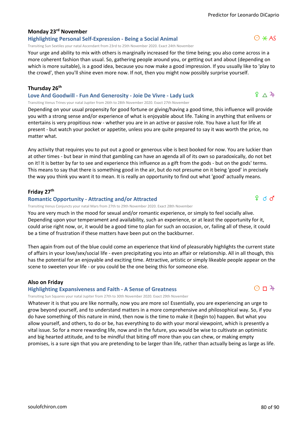# **Monday 23rd November**

# **Highlighting Personal Self-Expression - Being a Social Animal**

Transiting Sun Sextiles your natal Ascendant from 23rd to 25th November 2020. Exact 24th November

Your urge and ability to mix with others is marginally increased for the time being; you also come across in a more coherent fashion than usual. So, gathering people around you, or getting out and about (depending on which is more suitable), is a good idea, because you now make a good impression. If you usually like to 'play to the crowd', then you'll shine even more now. If not, then you might now possibly surprise yourself.

## **Thursday 26th**

**Love And Goodwill - Fun And Generosity - Joie De Vivre - Lady Luck** Transiting Venus Trines your natal Jupiter from 26th to 28th November 2020. Exact 27th November

Depending on your usual propensity for good fortune or giving/having a good time, this influence will provide you with a strong sense and/or experience of what is enjoyable about life. Taking in anything that enlivens or entertains is very propitious now - whether you are in an active or passive role. You have a lust for life at present - but watch your pocket or appetite, unless you are quite prepared to say it was worth the price, no matter what.

Any activity that requires you to put out a good or generous vibe is best booked for now. You are luckier than at other times - but bear in mind that gambling can have an agenda all of its own so paradoxically, do not bet on it! It is better by far to see and experience this influence as a gift from the gods - but on the gods' terms. This means to say that there is something good in the air, but do not presume on it being 'good' in precisely the way you think you want it to mean. It is really an opportunity to find out what 'good' actually means.

### **Friday 27th**

### **Romantic Opportunity - Attracting and/or Attracted**

Transiting Venus Conjuncts your natal Mars from 27th to 29th November 2020. Exact 28th November

You are very much in the mood for sexual and/or romantic experience, or simply to feel socially alive. Depending upon your temperament and availability, such an experience, or at least the opportunity for it, could arise right now, or, it would be a good time to plan for such an occasion, or, failing all of these, it could be a time of frustration if these matters have been put on the backburner.

Then again from out of the blue could come an experience that kind of pleasurably highlights the current state of affairs in your love/sex/social life - even precipitating you into an affair or relationship. All in all though, this has the potential for an enjoyable and exciting time. Attractive, artistic or simply likeable people appear on the scene to sweeten your life - or you could be the one being this for someone else.

### **Also on Friday**

### **Highlighting Expansiveness and Faith - A Sense of Greatness**

Transiting Sun Squares your natal Jupiter from 27th to 30th November 2020. Exact 29th November

Whatever it is that you are like normally, now you are more so! Essentially, you are experiencing an urge to grow beyond yourself, and to understand matters in a more comprehensive and philosophical way. So, if you do have something of this nature in mind, then now is the time to make it (begin to) happen. But what you allow yourself, and others, to do or be, has everything to do with your moral viewpoint, which is presently a vital issue. So for a more rewarding life, now and in the future, you would be wise to cultivate an optimistic and big hearted attitude, and to be mindful that biting off more than you can chew, or making empty promises, is a sure sign that you are pretending to be larger than life, rather than actually being as large as life.



 $9 \wedge 4$ 

 $9d$ 

 $O \Pi$ <sup>2</sup>+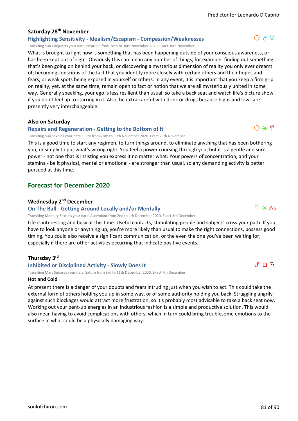# **Saturday 28th November**

**Highlighting Sensitivity - Idealism/Escapism - Compassion/Weaknesses** Transiting Sun Conjuncts your natal Neptune from 28th to 30th November 2020. Exact 30th November

What is brought to light now is something that has been happening outside of your conscious awareness, or has been kept out of sight. Obviously this can mean any number of things, for example: finding out something that's been going on behind your back, or discovering a mysterious dimension of reality you only ever dreamt of; becoming conscious of the fact that you identify more closely with certain others and their hopes and fears, or weak spots being exposed in yourself or others. In any event, it is important that you keep a firm grip on reality, yet, at the same time, remain open to fact or notion that we are all mysteriously united in some way. Generally speaking, your ego is less resilient than usual, so take a back seat and watch life's picture show if you don't feel up to starring in it. Also, be extra careful with drink or drugs because highs and lows are presently very interchangeable.

### **Also on Saturday**

### **Repairs and Regeneration - Getting to the Bottom of It**

Transiting Sun Sextiles your natal Pluto from 28th to 30th November 2020. Exact 29th November

This is a good time to start any regimen, to turn things around, to eliminate anything that has been bothering you, or simply to put what's wrong right. You feel a power coursing through you, but it is a gentle and sure power - not one that is insisting you express it no matter what. Your powers of concentration, and your stamina - be it physical, mental or emotional - are stronger than usual, so any demanding activity is better pursued at this time.

# **Forecast for December 2020**

### **Wednesday 2nd December**

#### **On The Ball - Getting Around Locally and/or Mentally**

Transiting Mercury Sextiles your natal Ascendant from 2nd to 4th December 2020. Exact 3rd December

Life is interesting and busy at this time. Useful contacts, stimulating people and subjects cross your path. If you have to look anyone or anything up, you're more likely than usual to make the right connections, possess good timing. You could also receive a significant communication, or the even the one you've been waiting for; especially if there are other activities occurring that indicate positive events.

# **Thursday 3rd**

#### **Inhibited or Disciplined Activity - Slowly Does It**

Transiting Mars Squares your natal Saturn from 3rd to 11th December 2020. Exact 7th December

#### **Hot and Cold**

At present there is a danger of your doubts and fears intruding just when you wish to act. This could take the external form of others holding you up in some way, or of some authority holding you back. Struggling angrily against such blockages would attract more frustration, so it's probably most advisable to take a back seat now. Working out your pent-up energies in an industrious fashion is a simple and productive solution. This would also mean having to avoid complications with others, which in turn could bring troublesome emotions to the surface in what could be a physically damaging way.



 $\bigcirc * \mathfrak{L}$ 

 $O$  d  $\Psi$ 



 $\Phi \times AS$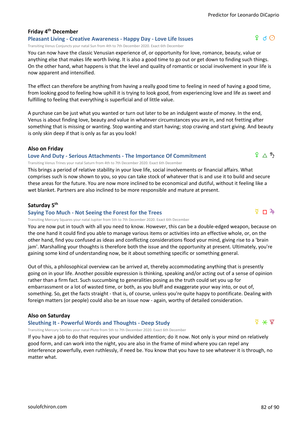# **Friday 4th December**

**Pleasant Living - Creative Awareness - Happy Day - Love Life Issues** Transiting Venus Conjuncts your natal Sun from 4th to 7th December 2020. Exact 6th December

You can now have the classic Venusian experience of, or opportunity for love, romance, beauty, value or anything else that makes life worth living. It is also a good time to go out or get down to finding such things. On the other hand, what happens is that the level and quality of romantic or social involvement in your life is now apparent and intensified.

The effect can therefore be anything from having a really good time to feeling in need of having a good time, from looking good to feeling how uphill it is trying to look good, from experiencing love and life as sweet and fulfilling to feeling that everything is superficial and of little value.

A purchase can be just what you wanted or turn out later to be an indulgent waste of money. In the end, Venus is about finding love, beauty and value in whatever circumstances you are in, and not fretting after something that is missing or wanting. Stop wanting and start having; stop craving and start giving. And beauty is only skin deep if that is only as far as you look!

# **Also on Friday**

### **Love And Duty - Serious Attachments - The Importance Of Commitment**

Transiting Venus Trines your natal Saturn from 4th to 7th December 2020. Exact 6th December

This brings a period of relative stability in your love life, social involvements or financial affairs. What comprises such is now shown to you, so you can take stock of whatever that is and use it to build and secure these areas for the future. You are now more inclined to be economical and dutiful, without it feeling like a wet blanket. Partners are also inclined to be more responsible and mature at present.

### **Saturday 5th**

### **Saying Too Much - Not Seeing the Forest for the Trees**

Transiting Mercury Squares your natal Jupiter from 5th to 7th December 2020. Exact 6th December

You are now put in touch with all you need to know. However, this can be a double-edged weapon, because on the one hand it could find you able to manage various items or activities into an effective whole, or, on the other hand, find you confused as ideas and conflicting considerations flood your mind, giving rise to a 'brain jam'. Marshalling your thoughts is therefore both the issue and the opportunity at present. Ultimately, you're gaining some kind of understanding now, be it about something specific or something general.

Out of this, a philosophical overview can be arrived at, thereby accommodating anything that is presently going on in your life. Another possible expression is thinking, speaking and/or acting out of a sense of opinion rather than a firm fact. Such succumbing to generalities posing as the truth could set you up for embarrassment or a lot of wasted time, or both, as you bluff and exaggerate your way into, or out of, something. So, get the facts straight - that is, of course, unless you're quite happy to pontificate. Dealing with foreign matters (or people) could also be an issue now - again, worthy of detailed consideration.

# **Also on Saturday**

# **Sleuthing It - Powerful Words and Thoughts - Deep Study**

Transiting Mercury Sextiles your natal Pluto from 5th to 7th December 2020. Exact 6th December

If you have a job to do that requires your undivided attention; do it now. Not only is your mind on relatively good form, and can work into the night, you are also in the frame of mind where you can repel any interference powerfully, even ruthlessly, if need be. You know that you have to see whatever it is through, no matter what.



 $9 \wedge 5$ 



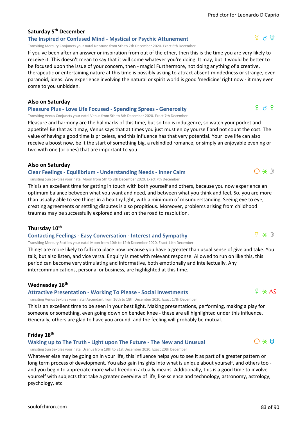# **Saturday 5th December**

## **The Inspired or Confused Mind - Mystical or Psychic Attunement**

Transiting Mercury Conjuncts your natal Neptune from 5th to 7th December 2020. Exact 6th December

If you've been after an answer or inspiration from out of the ether, then this is the time you are very likely to receive it. This doesn't mean to say that it will come whatever you're doing. It may, but it would be better to be focused upon the issue of your concern, then - magic! Furthermore, not doing anything of a creative, therapeutic or entertaining nature at this time is possibly asking to attract absent-mindedness or strange, even paranoid, ideas. Any experience involving the natural or spirit world is good 'medicine' right now - it may even come to you unbidden.

#### **Also on Saturday**

#### **Pleasure Plus - Love Life Focused - Spending Sprees - Generosity**

Transiting Venus Conjuncts your natal Venus from 5th to 8th December 2020. Exact 7th December

Pleasure and harmony are the hallmarks of this time, but so too is indulgence, so watch your pocket and appetite! Be that as it may, Venus says that at times you just must enjoy yourself and not count the cost. The value of having a good time is priceless, and this influence has that very potential. Your love life can also receive a boost now, be it the start of something big, a rekindled romance, or simply an enjoyable evening or two with one (or ones) that are important to you.

#### **Also on Saturday**

#### **Clear Feelings - Equilibrium - Understanding Needs - Inner Calm**

Transiting Sun Sextiles your natal Moon from 5th to 8th December 2020. Exact 7th December

This is an excellent time for getting in touch with both yourself and others, because you now experience an optimum balance between what you want and need, and between what you think and feel. So, you are more than usually able to see things in a healthy light, with a minimum of misunderstanding. Seeing eye to eye, creating agreements or settling disputes is also propitious. Moreover, problems arising from childhood traumas may be successfully explored and set on the road to resolution.

### **Thursday 10th**

#### **Contacting Feelings - Easy Conversation - Interest and Sympathy**

Transiting Mercury Sextiles your natal Moon from 10th to 12th December 2020. Exact 11th December

Things are more likely to fall into place now because you have a greater than usual sense of give and take. You talk, but also listen, and vice versa. Enquiry is met with relevant response. Allowed to run on like this, this period can become very stimulating and informative, both emotionally and intellectually. Any intercommunications, personal or business, are highlighted at this time.

### **Wednesday 16th**

#### **Attractive Presentation - Working To Please - Social Investments**

Transiting Venus Sextiles your natal Ascendant from 16th to 18th December 2020. Exact 17th December

This is an excellent time to be seen in your best light. Making presentations, performing, making a play for someone or something, even going down on bended knee - these are all highlighted under this influence. Generally, others are glad to have you around, and the feeling will probably be mutual.

#### **Friday 18th**

#### **Waking up to The Truth - Light upon The Future - The New and Unusual**

Transiting Sun Sextiles your natal Uranus from 18th to 21st December 2020. Exact 20th December

Whatever else may be going on in your life, this influence helps you to see it as part of a greater pattern or long term process of development. You also gain insights into what is unique about yourself, and others too and you begin to appreciate more what freedom actually means. Additionally, this is a good time to involve yourself with subjects that take a greater overview of life, like science and technology, astronomy, astrology, psychology, etc.

# $9 \land 9$



 $O \times H$ 

 $\Psi \times D$ 

# $\Phi$  d  $\Phi$

 $O * D$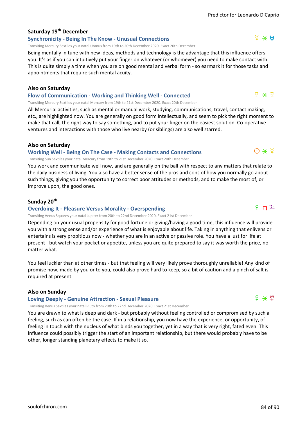# **Saturday 19th December**

# **Synchronicity - Being In The Know - Unusual Connections**

Transiting Mercury Sextiles your natal Uranus from 19th to 20th December 2020. Exact 20th December

Being mentally in tune with new ideas, methods and technology is the advantage that this influence offers you. It's as if you can intuitively put your finger on whatever (or whomever) you need to make contact with. This is quite simply a time when you are on good mental and verbal form - so earmark it for those tasks and appointments that require such mental acuity.

#### **Also on Saturday**

**Flow of Communication - Working and Thinking Well - Connected** Transiting Mercury Sextiles your natal Mercury from 19th to 21st December 2020. Exact 20th December

All Mercurial activities, such as mental or manual work, studying, communications, travel, contact making, etc., are highlighted now. You are generally on good form intellectually, and seem to pick the right moment to make that call, the right way to say something, and to put your finger on the easiest solution. Co-operative ventures and interactions with those who live nearby (or siblings) are also well starred.

#### **Also on Saturday**

#### **Working Well - Being On The Case - Making Contacts and Connections**

Transiting Sun Sextiles your natal Mercury from 19th to 21st December 2020. Exact 20th December

You work and communicate well now, and are generally on the ball with respect to any matters that relate to the daily business of living. You also have a better sense of the pros and cons of how you normally go about such things, giving you the opportunity to correct poor attitudes or methods, and to make the most of, or improve upon, the good ones.

#### **Sunday 20th**

#### **Overdoing It - Pleasure Versus Morality - Overspending**

Transiting Venus Squares your natal Jupiter from 20th to 22nd December 2020. Exact 21st December

Depending on your usual propensity for good fortune or giving/having a good time, this influence will provide you with a strong sense and/or experience of what is enjoyable about life. Taking in anything that enlivens or entertains is very propitious now - whether you are in an active or passive role. You have a lust for life at present - but watch your pocket or appetite, unless you are quite prepared to say it was worth the price, no matter what.

You feel luckier than at other times - but that feeling will very likely prove thoroughly unreliable! Any kind of promise now, made by you or to you, could also prove hard to keep, so a bit of caution and a pinch of salt is required at present.

#### **Also on Sunday**

#### **Loving Deeply - Genuine Attraction - Sexual Pleasure**

Transiting Venus Sextiles your natal Pluto from 20th to 22nd December 2020. Exact 21st December

You are drawn to what is deep and dark - but probably without feeling controlled or compromised by such a feeling, such as can often be the case. If in a relationship, you now have the experience, or opportunity, of feeling in touch with the nucleus of what binds you together, yet in a way that is very right, fated even. This influence could possibly trigger the start of an important relationship, but there would probably have to be other, longer standing planetary effects to make it so.

 $\Delta \times H$ 

 $\frac{1}{2}$   $\frac{1}{2}$ 



# $O*Y$

# $9 \sqrt{1}$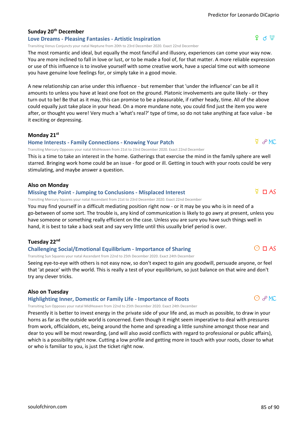# **Sunday 20th December**

#### **Love Dreams - Pleasing Fantasies - Artistic Inspiration**

Transiting Venus Conjuncts your natal Neptune from 20th to 23rd December 2020. Exact 22nd December

The most romantic and ideal, but equally the most fanciful and illusory, experiences can come your way now. You are more inclined to fall in love or lust, or to be made a fool of, for that matter. A more reliable expression or use of this influence is to involve yourself with some creative work, have a special time out with someone you have genuine love feelings for, or simply take in a good movie.

A new relationship can arise under this influence - but remember that 'under the influence' can be all it amounts to unless you have at least one foot on the ground. Platonic involvements are quite likely - or they turn out to be! Be that as it may, this can promise to be a pleasurable, if rather heady, time. All of the above could equally just take place in your head. On a more mundane note, you could find just the item you were after, or thought you were! Very much a 'what's real?' type of time, so do not take anything at face value - be it exciting or depressing.

### **Monday 21st**

#### **Home Interests - Family Connections - Knowing Your Patch**

Transiting Mercury Opposes your natal MidHeaven from 21st to 23rd December 2020. Exact 22nd December

This is a time to take an interest in the home. Gatherings that exercise the mind in the family sphere are well starred. Bringing work home could be an issue - for good or ill. Getting in touch with your roots could be very stimulating, and maybe answer a question.

### **Also on Monday**

### **Missing the Point - Jumping to Conclusions - Misplaced Interest**

Transiting Mercury Squares your natal Ascendant from 21st to 23rd December 2020. Exact 22nd December

You may find yourself in a difficult mediating position right now - or it may be you who is in need of a go-between of some sort. The trouble is, any kind of communication is likely to go awry at present, unless you have someone or something really efficient on the case. Unless you are sure you have such things well in hand, it is best to take a back seat and say very little until this usually brief period is over.

### **Tuesday 22nd**

### **Challenging Social/Emotional Equilibrium - Importance of Sharing**

Transiting Sun Squares your natal Ascendant from 22nd to 25th December 2020. Exact 24th December

Seeing eye-to-eye with others is not easy now, so don't expect to gain any goodwill, persuade anyone, or feel that 'at peace' with the world. This is really a test of your equilibrium, so just balance on that wire and don't try any clever tricks.

### **Also on Tuesday**

### **Highlighting Inner, Domestic or Family Life - Importance of Roots**

Transiting Sun Opposes your natal MidHeaven from 22nd to 25th December 2020. Exact 24th December

Presently it is better to invest energy in the private side of your life and, as much as possible, to draw in your horns as far as the outside world is concerned. Even though it might seem imperative to deal with pressures from work, officialdom, etc, being around the home and spreading a little sunshine amongst those near and dear to you will be most rewarding, (and will also avoid conflicts with regard to professional or public affairs), which is a possibility right now. Cutting a low profile and getting more in touch with your roots, closer to what or who is familiar to you, is just the ticket right now.



 $O$   $O$  MC

 $O \square AS$ 

# $9 \ltimes \mathfrak{P}$

 $Q \sim M$ 

# $\overline{P}$  **D** AS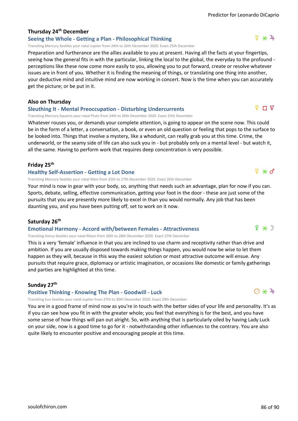# **Thursday 24th December**

# **Seeing the Whole - Getting a Plan - Philosophical Thinking**

Transiting Mercury Sextiles your natal Jupiter from 24th to 26th December 2020. Exact 25th December

Preparation and furtherance are the allies available to you at present. Having all the facts at your fingertips, seeing how the general fits in with the particular, linking the local to the global, the everyday to the profound perceptions like these now come more easily to you, allowing you to put forward, create or resolve whatever issues are in front of you. Whether it is finding the meaning of things, or translating one thing into another, your deductive mind and intuitive mind are now working in concert. Now is the time when you can accurately get the picture; or be put in it.

# **Also on Thursday**

# **Sleuthing It - Mental Preoccupation - Disturbing Undercurrents**

Transiting Mercury Squares your natal Pluto from 24th to 26th December 2020. Exact 25th December

Whatever rouses you, or demands your complete attention, is going to appear on the scene now. This could be in the form of a letter, a conversation, a book, or even an old question or feeling that pops to the surface to be looked into. Things that involve a mystery, like a whodunit, can really grab you at this time. Crime, the underworld, or the seamy side of life can also suck you in - but probably only on a mental level - but watch it, all the same. Having to perform work that requires deep concentration is very possible.

### **Friday 25th**

### **Healthy Self-Assertion - Getting a Lot Done**

Transiting Mercury Sextiles your natal Mars from 25th to 27th December 2020. Exact 26th December

Your mind is now in gear with your body, so, anything that needs such an advantage, plan for now if you can. Sports, debate, selling, effective communication, getting your foot in the door - these are just some of the pursuits that you are presently more likely to excel in than you would normally. Any job that has been daunting you, and you have been putting off, set to work on it now.

### **Saturday 26th**

# **Emotional Harmony - Accord with/between Females - Attractiveness**

Transiting Venus Sextiles your natal Moon from 26th to 28th December 2020. Exact 27th December

This is a very 'female' influence in that you are inclined to use charm and receptivity rather than drive and ambition. If you are usually disposed towards making things happen, you would now be wise to let them happen as they will, because in this way the easiest solution or most attractive outcome will ensue. Any pursuits that require grace, diplomacy or artistic imagination, or occasions like domestic or family gatherings and parties are highlighted at this time.

# **Sunday 27th**

### **Positive Thinking - Knowing The Plan - Goodwill - Luck**

Transiting Sun Sextiles your natal Jupiter from 27th to 30th December 2020. Exact 29th December

You are in a good frame of mind now as you're in touch with the better sides of your life and personality. It's as if you can see how you fit in with the greater whole; you feel that everything is for the best, and you have some sense of how things will pan out alright. So, with anything that is particularly oiled by having Lady Luck on your side, now is a good time to go for it - notwithstanding other influences to the contrary. You are also quite likely to encounter positive and encouraging people at this time.

 $9 \times D$ 

 $\Psi$  Π  $\Psi$ 

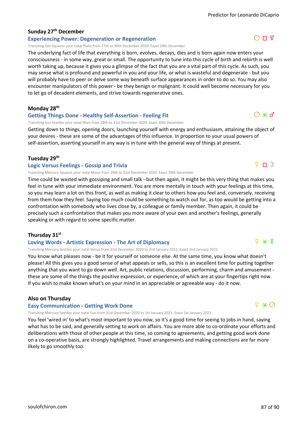# **Sunday 27th December**

# **Experiencing Power: Degeneration or Regeneration**

Transiting Sun Squares your natal Pluto from 27th to 30th December 2020. Exact 29th December

The underlying fact of life that everything is born, evolves, decays, dies and is born again now enters your consciousness - in some way, great or small. The opportunity to tune into this cycle of birth and rebirth is well worth taking up, because it gives you a glimpse of the fact that you are a vital part of this cycle. As such, you may sense what is profound and powerful in you and your life, or what is wasteful and degenerate - but you will probably have to peer or delve some way beneath surface appearances in order to do so. You may also encounter manipulators of this power - be they benign or malignant. It could well become necessary for you to let go of decadent elements, and strive towards regenerative ones.

**Monday 28th**

### **Getting Things Done - Healthy Self-Assertion - Feeling Fit**

Transiting Sun Sextiles your natal Mars from 28th to 31st December 2020. Exact 30th December

Getting down to things, opening doors, launching yourself with energy and enthusiasm, attaining the object of your desires - these are some of the advantages of this influence. In proportion to your usual powers of self-assertion, asserting yourself in any way is in tune with the general way of things at present.

### **Tuesday 29th**

#### **Logic Versus Feelings - Gossip and Trivia**

Transiting Mercury Squares your natal Moon from 29th to 31st December 2020. Exact 30th December

Time could be wasted with gossiping and small talk - but then again, it might be this very thing that makes you feel in tune with your immediate environment. You are more mentally in touch with your feelings at this time, so you may learn a lot on this front, as well as making it clear to others how you feel and, conversely, receiving from them how they feel. Saying too much could be something to watch out for, as too would be getting into a confrontation with somebody who lives close by, a colleague or family member. Then again, it could be precisely such a confrontation that makes you more aware of your own and another's feelings, generally speaking or with regard to some specific matter.

### **Thursday 31st**

### **Loving Words - Artistic Expression - The Art of Diplomacy**

Transiting Mercury Sextiles your natal Venus from 31st December 2020 to 2nd January 2021. Exact 2nd January 2021

You know what pleases now - be it for yourself or someone else. At the same time, you know what doesn't please! All this gives you a good sense of what appeals or sells, so this is an excellent time for putting together anything that you want to go down well. Art, public relations, discussion, performing, charm and amusement these are some of the things the positive expression, or experience, of which are at your fingertips right now. If you wish to make known what's on your mind in an appreciable or agreeable way - do it now.

### **Also on Thursday**

#### **Easy Communication - Getting Work Done**

Transiting Mercury Sextiles your natal Sun from 31st December 2020 to 1st January 2021. Exact 1st January 2021

You feel 'wired in' to what's most important to you now, so it's a good time for seeing to jobs in hand, saying what has to be said, and generally setting to work on affairs. You are more able to co-ordinate your efforts and deliberations with those of other people at this time, so coming to agreements, and getting good work done on a co-operative basis, are strongly highlighted. Travel arrangements and making connections are far more likely to go smoothly too.

# $O\Pi$   $2$

 $O * d$ 

 $\sqrt{2}$  n  $\sqrt{2}$ 

# $\Phi \ast \Theta$

 $\Phi$   $*$   $\Phi$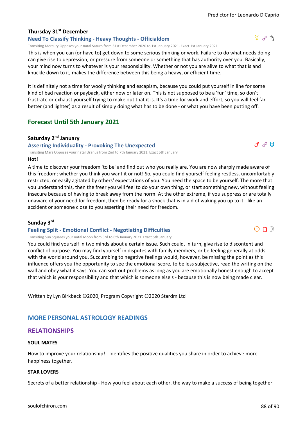# **Thursday 31st December**

# **Need To Classify Thinking - Heavy Thoughts - Officialdom**

Transiting Mercury Opposes your natal Saturn from 31st December 2020 to 1st January 2021. Exact 1st January 2021

This is when you can (or have to) get down to some serious thinking or work. Failure to do what needs doing can give rise to depression, or pressure from someone or something that has authority over you. Basically, your mind now turns to whatever is your responsibility. Whether or not you are alive to what that is and knuckle down to it, makes the difference between this being a heavy, or efficient time.

It is definitely not a time for woolly thinking and escapism, because you could put yourself in line for some kind of bad reaction or payback, either now or later on. This is not supposed to be a 'fun' time, so don't frustrate or exhaust yourself trying to make out that it is. It's a time for work and effort, so you will feel far better (and lighter) as a result of simply doing what has to be done - or what you have been putting off.

# **Forecast Until 5th January 2021**

# **Saturday 2nd January**

**Asserting Individuality - Provoking The Unexpected**

Transiting Mars Opposes your natal Uranus from 2nd to 7th January 2021. Exact 5th January

### **Hot!**

A time to discover your freedom 'to be' and find out who you really are. You are now sharply made aware of this freedom; whether you think you want it or not! So, you could find yourself feeling restless, uncomfortably restricted, or easily agitated by others' expectations of you. You need the space to be yourself. The more that you understand this, then the freer you will feel to do your own thing, or start something new, without feeling insecure because of having to break away from the norm. At the other extreme, if you suppress or are totally unaware of your need for freedom, then be ready for a shock that is in aid of waking you up to it - like an accident or someone close to you asserting their need for freedom.

# **Sunday 3rd**

# **Feeling Split - Emotional Conflict - Negotiating Difficulties**

Transiting Sun Squares your natal Moon from 3rd to 6th January 2021. Exact 5th January

You could find yourself in two minds about a certain issue. Such could, in turn, give rise to discontent and conflict of purpose. You may find yourself in disputes with family members, or be feeling generally at odds with the world around you. Succumbing to negative feelings would, however, be missing the point as this influence offers you the opportunity to see the emotional score, to be less subjective, read the writing on the wall and obey what it says. You can sort out problems as long as you are emotionally honest enough to accept that which is your responsibility and that which is someone else's - because this is now being made clear.

Written by Lyn Birkbeck ©2020, Program Copyright ©2020 Stardm Ltd

# **MORE PERSONAL ASTROLOGY READINGS**

# **RELATIONSHIPS**

# **SOUL MATES**

How to improve your relationship! - Identifies the positive qualities you share in order to achieve more happiness together.

# **STAR LOVERS**

Secrets of a better relationship - How you feel about each other, the way to make a success of being together.



 $d^{\prime}$   $e^{\beta}$   $H$ 

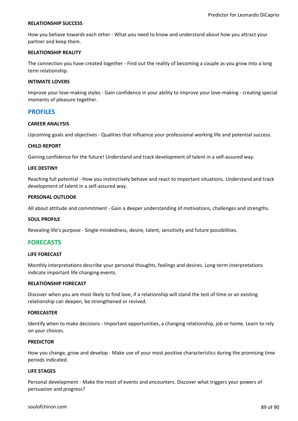#### **RELATIONSHIP SUCCESS**

How you behave towards each other - What you need to know and understand about how you attract your partner and keep them.

#### **RELATIONSHIP REALITY**

The connection you have created together - Find out the reality of becoming a couple as you grow into a long term relationship.

#### **INTIMATE LOVERS**

Improve your love-making styles - Gain confidence in your ability to improve your love-making - creating special moments of pleasure together.

#### **PROFILES**

#### **CAREER ANALYSIS**

Upcoming goals and objectives - Qualities that influence your professional working life and potential success.

#### **CHILD REPORT**

Gaining confidence for the future! Understand and track development of talent in a self-assured way.

#### **LIFE DESTINY**

Reaching full potential - How you instinctively behave and react to important situations. Understand and track development of talent in a self-assured way.

#### **PERSONAL OUTLOOK**

All about attitude and commitment - Gain a deeper understanding of motivations, challenges and strengths.

#### **SOUL PROFILE**

Revealing life's purpose - Single-mindedness, desire, talent, sensitivity and future possibilities.

# **FORECASTS**

#### **LIFE FORECAST**

Monthly interpretations describe your personal thoughts, feelings and desires. Long-term interpretations indicate important life changing events.

#### **RELATIONSHIP FORECAST**

Discover when you are most likely to find love, if a relationship will stand the test of time or an existing relationship can deepen, be strengthened or revived.

#### **FORECASTER**

Identify when to make decisions - Important opportunities, a changing relationship, job or home. Learn to rely on your choices.

#### **PREDICTOR**

How you change, grow and develop - Make use of your most positive characteristics during the promising time periods indicated.

#### **LIFE STAGES**

Personal development - Make the most of events and encounters. Discover what triggers your powers of persuasion and progress?